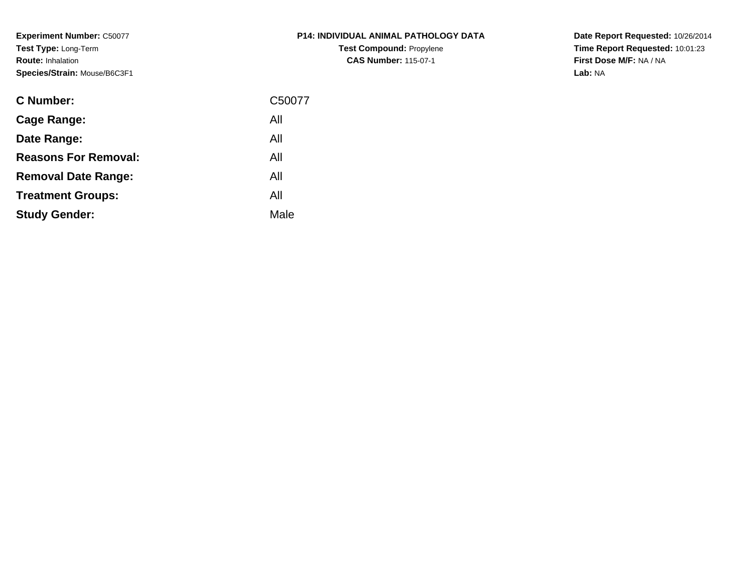**Experiment Number:** C50077**Test Type:** Long-Term**Route:** Inhalation**Species/Strain:** Mouse/B6C3F1

| <b>P14: INDIVIDUAL ANIMAL PATHOLOGY DATA</b> |
|----------------------------------------------|
| <b>Test Compound: Propylene</b>              |
| <b>CAS Number: 115-07-1</b>                  |

**Date Report Requested:** 10/26/2014 **Time Report Requested:** 10:01:23**First Dose M/F:** NA / NA**Lab:** NA

| <b>C</b> Number:            | C50077 |
|-----------------------------|--------|
| Cage Range:                 | All    |
| Date Range:                 | All    |
| <b>Reasons For Removal:</b> | All    |
| <b>Removal Date Range:</b>  | All    |
| <b>Treatment Groups:</b>    | All    |
| <b>Study Gender:</b>        | Male   |
|                             |        |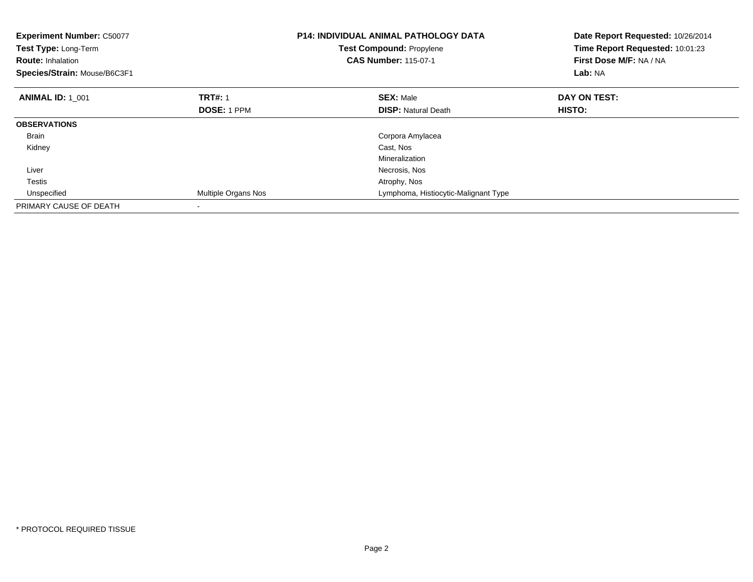| <b>Experiment Number: C50077</b><br>Test Type: Long-Term<br><b>Route: Inhalation</b><br>Species/Strain: Mouse/B6C3F1 |                     | <b>P14: INDIVIDUAL ANIMAL PATHOLOGY DATA</b><br>Test Compound: Propylene<br><b>CAS Number: 115-07-1</b> | Date Report Requested: 10/26/2014<br>Time Report Requested: 10:01:23<br>First Dose M/F: NA / NA<br>Lab: NA |
|----------------------------------------------------------------------------------------------------------------------|---------------------|---------------------------------------------------------------------------------------------------------|------------------------------------------------------------------------------------------------------------|
| <b>ANIMAL ID: 1 001</b>                                                                                              | <b>TRT#: 1</b>      | <b>SEX: Male</b>                                                                                        | DAY ON TEST:                                                                                               |
|                                                                                                                      | <b>DOSE: 1 PPM</b>  | <b>DISP:</b> Natural Death                                                                              | <b>HISTO:</b>                                                                                              |
| <b>OBSERVATIONS</b>                                                                                                  |                     |                                                                                                         |                                                                                                            |
| <b>Brain</b>                                                                                                         |                     | Corpora Amylacea                                                                                        |                                                                                                            |
| Kidney                                                                                                               |                     | Cast, Nos                                                                                               |                                                                                                            |
|                                                                                                                      |                     | Mineralization                                                                                          |                                                                                                            |
| Liver                                                                                                                |                     | Necrosis, Nos                                                                                           |                                                                                                            |
| Testis                                                                                                               |                     | Atrophy, Nos                                                                                            |                                                                                                            |
| Unspecified                                                                                                          | Multiple Organs Nos | Lymphoma, Histiocytic-Malignant Type                                                                    |                                                                                                            |
| PRIMARY CAUSE OF DEATH                                                                                               |                     |                                                                                                         |                                                                                                            |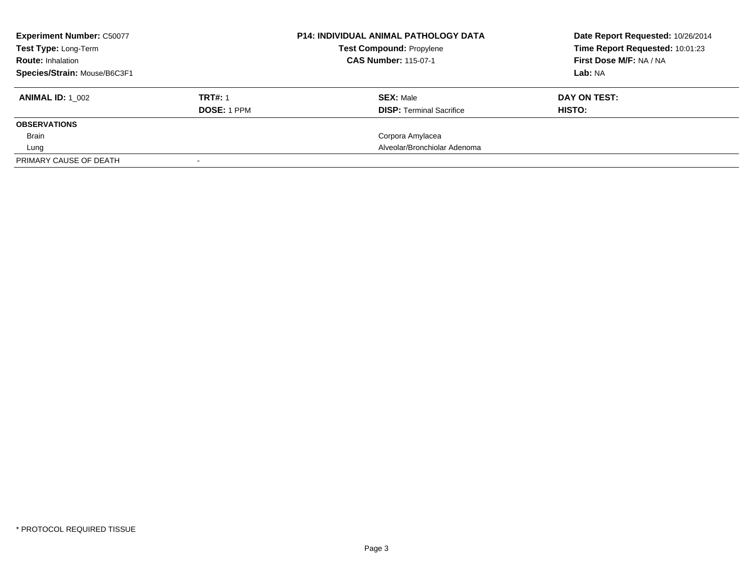| <b>Experiment Number: C50077</b><br>Test Type: Long-Term<br><b>Route: Inhalation</b><br>Species/Strain: Mouse/B6C3F1 |                                      | <b>P14: INDIVIDUAL ANIMAL PATHOLOGY DATA</b><br><b>Test Compound: Propylene</b><br><b>CAS Number: 115-07-1</b> | Date Report Requested: 10/26/2014<br>Time Report Requested: 10:01:23<br>First Dose M/F: NA / NA<br>Lab: NA |
|----------------------------------------------------------------------------------------------------------------------|--------------------------------------|----------------------------------------------------------------------------------------------------------------|------------------------------------------------------------------------------------------------------------|
| <b>ANIMAL ID:</b> 1 002                                                                                              | <b>TRT#: 1</b><br><b>DOSE: 1 PPM</b> | <b>SEX: Male</b><br><b>DISP:</b> Terminal Sacrifice                                                            | DAY ON TEST:<br>HISTO:                                                                                     |
| <b>OBSERVATIONS</b>                                                                                                  |                                      |                                                                                                                |                                                                                                            |
| Brain                                                                                                                |                                      | Corpora Amylacea                                                                                               |                                                                                                            |
| Lung                                                                                                                 |                                      | Alveolar/Bronchiolar Adenoma                                                                                   |                                                                                                            |
| PRIMARY CAUSE OF DEATH                                                                                               |                                      |                                                                                                                |                                                                                                            |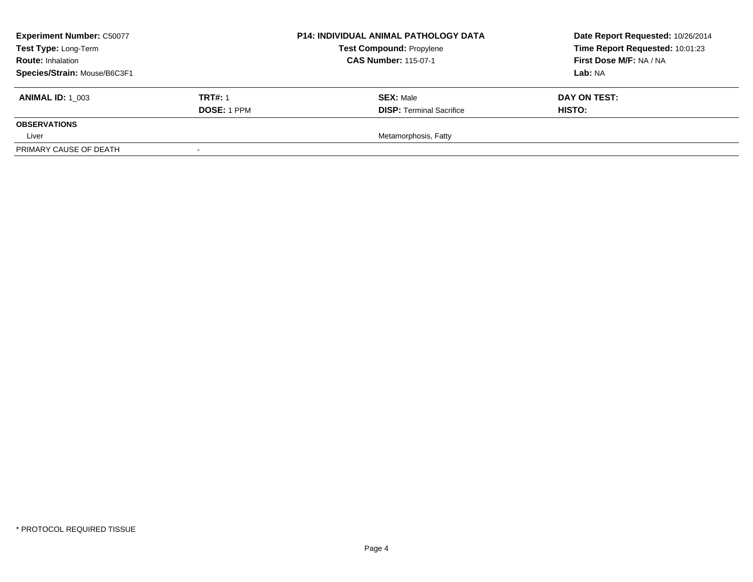| <b>Experiment Number: C50077</b><br>Test Type: Long-Term<br><b>Route: Inhalation</b><br>Species/Strain: Mouse/B6C3F1 |                               | <b>P14: INDIVIDUAL ANIMAL PATHOLOGY DATA</b><br><b>Test Compound: Propylene</b><br><b>CAS Number: 115-07-1</b> | Date Report Requested: 10/26/2014<br>Time Report Requested: 10:01:23<br>First Dose M/F: NA / NA<br>Lab: NA |
|----------------------------------------------------------------------------------------------------------------------|-------------------------------|----------------------------------------------------------------------------------------------------------------|------------------------------------------------------------------------------------------------------------|
| <b>ANIMAL ID:</b> 1 003                                                                                              | <b>TRT#: 1</b><br>DOSE: 1 PPM | <b>SEX: Male</b><br><b>DISP: Terminal Sacrifice</b>                                                            | DAY ON TEST:<br><b>HISTO:</b>                                                                              |
| <b>OBSERVATIONS</b>                                                                                                  |                               |                                                                                                                |                                                                                                            |
| Liver                                                                                                                |                               | Metamorphosis, Fatty                                                                                           |                                                                                                            |
| PRIMARY CAUSE OF DEATH                                                                                               |                               |                                                                                                                |                                                                                                            |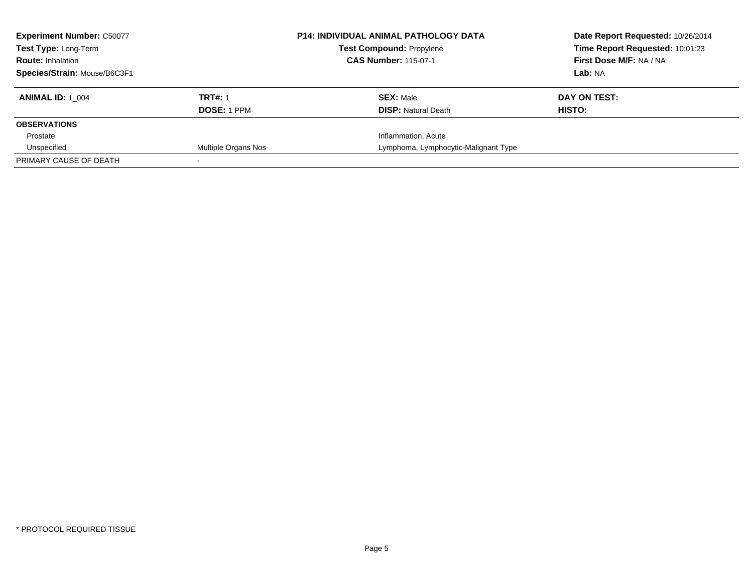| <b>Experiment Number: C50077</b><br><b>Test Type: Long-Term</b><br><b>Route: Inhalation</b> |                     | <b>P14: INDIVIDUAL ANIMAL PATHOLOGY DATA</b><br><b>Test Compound: Propylene</b><br><b>CAS Number: 115-07-1</b> | Date Report Requested: 10/26/2014<br>Time Report Requested: 10:01:23<br>First Dose M/F: NA / NA |
|---------------------------------------------------------------------------------------------|---------------------|----------------------------------------------------------------------------------------------------------------|-------------------------------------------------------------------------------------------------|
| Species/Strain: Mouse/B6C3F1                                                                |                     |                                                                                                                | Lab: NA                                                                                         |
| <b>ANIMAL ID: 1 004</b>                                                                     | <b>TRT#: 1</b>      | <b>SEX: Male</b>                                                                                               | DAY ON TEST:                                                                                    |
|                                                                                             | <b>DOSE: 1 PPM</b>  | <b>DISP:</b> Natural Death                                                                                     | HISTO:                                                                                          |
| <b>OBSERVATIONS</b>                                                                         |                     |                                                                                                                |                                                                                                 |
| Prostate                                                                                    |                     | Inflammation, Acute                                                                                            |                                                                                                 |
| Unspecified                                                                                 | Multiple Organs Nos | Lymphoma, Lymphocytic-Malignant Type                                                                           |                                                                                                 |
| PRIMARY CAUSE OF DEATH                                                                      |                     |                                                                                                                |                                                                                                 |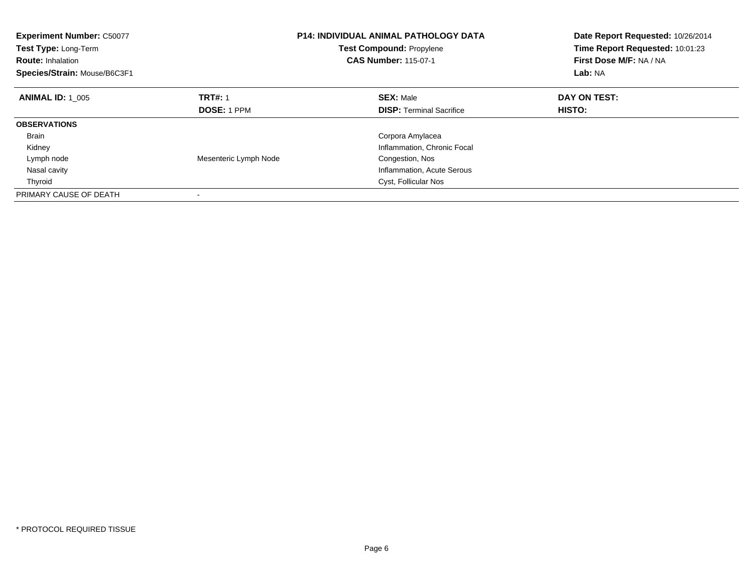| <b>Experiment Number: C50077</b><br>Test Type: Long-Term<br><b>Route: Inhalation</b><br>Species/Strain: Mouse/B6C3F1 |                       | <b>P14: INDIVIDUAL ANIMAL PATHOLOGY DATA</b><br><b>Test Compound: Propylene</b><br><b>CAS Number: 115-07-1</b> | Date Report Requested: 10/26/2014<br>Time Report Requested: 10:01:23<br>First Dose M/F: NA / NA<br>Lab: NA |
|----------------------------------------------------------------------------------------------------------------------|-----------------------|----------------------------------------------------------------------------------------------------------------|------------------------------------------------------------------------------------------------------------|
| <b>ANIMAL ID: 1 005</b>                                                                                              | <b>TRT#: 1</b>        | <b>SEX: Male</b>                                                                                               | DAY ON TEST:                                                                                               |
|                                                                                                                      | DOSE: 1 PPM           | <b>DISP:</b> Terminal Sacrifice                                                                                | HISTO:                                                                                                     |
| <b>OBSERVATIONS</b>                                                                                                  |                       |                                                                                                                |                                                                                                            |
| <b>Brain</b>                                                                                                         |                       | Corpora Amylacea                                                                                               |                                                                                                            |
| Kidney                                                                                                               |                       | Inflammation, Chronic Focal                                                                                    |                                                                                                            |
| Lymph node                                                                                                           | Mesenteric Lymph Node | Congestion, Nos                                                                                                |                                                                                                            |
| Nasal cavity                                                                                                         |                       | Inflammation, Acute Serous                                                                                     |                                                                                                            |
| Thyroid                                                                                                              |                       | Cyst, Follicular Nos                                                                                           |                                                                                                            |
| PRIMARY CAUSE OF DEATH                                                                                               |                       |                                                                                                                |                                                                                                            |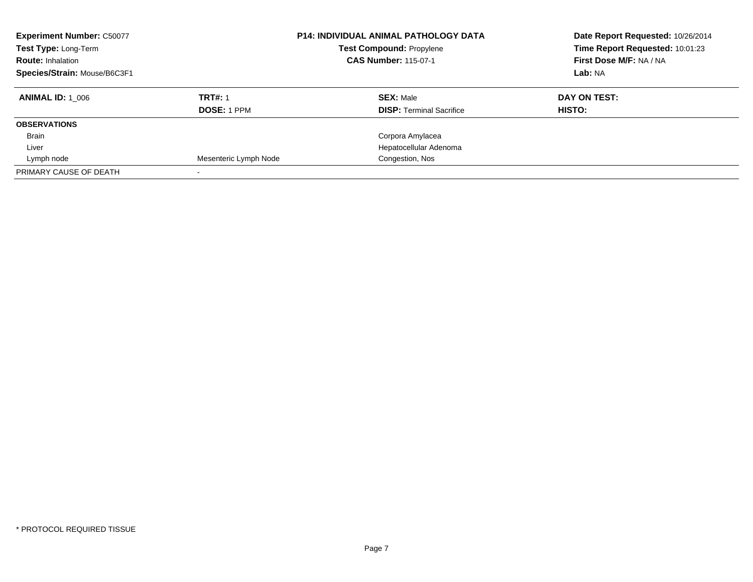| <b>Experiment Number: C50077</b><br>Test Type: Long-Term<br><b>Route: Inhalation</b><br>Species/Strain: Mouse/B6C3F1 |                       | <b>P14: INDIVIDUAL ANIMAL PATHOLOGY DATA</b><br><b>Test Compound: Propylene</b><br><b>CAS Number: 115-07-1</b> | Date Report Requested: 10/26/2014<br>Time Report Requested: 10:01:23<br>First Dose M/F: NA / NA<br>Lab: NA |
|----------------------------------------------------------------------------------------------------------------------|-----------------------|----------------------------------------------------------------------------------------------------------------|------------------------------------------------------------------------------------------------------------|
| <b>ANIMAL ID: 1 006</b>                                                                                              | <b>TRT#: 1</b>        | <b>SEX: Male</b>                                                                                               | DAY ON TEST:                                                                                               |
|                                                                                                                      | <b>DOSE: 1 PPM</b>    | <b>DISP: Terminal Sacrifice</b>                                                                                | HISTO:                                                                                                     |
| <b>OBSERVATIONS</b>                                                                                                  |                       |                                                                                                                |                                                                                                            |
| <b>Brain</b>                                                                                                         |                       | Corpora Amylacea                                                                                               |                                                                                                            |
| Liver                                                                                                                |                       | Hepatocellular Adenoma                                                                                         |                                                                                                            |
| Lymph node                                                                                                           | Mesenteric Lymph Node | Congestion, Nos                                                                                                |                                                                                                            |
| PRIMARY CAUSE OF DEATH                                                                                               |                       |                                                                                                                |                                                                                                            |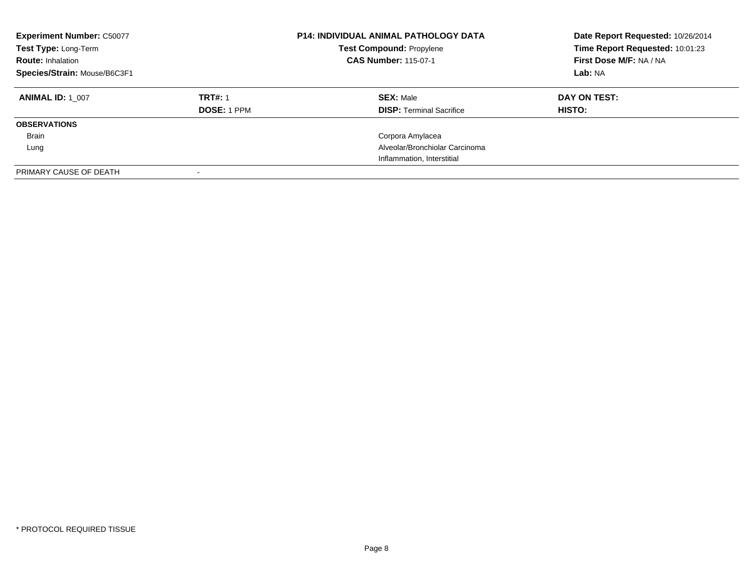| <b>Experiment Number: C50077</b><br>Test Type: Long-Term<br><b>Route: Inhalation</b><br>Species/Strain: Mouse/B6C3F1 |                    | <b>P14: INDIVIDUAL ANIMAL PATHOLOGY DATA</b><br><b>Test Compound: Propylene</b><br><b>CAS Number: 115-07-1</b> | Date Report Requested: 10/26/2014<br>Time Report Requested: 10:01:23<br>First Dose M/F: NA / NA<br>Lab: NA |
|----------------------------------------------------------------------------------------------------------------------|--------------------|----------------------------------------------------------------------------------------------------------------|------------------------------------------------------------------------------------------------------------|
| <b>ANIMAL ID: 1 007</b>                                                                                              | <b>TRT#: 1</b>     | <b>SEX: Male</b>                                                                                               | DAY ON TEST:                                                                                               |
|                                                                                                                      | <b>DOSE: 1 PPM</b> | <b>DISP:</b> Terminal Sacrifice                                                                                | <b>HISTO:</b>                                                                                              |
| <b>OBSERVATIONS</b>                                                                                                  |                    |                                                                                                                |                                                                                                            |
| Brain                                                                                                                |                    | Corpora Amylacea                                                                                               |                                                                                                            |
| Lung                                                                                                                 |                    | Alveolar/Bronchiolar Carcinoma                                                                                 |                                                                                                            |
|                                                                                                                      |                    | Inflammation, Interstitial                                                                                     |                                                                                                            |
| PRIMARY CAUSE OF DEATH                                                                                               |                    |                                                                                                                |                                                                                                            |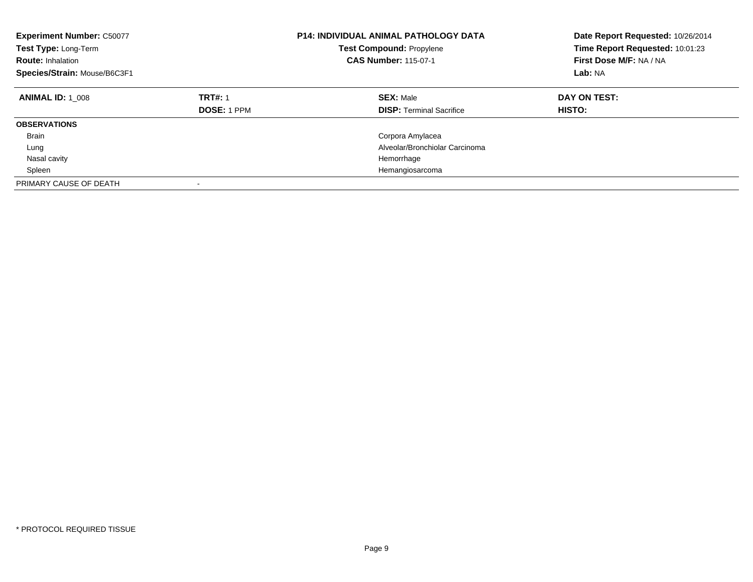| <b>Experiment Number: C50077</b><br>Test Type: Long-Term<br><b>Route: Inhalation</b><br>Species/Strain: Mouse/B6C3F1 |                                      | <b>P14: INDIVIDUAL ANIMAL PATHOLOGY DATA</b><br><b>Test Compound: Propylene</b><br><b>CAS Number: 115-07-1</b> | Date Report Requested: 10/26/2014<br>Time Report Requested: 10:01:23<br>First Dose M/F: NA / NA<br>Lab: NA |
|----------------------------------------------------------------------------------------------------------------------|--------------------------------------|----------------------------------------------------------------------------------------------------------------|------------------------------------------------------------------------------------------------------------|
| <b>ANIMAL ID: 1 008</b>                                                                                              | <b>TRT#: 1</b><br><b>DOSE: 1 PPM</b> | <b>SEX: Male</b><br><b>DISP:</b> Terminal Sacrifice                                                            | DAY ON TEST:<br>HISTO:                                                                                     |
| <b>OBSERVATIONS</b>                                                                                                  |                                      |                                                                                                                |                                                                                                            |
| <b>Brain</b>                                                                                                         |                                      | Corpora Amylacea                                                                                               |                                                                                                            |
| Lung                                                                                                                 |                                      | Alveolar/Bronchiolar Carcinoma                                                                                 |                                                                                                            |
| Nasal cavity                                                                                                         |                                      | Hemorrhage                                                                                                     |                                                                                                            |
| Spleen                                                                                                               |                                      | Hemangiosarcoma                                                                                                |                                                                                                            |
| PRIMARY CAUSE OF DEATH                                                                                               | ٠                                    |                                                                                                                |                                                                                                            |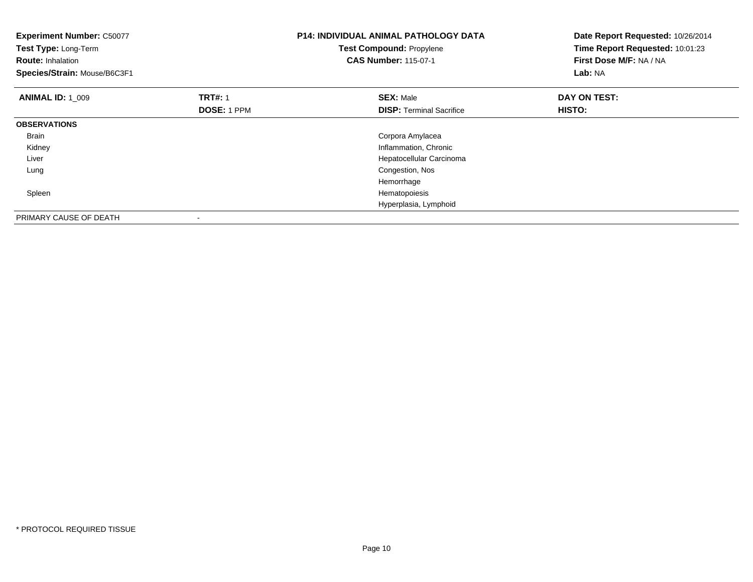| <b>Experiment Number: C50077</b><br>Test Type: Long-Term<br><b>Route: Inhalation</b><br>Species/Strain: Mouse/B6C3F1 |                    | <b>P14: INDIVIDUAL ANIMAL PATHOLOGY DATA</b><br>Test Compound: Propylene<br><b>CAS Number: 115-07-1</b> | Date Report Requested: 10/26/2014<br>Time Report Requested: 10:01:23<br>First Dose M/F: NA / NA<br>Lab: NA |
|----------------------------------------------------------------------------------------------------------------------|--------------------|---------------------------------------------------------------------------------------------------------|------------------------------------------------------------------------------------------------------------|
| <b>ANIMAL ID: 1 009</b>                                                                                              | <b>TRT#: 1</b>     | <b>SEX: Male</b>                                                                                        | DAY ON TEST:                                                                                               |
|                                                                                                                      | <b>DOSE: 1 PPM</b> | <b>DISP:</b> Terminal Sacrifice                                                                         | HISTO:                                                                                                     |
| <b>OBSERVATIONS</b>                                                                                                  |                    |                                                                                                         |                                                                                                            |
| Brain                                                                                                                |                    | Corpora Amylacea                                                                                        |                                                                                                            |
| Kidney                                                                                                               |                    | Inflammation, Chronic                                                                                   |                                                                                                            |
| Liver                                                                                                                |                    | Hepatocellular Carcinoma                                                                                |                                                                                                            |
| Lung                                                                                                                 |                    | Congestion, Nos                                                                                         |                                                                                                            |
|                                                                                                                      |                    | Hemorrhage                                                                                              |                                                                                                            |
| Spleen                                                                                                               |                    | Hematopoiesis                                                                                           |                                                                                                            |
|                                                                                                                      |                    | Hyperplasia, Lymphoid                                                                                   |                                                                                                            |
| PRIMARY CAUSE OF DEATH                                                                                               |                    |                                                                                                         |                                                                                                            |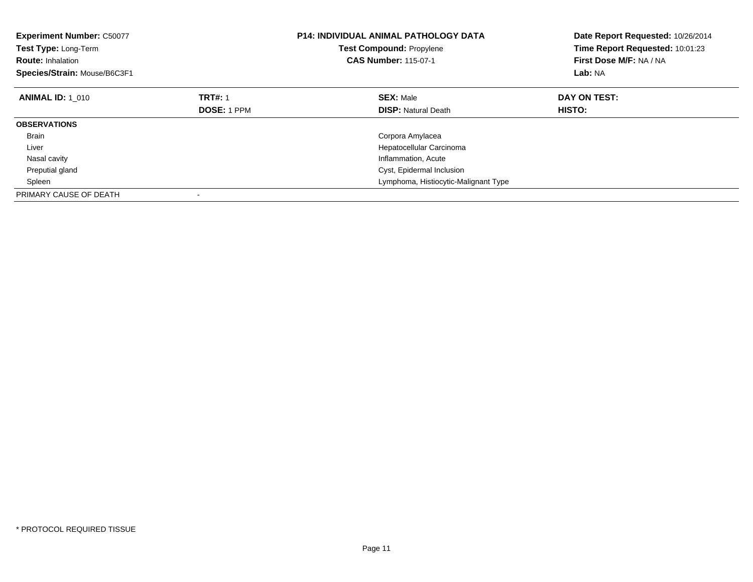| <b>Experiment Number: C50077</b><br>Test Type: Long-Term<br><b>Route: Inhalation</b><br>Species/Strain: Mouse/B6C3F1 |                    | <b>P14: INDIVIDUAL ANIMAL PATHOLOGY DATA</b><br><b>Test Compound: Propylene</b><br><b>CAS Number: 115-07-1</b> | Date Report Requested: 10/26/2014<br>Time Report Requested: 10:01:23<br>First Dose M/F: NA / NA<br>Lab: NA |
|----------------------------------------------------------------------------------------------------------------------|--------------------|----------------------------------------------------------------------------------------------------------------|------------------------------------------------------------------------------------------------------------|
| <b>ANIMAL ID: 1 010</b>                                                                                              | <b>TRT#: 1</b>     | <b>SEX: Male</b>                                                                                               | DAY ON TEST:                                                                                               |
|                                                                                                                      | <b>DOSE: 1 PPM</b> | <b>DISP: Natural Death</b>                                                                                     | HISTO:                                                                                                     |
| <b>OBSERVATIONS</b>                                                                                                  |                    |                                                                                                                |                                                                                                            |
| <b>Brain</b>                                                                                                         |                    | Corpora Amylacea                                                                                               |                                                                                                            |
| Liver                                                                                                                |                    | Hepatocellular Carcinoma                                                                                       |                                                                                                            |
| Nasal cavity                                                                                                         |                    | Inflammation, Acute                                                                                            |                                                                                                            |
| Preputial gland                                                                                                      |                    | Cyst, Epidermal Inclusion                                                                                      |                                                                                                            |
| Spleen                                                                                                               |                    | Lymphoma, Histiocytic-Malignant Type                                                                           |                                                                                                            |
| PRIMARY CAUSE OF DEATH                                                                                               |                    |                                                                                                                |                                                                                                            |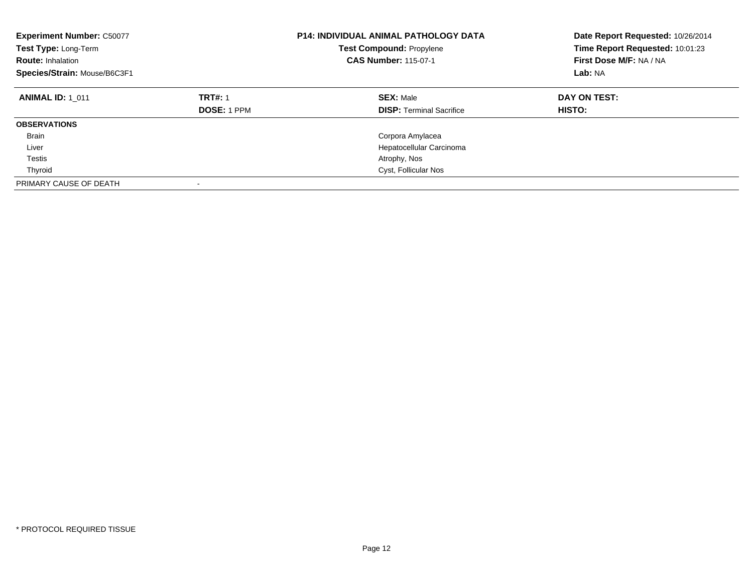| <b>Experiment Number: C50077</b><br>Test Type: Long-Term<br><b>Route: Inhalation</b><br>Species/Strain: Mouse/B6C3F1 |                                      | <b>P14: INDIVIDUAL ANIMAL PATHOLOGY DATA</b><br><b>Test Compound: Propylene</b><br><b>CAS Number: 115-07-1</b> | Date Report Requested: 10/26/2014<br>Time Report Requested: 10:01:23<br>First Dose M/F: NA / NA<br>Lab: NA |
|----------------------------------------------------------------------------------------------------------------------|--------------------------------------|----------------------------------------------------------------------------------------------------------------|------------------------------------------------------------------------------------------------------------|
| <b>ANIMAL ID: 1 011</b>                                                                                              | <b>TRT#: 1</b><br><b>DOSE: 1 PPM</b> | <b>SEX: Male</b><br><b>DISP:</b> Terminal Sacrifice                                                            | DAY ON TEST:<br><b>HISTO:</b>                                                                              |
| <b>OBSERVATIONS</b>                                                                                                  |                                      |                                                                                                                |                                                                                                            |
| <b>Brain</b>                                                                                                         |                                      | Corpora Amylacea                                                                                               |                                                                                                            |
| Liver                                                                                                                |                                      | Hepatocellular Carcinoma                                                                                       |                                                                                                            |
| Testis                                                                                                               |                                      | Atrophy, Nos                                                                                                   |                                                                                                            |
| Thyroid                                                                                                              |                                      | Cyst, Follicular Nos                                                                                           |                                                                                                            |
| PRIMARY CAUSE OF DEATH                                                                                               | ٠                                    |                                                                                                                |                                                                                                            |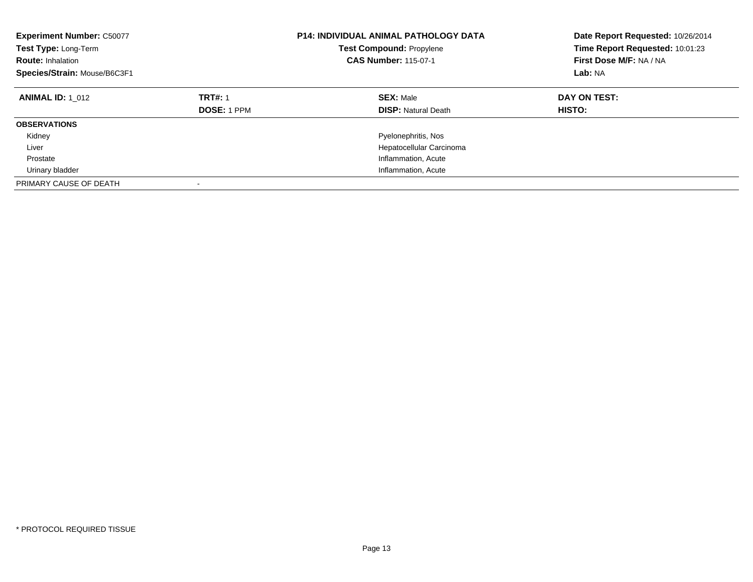| <b>Experiment Number: C50077</b><br>Test Type: Long-Term<br><b>Route: Inhalation</b><br>Species/Strain: Mouse/B6C3F1 |                                      | <b>P14: INDIVIDUAL ANIMAL PATHOLOGY DATA</b><br><b>Test Compound: Propylene</b><br><b>CAS Number: 115-07-1</b> | Date Report Requested: 10/26/2014<br>Time Report Requested: 10:01:23<br>First Dose M/F: NA / NA<br>Lab: NA |
|----------------------------------------------------------------------------------------------------------------------|--------------------------------------|----------------------------------------------------------------------------------------------------------------|------------------------------------------------------------------------------------------------------------|
| <b>ANIMAL ID: 1 012</b>                                                                                              | <b>TRT#: 1</b><br><b>DOSE: 1 PPM</b> | <b>SEX: Male</b><br><b>DISP:</b> Natural Death                                                                 | DAY ON TEST:<br>HISTO:                                                                                     |
| <b>OBSERVATIONS</b>                                                                                                  |                                      |                                                                                                                |                                                                                                            |
| Kidney                                                                                                               |                                      | Pyelonephritis, Nos                                                                                            |                                                                                                            |
| Liver                                                                                                                |                                      | Hepatocellular Carcinoma                                                                                       |                                                                                                            |
| Prostate                                                                                                             |                                      | Inflammation, Acute                                                                                            |                                                                                                            |
| Urinary bladder                                                                                                      |                                      | Inflammation, Acute                                                                                            |                                                                                                            |
| PRIMARY CAUSE OF DEATH                                                                                               |                                      |                                                                                                                |                                                                                                            |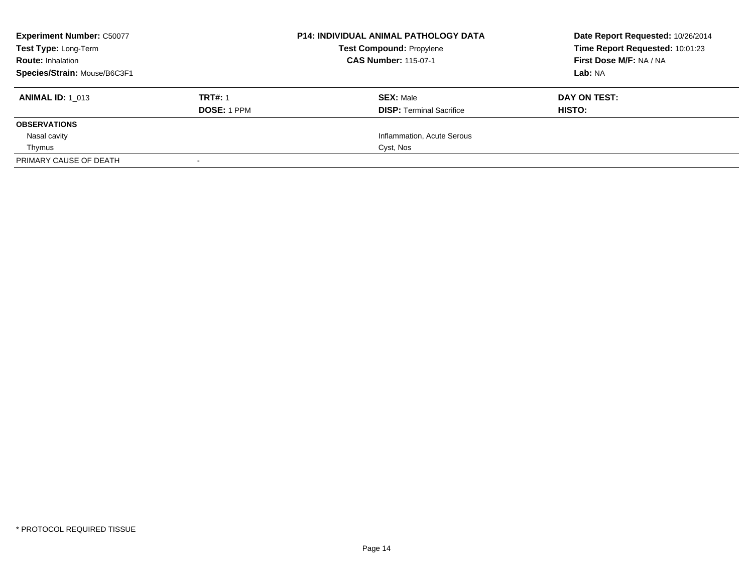| <b>Experiment Number: C50077</b> |                    | <b>P14: INDIVIDUAL ANIMAL PATHOLOGY DATA</b> | Date Report Requested: 10/26/2014 |
|----------------------------------|--------------------|----------------------------------------------|-----------------------------------|
| Test Type: Long-Term             |                    | <b>Test Compound: Propylene</b>              | Time Report Requested: 10:01:23   |
| <b>Route: Inhalation</b>         |                    | <b>CAS Number: 115-07-1</b>                  | First Dose M/F: NA / NA           |
| Species/Strain: Mouse/B6C3F1     |                    |                                              | Lab: NA                           |
| <b>ANIMAL ID: 1 013</b>          | <b>TRT#: 1</b>     | <b>SEX: Male</b>                             | DAY ON TEST:                      |
|                                  | <b>DOSE: 1 PPM</b> | <b>DISP:</b> Terminal Sacrifice              | HISTO:                            |
| <b>OBSERVATIONS</b>              |                    |                                              |                                   |
| Nasal cavity                     |                    | Inflammation, Acute Serous                   |                                   |
| Thymus                           |                    | Cyst, Nos                                    |                                   |
| PRIMARY CAUSE OF DEATH           | $\sim$             |                                              |                                   |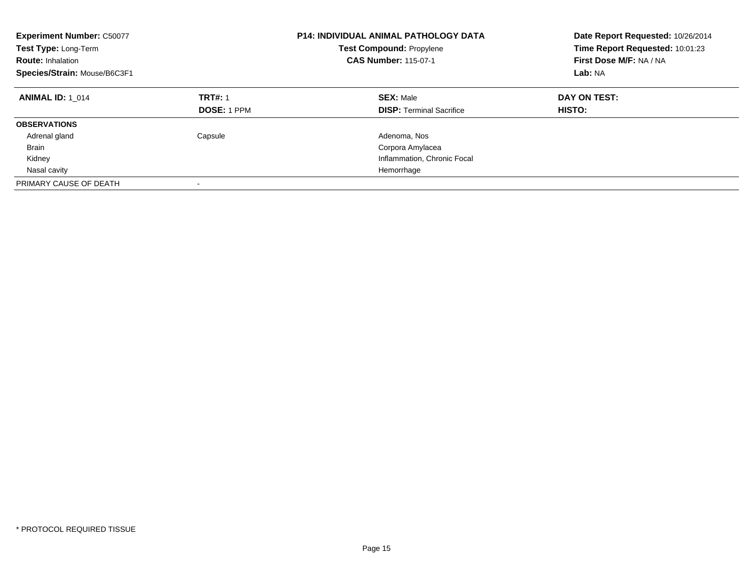| <b>Experiment Number: C50077</b><br>Test Type: Long-Term<br><b>Route: Inhalation</b><br>Species/Strain: Mouse/B6C3F1 |                                      | <b>P14: INDIVIDUAL ANIMAL PATHOLOGY DATA</b><br><b>Test Compound: Propylene</b><br><b>CAS Number: 115-07-1</b> | Date Report Requested: 10/26/2014<br>Time Report Requested: 10:01:23<br>First Dose M/F: NA / NA<br>Lab: NA |
|----------------------------------------------------------------------------------------------------------------------|--------------------------------------|----------------------------------------------------------------------------------------------------------------|------------------------------------------------------------------------------------------------------------|
| <b>ANIMAL ID: 1 014</b>                                                                                              | <b>TRT#: 1</b><br><b>DOSE: 1 PPM</b> | <b>SEX: Male</b><br><b>DISP:</b> Terminal Sacrifice                                                            | DAY ON TEST:<br>HISTO:                                                                                     |
| <b>OBSERVATIONS</b>                                                                                                  |                                      |                                                                                                                |                                                                                                            |
| Adrenal gland                                                                                                        | Capsule                              | Adenoma, Nos                                                                                                   |                                                                                                            |
| <b>Brain</b>                                                                                                         |                                      | Corpora Amylacea                                                                                               |                                                                                                            |
| Kidney                                                                                                               |                                      | Inflammation, Chronic Focal                                                                                    |                                                                                                            |
| Nasal cavity                                                                                                         |                                      | Hemorrhage                                                                                                     |                                                                                                            |
| PRIMARY CAUSE OF DEATH                                                                                               | -                                    |                                                                                                                |                                                                                                            |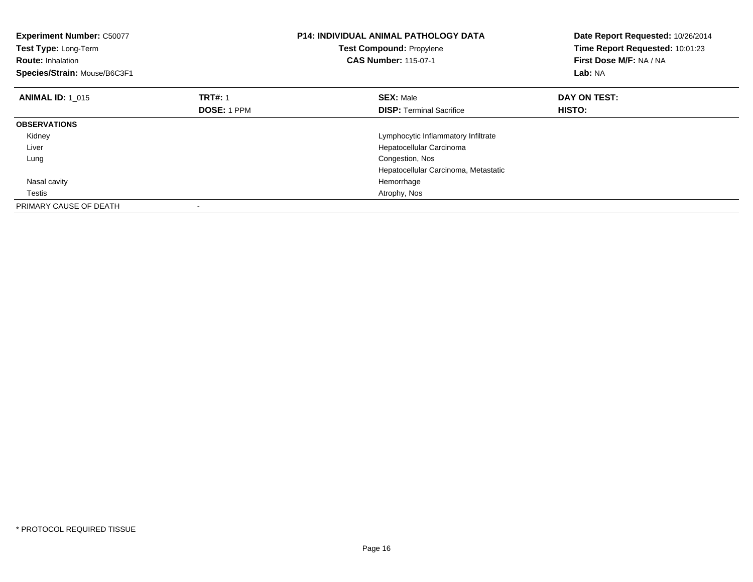| <b>Experiment Number: C50077</b><br>Test Type: Long-Term<br><b>Route: Inhalation</b><br>Species/Strain: Mouse/B6C3F1 |                    | <b>P14: INDIVIDUAL ANIMAL PATHOLOGY DATA</b><br>Test Compound: Propylene<br><b>CAS Number: 115-07-1</b> | Date Report Requested: 10/26/2014<br>Time Report Requested: 10:01:23<br>First Dose M/F: NA / NA<br>Lab: NA |
|----------------------------------------------------------------------------------------------------------------------|--------------------|---------------------------------------------------------------------------------------------------------|------------------------------------------------------------------------------------------------------------|
| <b>ANIMAL ID: 1 015</b>                                                                                              | <b>TRT#: 1</b>     | <b>SEX: Male</b>                                                                                        | DAY ON TEST:                                                                                               |
|                                                                                                                      | <b>DOSE: 1 PPM</b> | <b>DISP:</b> Terminal Sacrifice                                                                         | HISTO:                                                                                                     |
| <b>OBSERVATIONS</b>                                                                                                  |                    |                                                                                                         |                                                                                                            |
| Kidney                                                                                                               |                    | Lymphocytic Inflammatory Infiltrate                                                                     |                                                                                                            |
| Liver                                                                                                                |                    | Hepatocellular Carcinoma                                                                                |                                                                                                            |
| Lung                                                                                                                 |                    | Congestion, Nos                                                                                         |                                                                                                            |
|                                                                                                                      |                    | Hepatocellular Carcinoma, Metastatic                                                                    |                                                                                                            |
| Nasal cavity                                                                                                         |                    | Hemorrhage                                                                                              |                                                                                                            |
| Testis                                                                                                               |                    | Atrophy, Nos                                                                                            |                                                                                                            |
| PRIMARY CAUSE OF DEATH                                                                                               |                    |                                                                                                         |                                                                                                            |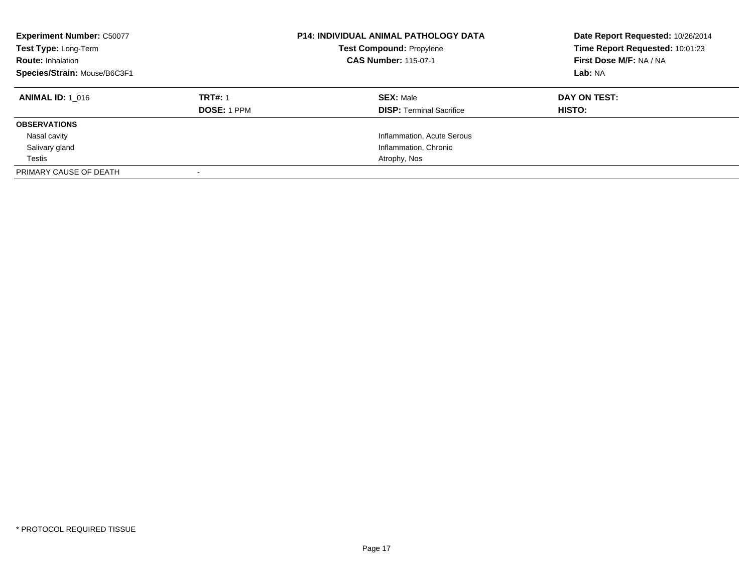| <b>Experiment Number: C50077</b><br>Test Type: Long-Term<br><b>Route: Inhalation</b><br>Species/Strain: Mouse/B6C3F1 |                    | <b>P14: INDIVIDUAL ANIMAL PATHOLOGY DATA</b><br><b>Test Compound: Propylene</b><br><b>CAS Number: 115-07-1</b> | Date Report Requested: 10/26/2014<br>Time Report Requested: 10:01:23<br>First Dose M/F: NA / NA<br>Lab: NA |
|----------------------------------------------------------------------------------------------------------------------|--------------------|----------------------------------------------------------------------------------------------------------------|------------------------------------------------------------------------------------------------------------|
| <b>ANIMAL ID:</b> 1 016                                                                                              | <b>TRT#: 1</b>     | <b>SEX: Male</b>                                                                                               | DAY ON TEST:                                                                                               |
|                                                                                                                      | <b>DOSE: 1 PPM</b> | <b>DISP:</b> Terminal Sacrifice                                                                                | HISTO:                                                                                                     |
| <b>OBSERVATIONS</b>                                                                                                  |                    |                                                                                                                |                                                                                                            |
| Nasal cavity                                                                                                         |                    | Inflammation, Acute Serous                                                                                     |                                                                                                            |
| Salivary gland                                                                                                       |                    | Inflammation, Chronic                                                                                          |                                                                                                            |
| Testis                                                                                                               |                    | Atrophy, Nos                                                                                                   |                                                                                                            |
| PRIMARY CAUSE OF DEATH                                                                                               |                    |                                                                                                                |                                                                                                            |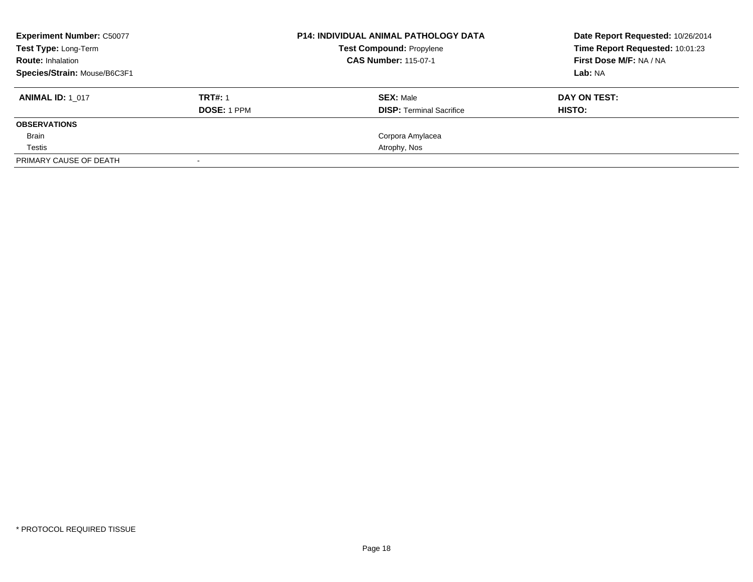| <b>Experiment Number: C50077</b><br>Test Type: Long-Term<br><b>Route: Inhalation</b> |                    | <b>P14: INDIVIDUAL ANIMAL PATHOLOGY DATA</b><br><b>Test Compound: Propylene</b><br><b>CAS Number: 115-07-1</b> | Date Report Requested: 10/26/2014<br>Time Report Requested: 10:01:23<br>First Dose M/F: NA / NA |
|--------------------------------------------------------------------------------------|--------------------|----------------------------------------------------------------------------------------------------------------|-------------------------------------------------------------------------------------------------|
| Species/Strain: Mouse/B6C3F1                                                         |                    |                                                                                                                | Lab: NA                                                                                         |
| <b>ANIMAL ID: 1 017</b>                                                              | <b>TRT#: 1</b>     | <b>SEX: Male</b>                                                                                               | DAY ON TEST:                                                                                    |
|                                                                                      | <b>DOSE: 1 PPM</b> | <b>DISP:</b> Terminal Sacrifice                                                                                | HISTO:                                                                                          |
| <b>OBSERVATIONS</b>                                                                  |                    |                                                                                                                |                                                                                                 |
| Brain                                                                                |                    | Corpora Amylacea                                                                                               |                                                                                                 |
| Testis                                                                               |                    | Atrophy, Nos                                                                                                   |                                                                                                 |
| PRIMARY CAUSE OF DEATH                                                               |                    |                                                                                                                |                                                                                                 |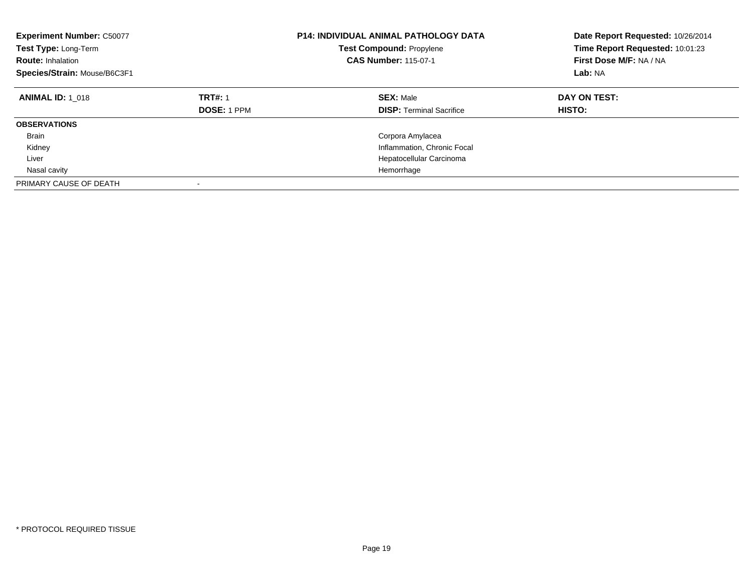| <b>Experiment Number: C50077</b><br>Test Type: Long-Term<br><b>Route: Inhalation</b><br>Species/Strain: Mouse/B6C3F1 |                                      | <b>P14: INDIVIDUAL ANIMAL PATHOLOGY DATA</b><br><b>Test Compound: Propylene</b><br><b>CAS Number: 115-07-1</b> | Date Report Requested: 10/26/2014<br>Time Report Requested: 10:01:23<br>First Dose M/F: NA / NA<br>Lab: NA |
|----------------------------------------------------------------------------------------------------------------------|--------------------------------------|----------------------------------------------------------------------------------------------------------------|------------------------------------------------------------------------------------------------------------|
| <b>ANIMAL ID: 1 018</b>                                                                                              | <b>TRT#: 1</b><br><b>DOSE: 1 PPM</b> | <b>SEX: Male</b><br><b>DISP: Terminal Sacrifice</b>                                                            | DAY ON TEST:<br>HISTO:                                                                                     |
| <b>OBSERVATIONS</b>                                                                                                  |                                      |                                                                                                                |                                                                                                            |
| <b>Brain</b>                                                                                                         |                                      | Corpora Amylacea                                                                                               |                                                                                                            |
| Kidney                                                                                                               |                                      | Inflammation, Chronic Focal                                                                                    |                                                                                                            |
| Liver                                                                                                                |                                      | Hepatocellular Carcinoma                                                                                       |                                                                                                            |
| Nasal cavity                                                                                                         |                                      | Hemorrhage                                                                                                     |                                                                                                            |
| PRIMARY CAUSE OF DEATH                                                                                               |                                      |                                                                                                                |                                                                                                            |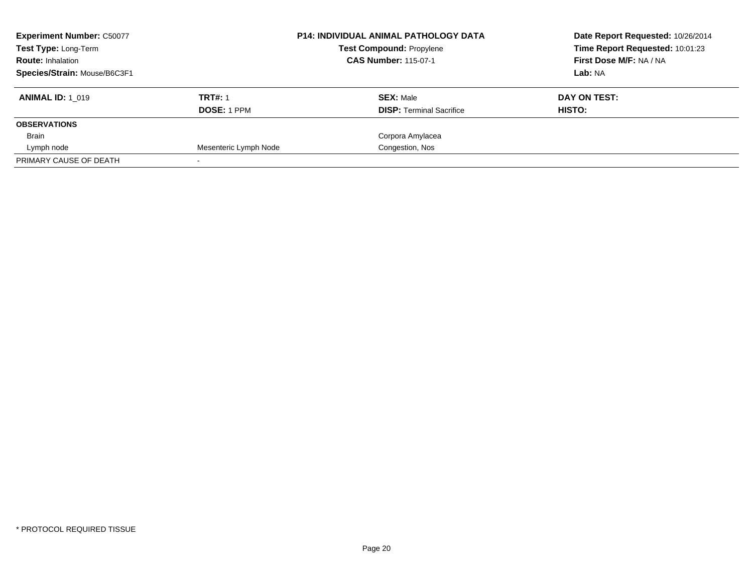| <b>Experiment Number: C50077</b><br><b>Test Type: Long-Term</b><br><b>Route: Inhalation</b> |                       | <b>P14: INDIVIDUAL ANIMAL PATHOLOGY DATA</b><br><b>Test Compound: Propylene</b><br><b>CAS Number: 115-07-1</b> | Date Report Requested: 10/26/2014<br>Time Report Requested: 10:01:23<br>First Dose M/F: NA / NA |
|---------------------------------------------------------------------------------------------|-----------------------|----------------------------------------------------------------------------------------------------------------|-------------------------------------------------------------------------------------------------|
| Species/Strain: Mouse/B6C3F1                                                                |                       |                                                                                                                | Lab: NA                                                                                         |
| <b>ANIMAL ID: 1 019</b>                                                                     | <b>TRT#: 1</b>        | <b>SEX: Male</b>                                                                                               | DAY ON TEST:                                                                                    |
|                                                                                             | <b>DOSE: 1 PPM</b>    | <b>DISP:</b> Terminal Sacrifice                                                                                | HISTO:                                                                                          |
| <b>OBSERVATIONS</b>                                                                         |                       |                                                                                                                |                                                                                                 |
| Brain                                                                                       |                       | Corpora Amylacea                                                                                               |                                                                                                 |
| Lymph node                                                                                  | Mesenteric Lymph Node | Congestion, Nos                                                                                                |                                                                                                 |
| PRIMARY CAUSE OF DEATH                                                                      |                       |                                                                                                                |                                                                                                 |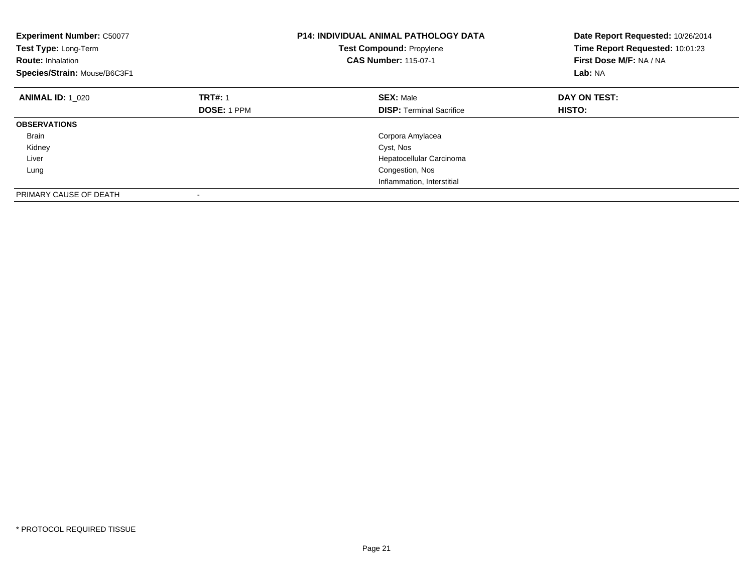| <b>Experiment Number: C50077</b><br>Test Type: Long-Term<br><b>Route: Inhalation</b><br>Species/Strain: Mouse/B6C3F1 |                    | <b>P14: INDIVIDUAL ANIMAL PATHOLOGY DATA</b><br><b>Test Compound: Propylene</b><br><b>CAS Number: 115-07-1</b> | Date Report Requested: 10/26/2014<br>Time Report Requested: 10:01:23<br>First Dose M/F: NA / NA<br><b>Lab: NA</b> |
|----------------------------------------------------------------------------------------------------------------------|--------------------|----------------------------------------------------------------------------------------------------------------|-------------------------------------------------------------------------------------------------------------------|
| <b>ANIMAL ID: 1 020</b>                                                                                              | <b>TRT#: 1</b>     | <b>SEX: Male</b>                                                                                               | DAY ON TEST:                                                                                                      |
|                                                                                                                      | <b>DOSE: 1 PPM</b> | <b>DISP:</b> Terminal Sacrifice                                                                                | <b>HISTO:</b>                                                                                                     |
| <b>OBSERVATIONS</b>                                                                                                  |                    |                                                                                                                |                                                                                                                   |
| <b>Brain</b>                                                                                                         |                    | Corpora Amylacea                                                                                               |                                                                                                                   |
| Kidney                                                                                                               |                    | Cyst, Nos                                                                                                      |                                                                                                                   |
| Liver                                                                                                                |                    | Hepatocellular Carcinoma                                                                                       |                                                                                                                   |
| Lung                                                                                                                 |                    | Congestion, Nos                                                                                                |                                                                                                                   |
|                                                                                                                      |                    | Inflammation, Interstitial                                                                                     |                                                                                                                   |
| PRIMARY CAUSE OF DEATH                                                                                               |                    |                                                                                                                |                                                                                                                   |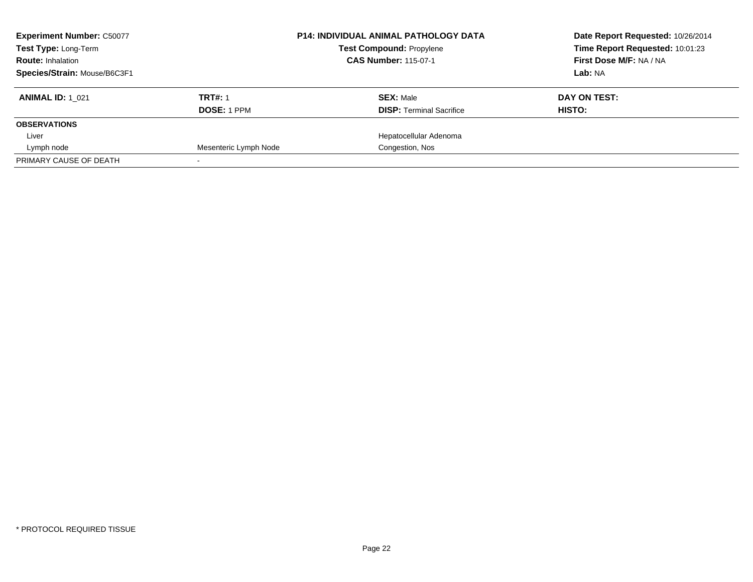| <b>Experiment Number: C50077</b><br>Test Type: Long-Term<br><b>Route: Inhalation</b> |                       | <b>P14: INDIVIDUAL ANIMAL PATHOLOGY DATA</b><br><b>Test Compound: Propylene</b><br><b>CAS Number: 115-07-1</b> | Date Report Requested: 10/26/2014<br>Time Report Requested: 10:01:23<br>First Dose M/F: NA / NA |
|--------------------------------------------------------------------------------------|-----------------------|----------------------------------------------------------------------------------------------------------------|-------------------------------------------------------------------------------------------------|
| Species/Strain: Mouse/B6C3F1                                                         |                       |                                                                                                                | Lab: NA                                                                                         |
| <b>ANIMAL ID: 1 021</b>                                                              | <b>TRT#: 1</b>        | <b>SEX: Male</b>                                                                                               | DAY ON TEST:                                                                                    |
|                                                                                      | <b>DOSE: 1 PPM</b>    | <b>DISP:</b> Terminal Sacrifice                                                                                | HISTO:                                                                                          |
| <b>OBSERVATIONS</b>                                                                  |                       |                                                                                                                |                                                                                                 |
| Liver                                                                                |                       | Hepatocellular Adenoma                                                                                         |                                                                                                 |
| Lymph node                                                                           | Mesenteric Lymph Node | Congestion, Nos                                                                                                |                                                                                                 |
| PRIMARY CAUSE OF DEATH                                                               |                       |                                                                                                                |                                                                                                 |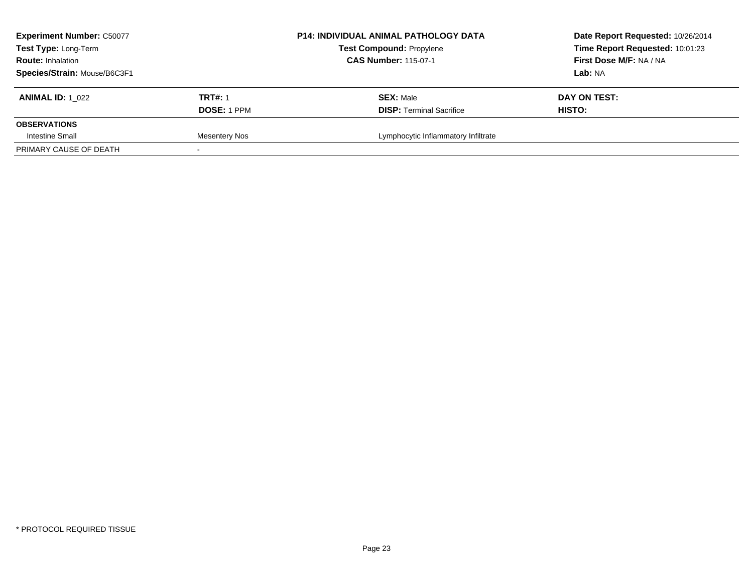| <b>Experiment Number: C50077</b><br>Test Type: Long-Term<br><b>Route: Inhalation</b><br>Species/Strain: Mouse/B6C3F1 |                                      | <b>P14: INDIVIDUAL ANIMAL PATHOLOGY DATA</b><br><b>Test Compound: Propylene</b><br><b>CAS Number: 115-07-1</b> | Date Report Requested: 10/26/2014<br>Time Report Requested: 10:01:23<br>First Dose M/F: NA / NA<br>Lab: NA |
|----------------------------------------------------------------------------------------------------------------------|--------------------------------------|----------------------------------------------------------------------------------------------------------------|------------------------------------------------------------------------------------------------------------|
| <b>ANIMAL ID: 1 022</b>                                                                                              | <b>TRT#: 1</b><br><b>DOSE: 1 PPM</b> | <b>SEX: Male</b><br><b>DISP: Terminal Sacrifice</b>                                                            | DAY ON TEST:<br><b>HISTO:</b>                                                                              |
| <b>OBSERVATIONS</b>                                                                                                  |                                      |                                                                                                                |                                                                                                            |
| Intestine Small                                                                                                      | Mesentery Nos                        | Lymphocytic Inflammatory Infiltrate                                                                            |                                                                                                            |
| PRIMARY CAUSE OF DEATH                                                                                               |                                      |                                                                                                                |                                                                                                            |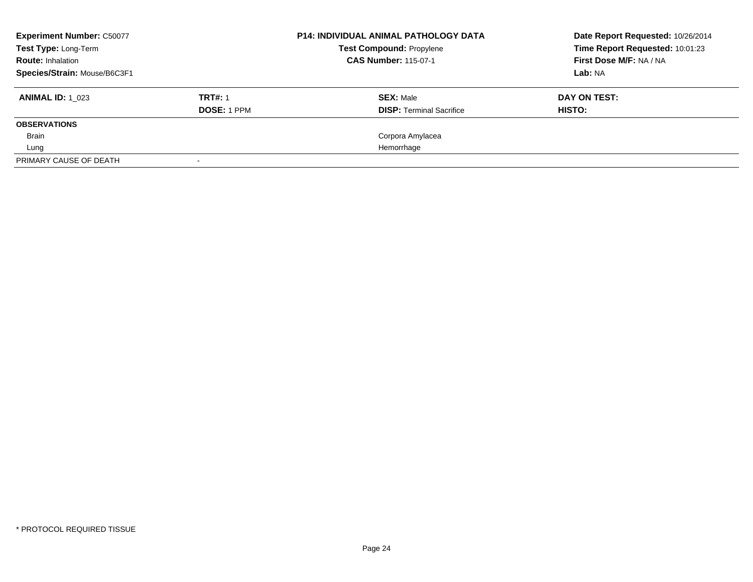| <b>Experiment Number: C50077</b><br>Test Type: Long-Term<br><b>Route: Inhalation</b> |                    | <b>P14: INDIVIDUAL ANIMAL PATHOLOGY DATA</b><br><b>Test Compound: Propylene</b><br><b>CAS Number: 115-07-1</b> | Date Report Requested: 10/26/2014<br>Time Report Requested: 10:01:23<br>First Dose M/F: NA / NA |
|--------------------------------------------------------------------------------------|--------------------|----------------------------------------------------------------------------------------------------------------|-------------------------------------------------------------------------------------------------|
| Species/Strain: Mouse/B6C3F1                                                         |                    |                                                                                                                | Lab: NA                                                                                         |
| <b>ANIMAL ID:</b> 1 023                                                              | <b>TRT#: 1</b>     | <b>SEX: Male</b>                                                                                               | DAY ON TEST:                                                                                    |
|                                                                                      | <b>DOSE: 1 PPM</b> | <b>DISP:</b> Terminal Sacrifice                                                                                | HISTO:                                                                                          |
| <b>OBSERVATIONS</b>                                                                  |                    |                                                                                                                |                                                                                                 |
| Brain                                                                                |                    | Corpora Amylacea                                                                                               |                                                                                                 |
| Lung                                                                                 |                    | Hemorrhage                                                                                                     |                                                                                                 |
| PRIMARY CAUSE OF DEATH                                                               |                    |                                                                                                                |                                                                                                 |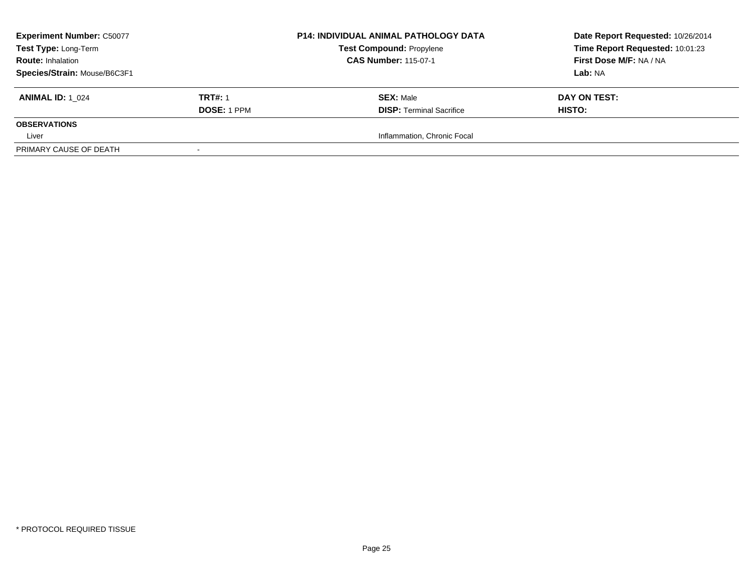| <b>Experiment Number: C50077</b> |                          | <b>P14: INDIVIDUAL ANIMAL PATHOLOGY DATA</b> | Date Report Requested: 10/26/2014 |
|----------------------------------|--------------------------|----------------------------------------------|-----------------------------------|
| Test Type: Long-Term             |                          | <b>Test Compound: Propylene</b>              | Time Report Requested: 10:01:23   |
| <b>Route: Inhalation</b>         |                          | <b>CAS Number: 115-07-1</b>                  | First Dose M/F: NA / NA           |
| Species/Strain: Mouse/B6C3F1     |                          |                                              | Lab: NA                           |
| <b>ANIMAL ID: 1 024</b>          | <b>TRT#: 1</b>           | <b>SEX: Male</b>                             | DAY ON TEST:                      |
|                                  | DOSE: 1 PPM              | <b>DISP: Terminal Sacrifice</b>              | <b>HISTO:</b>                     |
| <b>OBSERVATIONS</b>              |                          |                                              |                                   |
| Liver                            |                          | Inflammation, Chronic Focal                  |                                   |
| PRIMARY CAUSE OF DEATH           | $\overline{\phantom{a}}$ |                                              |                                   |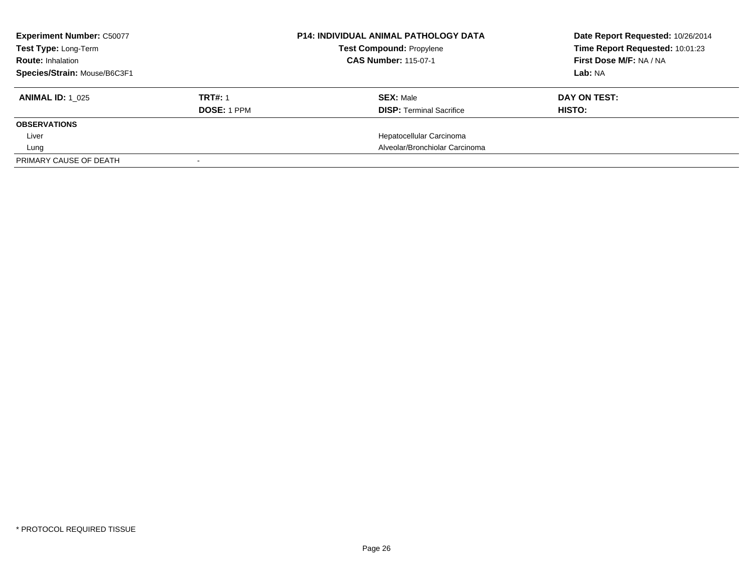| <b>Experiment Number: C50077</b><br>Test Type: Long-Term<br><b>Route: Inhalation</b> |                    | <b>P14: INDIVIDUAL ANIMAL PATHOLOGY DATA</b><br><b>Test Compound: Propylene</b><br><b>CAS Number: 115-07-1</b> | Date Report Requested: 10/26/2014<br>Time Report Requested: 10:01:23<br>First Dose M/F: NA / NA |
|--------------------------------------------------------------------------------------|--------------------|----------------------------------------------------------------------------------------------------------------|-------------------------------------------------------------------------------------------------|
| Species/Strain: Mouse/B6C3F1                                                         |                    |                                                                                                                | Lab: NA                                                                                         |
| <b>ANIMAL ID:</b> 1 025                                                              | <b>TRT#: 1</b>     | <b>SEX: Male</b>                                                                                               | DAY ON TEST:                                                                                    |
|                                                                                      | <b>DOSE: 1 PPM</b> | <b>DISP:</b> Terminal Sacrifice                                                                                | HISTO:                                                                                          |
| <b>OBSERVATIONS</b>                                                                  |                    |                                                                                                                |                                                                                                 |
| Liver                                                                                |                    | Hepatocellular Carcinoma                                                                                       |                                                                                                 |
| Lung                                                                                 |                    | Alveolar/Bronchiolar Carcinoma                                                                                 |                                                                                                 |
| PRIMARY CAUSE OF DEATH                                                               |                    |                                                                                                                |                                                                                                 |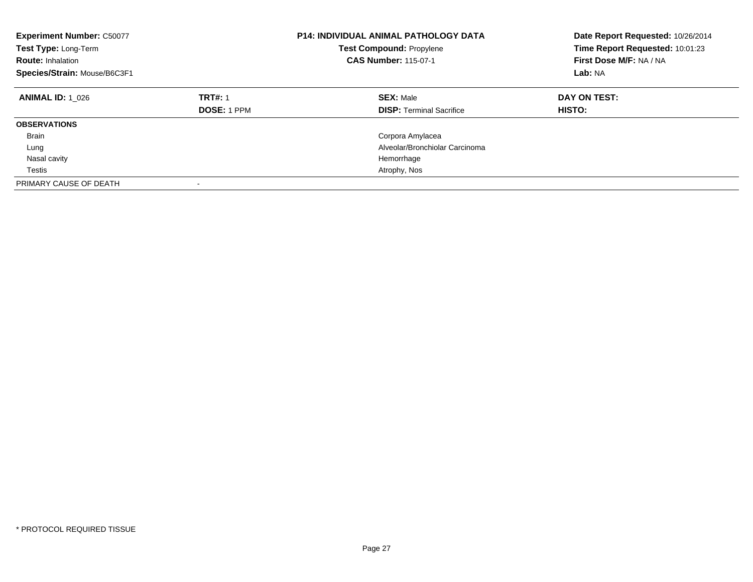| <b>Experiment Number: C50077</b><br>Test Type: Long-Term<br><b>Route: Inhalation</b><br>Species/Strain: Mouse/B6C3F1 |                                      | <b>P14: INDIVIDUAL ANIMAL PATHOLOGY DATA</b><br><b>Test Compound: Propylene</b><br><b>CAS Number: 115-07-1</b> | Date Report Requested: 10/26/2014<br>Time Report Requested: 10:01:23<br>First Dose M/F: NA / NA<br>Lab: NA |
|----------------------------------------------------------------------------------------------------------------------|--------------------------------------|----------------------------------------------------------------------------------------------------------------|------------------------------------------------------------------------------------------------------------|
| <b>ANIMAL ID: 1 026</b>                                                                                              | <b>TRT#: 1</b><br><b>DOSE: 1 PPM</b> | <b>SEX: Male</b><br><b>DISP: Terminal Sacrifice</b>                                                            | DAY ON TEST:<br>HISTO:                                                                                     |
| <b>OBSERVATIONS</b>                                                                                                  |                                      |                                                                                                                |                                                                                                            |
| <b>Brain</b>                                                                                                         |                                      | Corpora Amylacea                                                                                               |                                                                                                            |
| Lung                                                                                                                 |                                      | Alveolar/Bronchiolar Carcinoma                                                                                 |                                                                                                            |
| Nasal cavity                                                                                                         |                                      | Hemorrhage                                                                                                     |                                                                                                            |
| Testis                                                                                                               |                                      | Atrophy, Nos                                                                                                   |                                                                                                            |
| PRIMARY CAUSE OF DEATH                                                                                               | ٠                                    |                                                                                                                |                                                                                                            |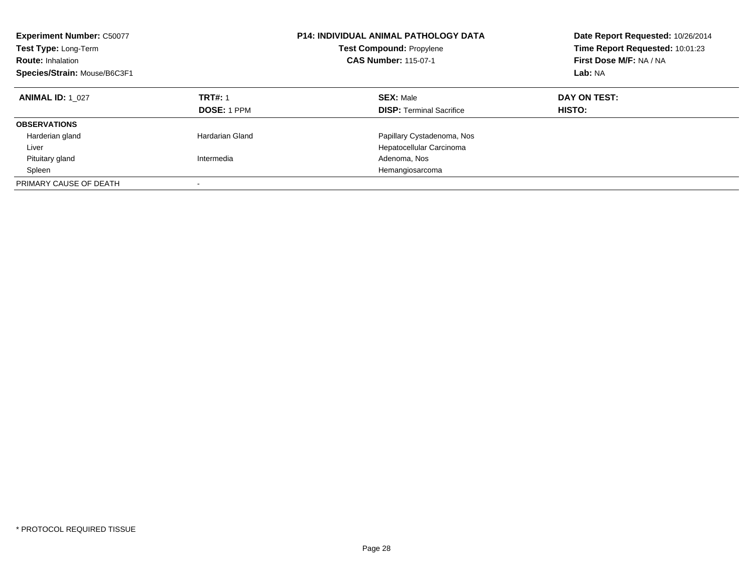| <b>Experiment Number: C50077</b><br>Test Type: Long-Term<br><b>Route: Inhalation</b><br>Species/Strain: Mouse/B6C3F1 |                               | <b>P14: INDIVIDUAL ANIMAL PATHOLOGY DATA</b><br>Test Compound: Propylene<br><b>CAS Number: 115-07-1</b> | Date Report Requested: 10/26/2014<br>Time Report Requested: 10:01:23<br>First Dose M/F: NA / NA<br>Lab: NA |
|----------------------------------------------------------------------------------------------------------------------|-------------------------------|---------------------------------------------------------------------------------------------------------|------------------------------------------------------------------------------------------------------------|
| <b>ANIMAL ID: 1 027</b>                                                                                              | <b>TRT#: 1</b><br>DOSE: 1 PPM | <b>SEX: Male</b><br><b>DISP:</b> Terminal Sacrifice                                                     | DAY ON TEST:<br>HISTO:                                                                                     |
| <b>OBSERVATIONS</b>                                                                                                  |                               |                                                                                                         |                                                                                                            |
| Harderian gland                                                                                                      | Hardarian Gland               | Papillary Cystadenoma, Nos                                                                              |                                                                                                            |
| Liver                                                                                                                |                               | Hepatocellular Carcinoma                                                                                |                                                                                                            |
| Pituitary gland                                                                                                      | Intermedia                    | Adenoma, Nos                                                                                            |                                                                                                            |
| Spleen                                                                                                               |                               | Hemangiosarcoma                                                                                         |                                                                                                            |
| PRIMARY CAUSE OF DEATH                                                                                               |                               |                                                                                                         |                                                                                                            |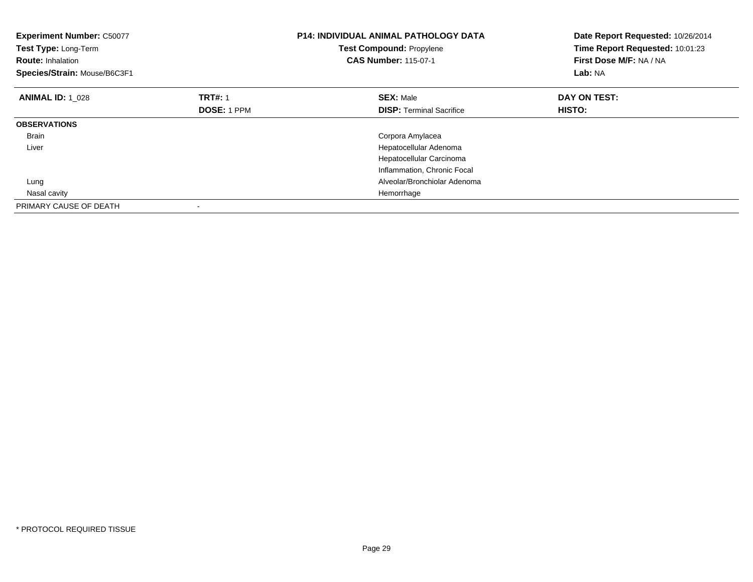| <b>Experiment Number: C50077</b><br>Test Type: Long-Term<br><b>Route: Inhalation</b><br>Species/Strain: Mouse/B6C3F1 |                    | <b>P14: INDIVIDUAL ANIMAL PATHOLOGY DATA</b><br>Test Compound: Propylene<br><b>CAS Number: 115-07-1</b> | Date Report Requested: 10/26/2014<br>Time Report Requested: 10:01:23<br>First Dose M/F: NA / NA<br>Lab: NA |
|----------------------------------------------------------------------------------------------------------------------|--------------------|---------------------------------------------------------------------------------------------------------|------------------------------------------------------------------------------------------------------------|
| <b>ANIMAL ID: 1 028</b>                                                                                              | <b>TRT#: 1</b>     | <b>SEX: Male</b>                                                                                        | DAY ON TEST:                                                                                               |
|                                                                                                                      | <b>DOSE: 1 PPM</b> | <b>DISP:</b> Terminal Sacrifice                                                                         | HISTO:                                                                                                     |
| <b>OBSERVATIONS</b>                                                                                                  |                    |                                                                                                         |                                                                                                            |
| <b>Brain</b>                                                                                                         |                    | Corpora Amylacea                                                                                        |                                                                                                            |
| Liver                                                                                                                |                    | Hepatocellular Adenoma                                                                                  |                                                                                                            |
|                                                                                                                      |                    | Hepatocellular Carcinoma                                                                                |                                                                                                            |
|                                                                                                                      |                    | Inflammation, Chronic Focal                                                                             |                                                                                                            |
| Lung                                                                                                                 |                    | Alveolar/Bronchiolar Adenoma                                                                            |                                                                                                            |
| Nasal cavity                                                                                                         |                    | Hemorrhage                                                                                              |                                                                                                            |
| PRIMARY CAUSE OF DEATH                                                                                               |                    |                                                                                                         |                                                                                                            |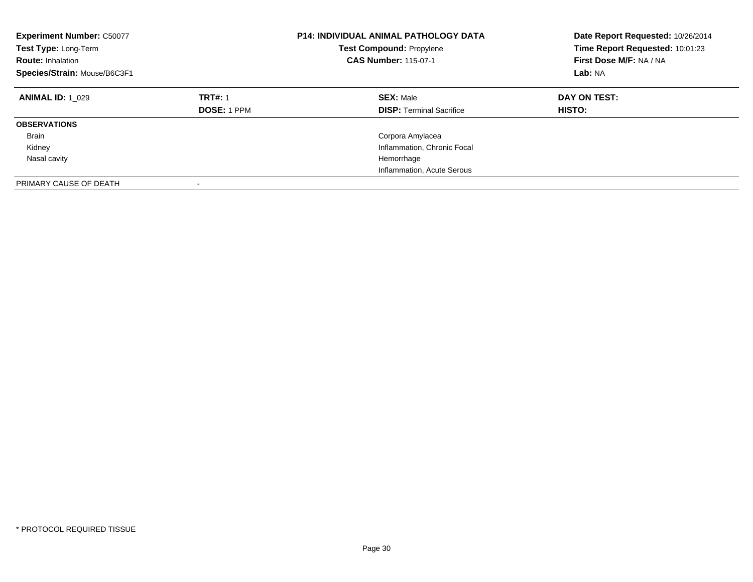| <b>Experiment Number: C50077</b><br>Test Type: Long-Term<br><b>Route: Inhalation</b><br>Species/Strain: Mouse/B6C3F1 |                                      | <b>P14: INDIVIDUAL ANIMAL PATHOLOGY DATA</b><br>Test Compound: Propylene<br><b>CAS Number: 115-07-1</b> | Date Report Requested: 10/26/2014<br>Time Report Requested: 10:01:23<br>First Dose M/F: NA / NA<br>Lab: NA |
|----------------------------------------------------------------------------------------------------------------------|--------------------------------------|---------------------------------------------------------------------------------------------------------|------------------------------------------------------------------------------------------------------------|
| <b>ANIMAL ID: 1 029</b>                                                                                              | <b>TRT#: 1</b><br><b>DOSE: 1 PPM</b> | <b>SEX: Male</b><br><b>DISP: Terminal Sacrifice</b>                                                     | DAY ON TEST:<br><b>HISTO:</b>                                                                              |
| <b>OBSERVATIONS</b>                                                                                                  |                                      |                                                                                                         |                                                                                                            |
| <b>Brain</b>                                                                                                         |                                      | Corpora Amylacea                                                                                        |                                                                                                            |
| Kidney                                                                                                               |                                      | Inflammation, Chronic Focal                                                                             |                                                                                                            |
| Nasal cavity                                                                                                         |                                      | Hemorrhage                                                                                              |                                                                                                            |
|                                                                                                                      |                                      | Inflammation, Acute Serous                                                                              |                                                                                                            |
| PRIMARY CAUSE OF DEATH                                                                                               |                                      |                                                                                                         |                                                                                                            |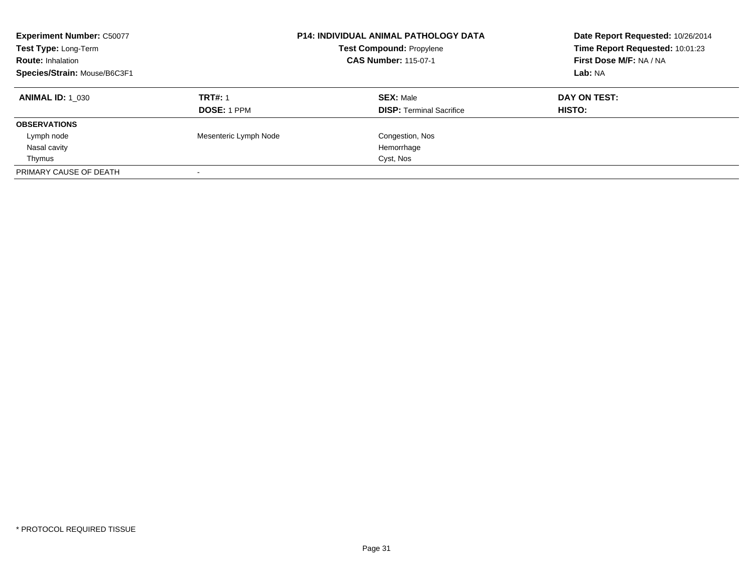| <b>Experiment Number: C50077</b><br>Test Type: Long-Term<br><b>Route: Inhalation</b><br>Species/Strain: Mouse/B6C3F1 |                                      | <b>P14: INDIVIDUAL ANIMAL PATHOLOGY DATA</b><br>Test Compound: Propylene<br><b>CAS Number: 115-07-1</b> | Date Report Requested: 10/26/2014<br>Time Report Requested: 10:01:23<br>First Dose M/F: NA / NA<br>Lab: NA |
|----------------------------------------------------------------------------------------------------------------------|--------------------------------------|---------------------------------------------------------------------------------------------------------|------------------------------------------------------------------------------------------------------------|
| <b>ANIMAL ID:</b> 1 030                                                                                              | <b>TRT#: 1</b><br><b>DOSE: 1 PPM</b> | <b>SEX: Male</b><br><b>DISP:</b> Terminal Sacrifice                                                     | DAY ON TEST:<br>HISTO:                                                                                     |
| <b>OBSERVATIONS</b>                                                                                                  |                                      |                                                                                                         |                                                                                                            |
| Lymph node                                                                                                           | Mesenteric Lymph Node                | Congestion, Nos                                                                                         |                                                                                                            |
| Nasal cavity                                                                                                         |                                      | Hemorrhage                                                                                              |                                                                                                            |
| Thymus                                                                                                               |                                      | Cyst, Nos                                                                                               |                                                                                                            |
| PRIMARY CAUSE OF DEATH                                                                                               |                                      |                                                                                                         |                                                                                                            |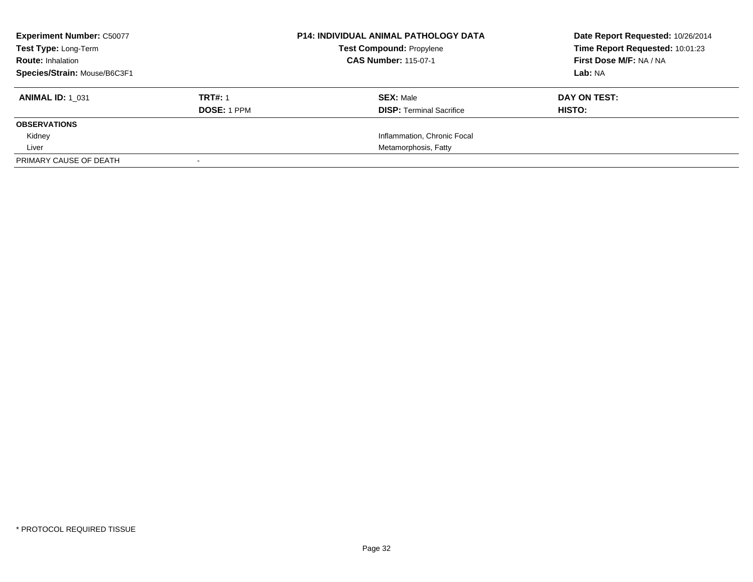| <b>Experiment Number: C50077</b> |                | <b>P14: INDIVIDUAL ANIMAL PATHOLOGY DATA</b> | Date Report Requested: 10/26/2014 |
|----------------------------------|----------------|----------------------------------------------|-----------------------------------|
| <b>Test Type: Long-Term</b>      |                | <b>Test Compound: Propylene</b>              | Time Report Requested: 10:01:23   |
| <b>Route: Inhalation</b>         |                | <b>CAS Number: 115-07-1</b>                  | First Dose M/F: NA / NA           |
| Species/Strain: Mouse/B6C3F1     |                |                                              | Lab: NA                           |
| <b>ANIMAL ID: 1 031</b>          | <b>TRT#: 1</b> | <b>SEX: Male</b>                             | DAY ON TEST:                      |
|                                  | DOSE: 1 PPM    | <b>DISP:</b> Terminal Sacrifice              | HISTO:                            |
| <b>OBSERVATIONS</b>              |                |                                              |                                   |
| Kidney                           |                | Inflammation, Chronic Focal                  |                                   |
| Liver                            |                | Metamorphosis, Fatty                         |                                   |
| PRIMARY CAUSE OF DEATH           |                |                                              |                                   |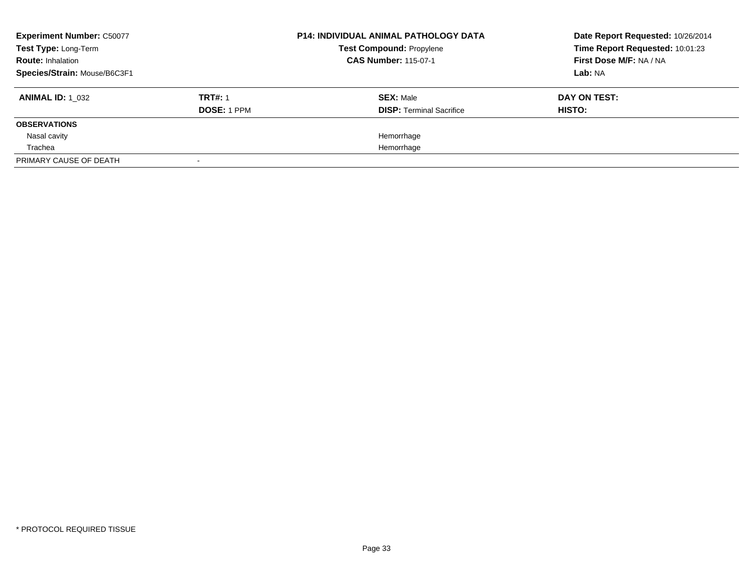| <b>Experiment Number: C50077</b><br>Test Type: Long-Term |                | <b>P14: INDIVIDUAL ANIMAL PATHOLOGY DATA</b><br><b>Test Compound: Propylene</b> | Date Report Requested: 10/26/2014<br>Time Report Requested: 10:01:23 |
|----------------------------------------------------------|----------------|---------------------------------------------------------------------------------|----------------------------------------------------------------------|
| <b>Route: Inhalation</b>                                 |                | <b>CAS Number: 115-07-1</b>                                                     | First Dose M/F: NA / NA                                              |
| Species/Strain: Mouse/B6C3F1                             |                |                                                                                 | Lab: NA                                                              |
| <b>ANIMAL ID: 1 032</b>                                  | <b>TRT#: 1</b> | <b>SEX: Male</b>                                                                | DAY ON TEST:                                                         |
|                                                          | DOSE: 1 PPM    | <b>DISP:</b> Terminal Sacrifice                                                 | HISTO:                                                               |
| <b>OBSERVATIONS</b>                                      |                |                                                                                 |                                                                      |
| Nasal cavity                                             |                | Hemorrhage                                                                      |                                                                      |
| Trachea                                                  |                | Hemorrhage                                                                      |                                                                      |
| PRIMARY CAUSE OF DEATH                                   |                |                                                                                 |                                                                      |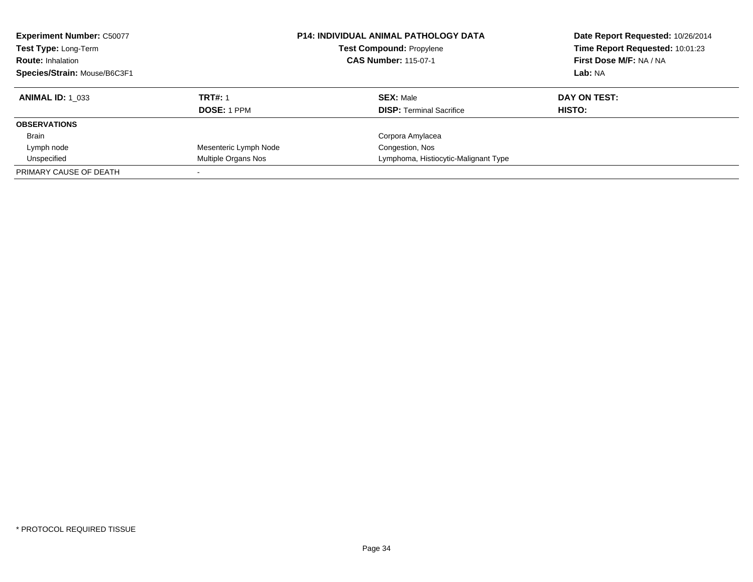| <b>Experiment Number: C50077</b><br><b>Test Type: Long-Term</b><br><b>Route: Inhalation</b><br>Species/Strain: Mouse/B6C3F1 |                       | <b>P14: INDIVIDUAL ANIMAL PATHOLOGY DATA</b><br><b>Test Compound: Propylene</b><br><b>CAS Number: 115-07-1</b> | Date Report Requested: 10/26/2014<br>Time Report Requested: 10:01:23<br>First Dose M/F: NA / NA<br>Lab: NA |
|-----------------------------------------------------------------------------------------------------------------------------|-----------------------|----------------------------------------------------------------------------------------------------------------|------------------------------------------------------------------------------------------------------------|
| <b>ANIMAL ID:</b> 1 033                                                                                                     | <b>TRT#: 1</b>        | <b>SEX: Male</b>                                                                                               | DAY ON TEST:                                                                                               |
|                                                                                                                             | <b>DOSE: 1 PPM</b>    | <b>DISP:</b> Terminal Sacrifice                                                                                | HISTO:                                                                                                     |
| <b>OBSERVATIONS</b>                                                                                                         |                       |                                                                                                                |                                                                                                            |
| <b>Brain</b>                                                                                                                |                       | Corpora Amylacea                                                                                               |                                                                                                            |
| Lymph node                                                                                                                  | Mesenteric Lymph Node | Congestion, Nos                                                                                                |                                                                                                            |
| Unspecified                                                                                                                 | Multiple Organs Nos   | Lymphoma, Histiocytic-Malignant Type                                                                           |                                                                                                            |
| PRIMARY CAUSE OF DEATH                                                                                                      |                       |                                                                                                                |                                                                                                            |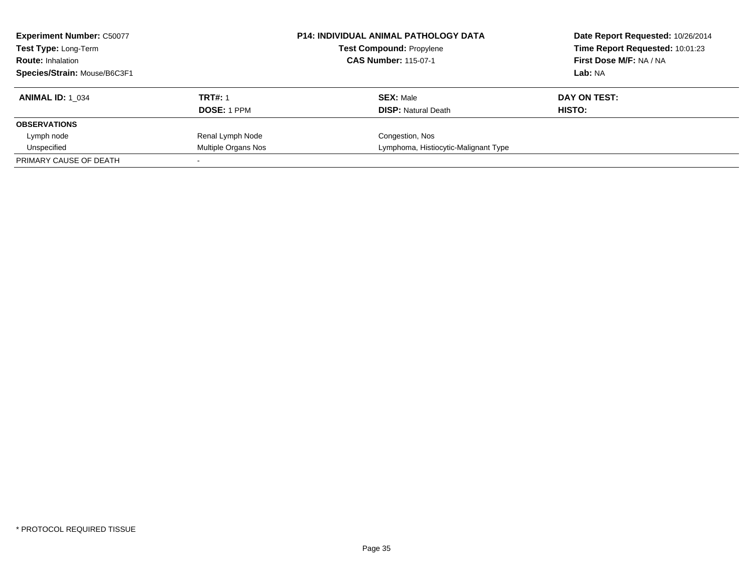| <b>Experiment Number: C50077</b><br>Test Type: Long-Term<br><b>Route: Inhalation</b><br>Species/Strain: Mouse/B6C3F1 |                               | <b>P14: INDIVIDUAL ANIMAL PATHOLOGY DATA</b><br><b>Test Compound: Propylene</b><br><b>CAS Number: 115-07-1</b> | Date Report Requested: 10/26/2014<br>Time Report Requested: 10:01:23<br>First Dose M/F: NA / NA<br>Lab: NA |
|----------------------------------------------------------------------------------------------------------------------|-------------------------------|----------------------------------------------------------------------------------------------------------------|------------------------------------------------------------------------------------------------------------|
| <b>ANIMAL ID: 1 034</b>                                                                                              | <b>TRT#: 1</b><br>DOSE: 1 PPM | <b>SEX: Male</b><br><b>DISP:</b> Natural Death                                                                 | DAY ON TEST:<br>HISTO:                                                                                     |
| <b>OBSERVATIONS</b>                                                                                                  |                               |                                                                                                                |                                                                                                            |
| Lymph node                                                                                                           | Renal Lymph Node              | Congestion, Nos                                                                                                |                                                                                                            |
| Unspecified                                                                                                          | Multiple Organs Nos           | Lymphoma, Histiocytic-Malignant Type                                                                           |                                                                                                            |
| PRIMARY CAUSE OF DEATH                                                                                               |                               |                                                                                                                |                                                                                                            |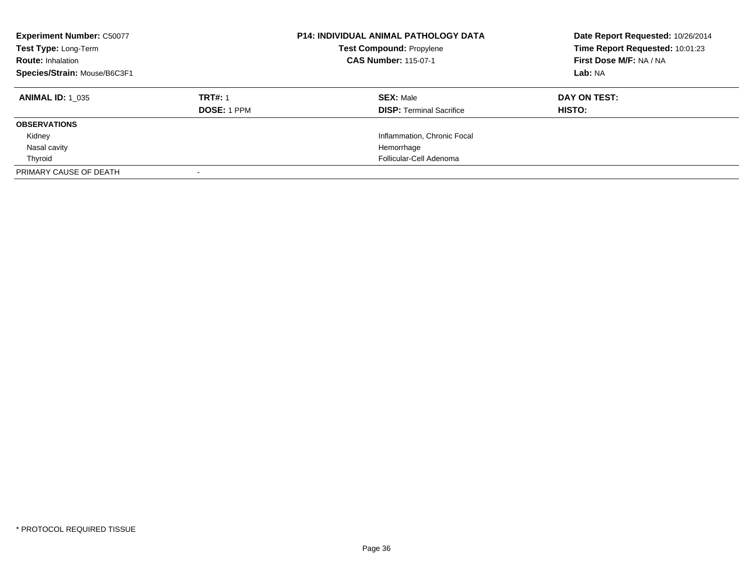| <b>Experiment Number: C50077</b><br>Test Type: Long-Term<br><b>Route: Inhalation</b><br>Species/Strain: Mouse/B6C3F1 |                    | <b>P14: INDIVIDUAL ANIMAL PATHOLOGY DATA</b><br><b>Test Compound: Propylene</b><br><b>CAS Number: 115-07-1</b> | Date Report Requested: 10/26/2014<br>Time Report Requested: 10:01:23<br>First Dose M/F: NA / NA<br>Lab: NA |
|----------------------------------------------------------------------------------------------------------------------|--------------------|----------------------------------------------------------------------------------------------------------------|------------------------------------------------------------------------------------------------------------|
| <b>ANIMAL ID: 1 035</b>                                                                                              | <b>TRT#: 1</b>     | <b>SEX: Male</b>                                                                                               | DAY ON TEST:                                                                                               |
|                                                                                                                      | <b>DOSE: 1 PPM</b> | <b>DISP:</b> Terminal Sacrifice                                                                                | HISTO:                                                                                                     |
| <b>OBSERVATIONS</b>                                                                                                  |                    |                                                                                                                |                                                                                                            |
| Kidney                                                                                                               |                    | Inflammation, Chronic Focal                                                                                    |                                                                                                            |
| Nasal cavity                                                                                                         |                    | Hemorrhage                                                                                                     |                                                                                                            |
| Thyroid                                                                                                              |                    | Follicular-Cell Adenoma                                                                                        |                                                                                                            |
| PRIMARY CAUSE OF DEATH                                                                                               |                    |                                                                                                                |                                                                                                            |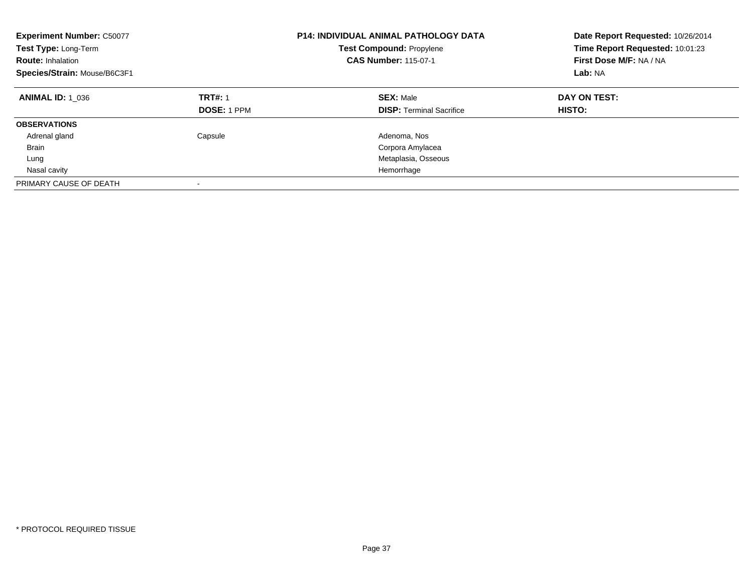| <b>Experiment Number: C50077</b><br>Test Type: Long-Term<br><b>Route: Inhalation</b><br>Species/Strain: Mouse/B6C3F1 |                                      | <b>P14: INDIVIDUAL ANIMAL PATHOLOGY DATA</b><br><b>Test Compound: Propylene</b><br><b>CAS Number: 115-07-1</b> | Date Report Requested: 10/26/2014<br>Time Report Requested: 10:01:23<br>First Dose M/F: NA / NA<br>Lab: NA |
|----------------------------------------------------------------------------------------------------------------------|--------------------------------------|----------------------------------------------------------------------------------------------------------------|------------------------------------------------------------------------------------------------------------|
| <b>ANIMAL ID: 1 036</b>                                                                                              | <b>TRT#: 1</b><br><b>DOSE: 1 PPM</b> | <b>SEX: Male</b><br><b>DISP: Terminal Sacrifice</b>                                                            | DAY ON TEST:<br>HISTO:                                                                                     |
| <b>OBSERVATIONS</b>                                                                                                  |                                      |                                                                                                                |                                                                                                            |
| Adrenal gland                                                                                                        | Capsule                              | Adenoma, Nos                                                                                                   |                                                                                                            |
| <b>Brain</b>                                                                                                         |                                      | Corpora Amylacea                                                                                               |                                                                                                            |
| Lung                                                                                                                 |                                      | Metaplasia, Osseous                                                                                            |                                                                                                            |
| Nasal cavity                                                                                                         |                                      | Hemorrhage                                                                                                     |                                                                                                            |
| PRIMARY CAUSE OF DEATH                                                                                               | -                                    |                                                                                                                |                                                                                                            |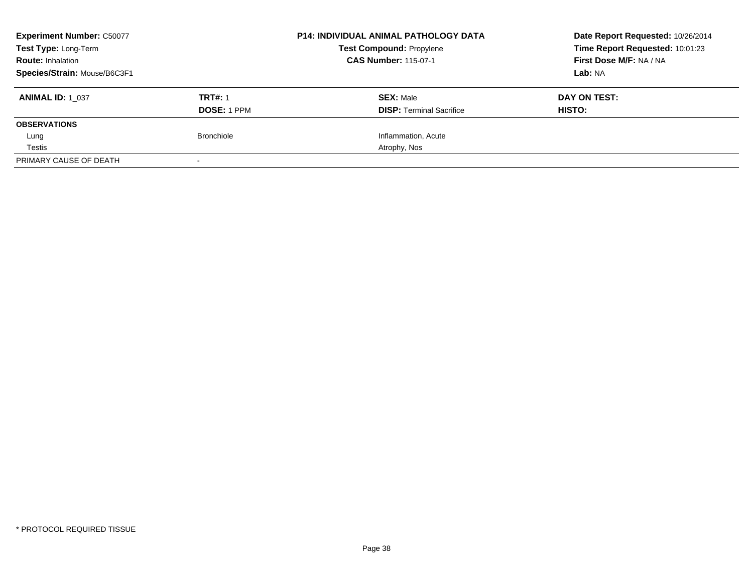| <b>Experiment Number: C50077</b><br>Test Type: Long-Term |                    | <b>P14: INDIVIDUAL ANIMAL PATHOLOGY DATA</b><br><b>Test Compound: Propylene</b> | Date Report Requested: 10/26/2014<br>Time Report Requested: 10:01:23<br>First Dose M/F: NA / NA |
|----------------------------------------------------------|--------------------|---------------------------------------------------------------------------------|-------------------------------------------------------------------------------------------------|
| <b>Route: Inhalation</b>                                 |                    | <b>CAS Number: 115-07-1</b>                                                     |                                                                                                 |
| Species/Strain: Mouse/B6C3F1                             |                    |                                                                                 | Lab: NA                                                                                         |
| <b>ANIMAL ID: 1 037</b>                                  | <b>TRT#: 1</b>     | <b>SEX: Male</b>                                                                | DAY ON TEST:                                                                                    |
|                                                          | <b>DOSE: 1 PPM</b> | <b>DISP:</b> Terminal Sacrifice                                                 | HISTO:                                                                                          |
| <b>OBSERVATIONS</b>                                      |                    |                                                                                 |                                                                                                 |
| Lung                                                     | <b>Bronchiole</b>  | Inflammation, Acute                                                             |                                                                                                 |
| Testis                                                   |                    | Atrophy, Nos                                                                    |                                                                                                 |
| PRIMARY CAUSE OF DEATH                                   | $\sim$             |                                                                                 |                                                                                                 |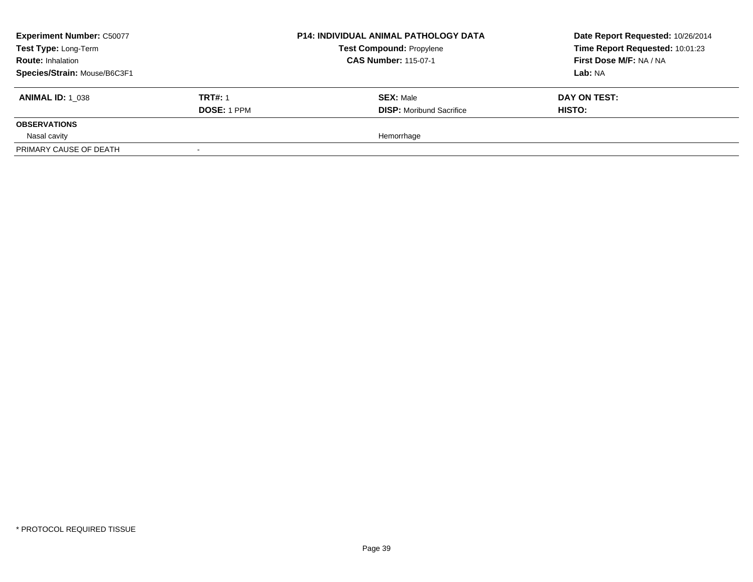| <b>Experiment Number: C50077</b><br>Test Type: Long-Term<br><b>Route: Inhalation</b><br>Species/Strain: Mouse/B6C3F1 |                                      | <b>P14: INDIVIDUAL ANIMAL PATHOLOGY DATA</b><br><b>Test Compound: Propylene</b><br><b>CAS Number: 115-07-1</b> | Date Report Requested: 10/26/2014<br>Time Report Requested: 10:01:23<br>First Dose M/F: NA / NA<br>Lab: NA |
|----------------------------------------------------------------------------------------------------------------------|--------------------------------------|----------------------------------------------------------------------------------------------------------------|------------------------------------------------------------------------------------------------------------|
| <b>ANIMAL ID: 1 038</b>                                                                                              | <b>TRT#: 1</b><br><b>DOSE: 1 PPM</b> | <b>SEX: Male</b><br><b>DISP:</b> Moribund Sacrifice                                                            | DAY ON TEST:<br>HISTO:                                                                                     |
| <b>OBSERVATIONS</b>                                                                                                  |                                      |                                                                                                                |                                                                                                            |
| Nasal cavity<br>PRIMARY CAUSE OF DEATH                                                                               |                                      | Hemorrhage                                                                                                     |                                                                                                            |
|                                                                                                                      |                                      |                                                                                                                |                                                                                                            |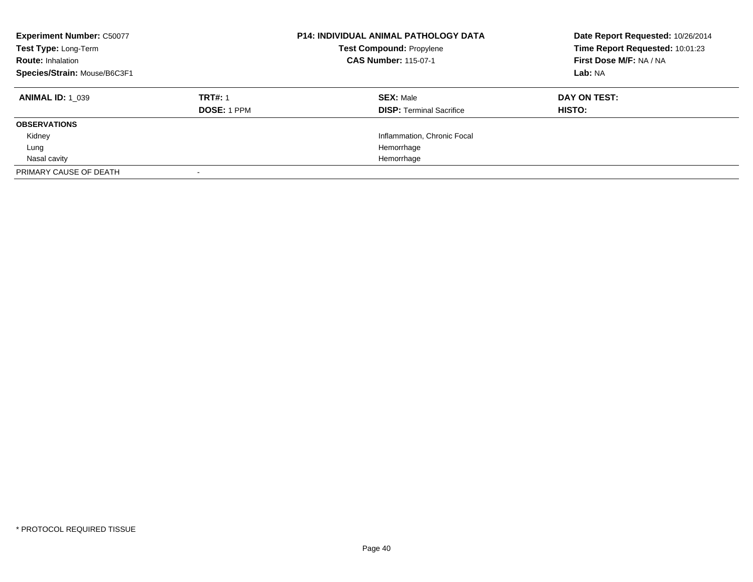| <b>Experiment Number: C50077</b><br>Test Type: Long-Term<br><b>Route: Inhalation</b><br>Species/Strain: Mouse/B6C3F1 |                                      | <b>P14: INDIVIDUAL ANIMAL PATHOLOGY DATA</b><br><b>Test Compound: Propylene</b><br><b>CAS Number: 115-07-1</b> | Date Report Requested: 10/26/2014<br>Time Report Requested: 10:01:23<br>First Dose M/F: NA / NA<br>Lab: NA |
|----------------------------------------------------------------------------------------------------------------------|--------------------------------------|----------------------------------------------------------------------------------------------------------------|------------------------------------------------------------------------------------------------------------|
| <b>ANIMAL ID: 1 039</b>                                                                                              | <b>TRT#: 1</b><br><b>DOSE: 1 PPM</b> | <b>SEX: Male</b><br><b>DISP:</b> Terminal Sacrifice                                                            | DAY ON TEST:<br>HISTO:                                                                                     |
| <b>OBSERVATIONS</b>                                                                                                  |                                      |                                                                                                                |                                                                                                            |
| Kidney                                                                                                               |                                      | Inflammation, Chronic Focal                                                                                    |                                                                                                            |
| Lung                                                                                                                 |                                      | Hemorrhage                                                                                                     |                                                                                                            |
| Nasal cavity                                                                                                         |                                      | Hemorrhage                                                                                                     |                                                                                                            |
| PRIMARY CAUSE OF DEATH                                                                                               |                                      |                                                                                                                |                                                                                                            |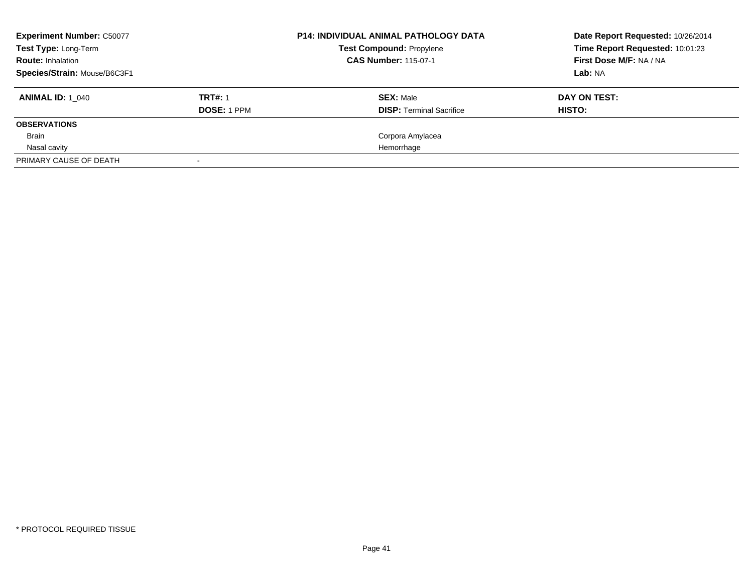| <b>Experiment Number: C50077</b> |                    | <b>P14: INDIVIDUAL ANIMAL PATHOLOGY DATA</b> | Date Report Requested: 10/26/2014 |
|----------------------------------|--------------------|----------------------------------------------|-----------------------------------|
| <b>Test Type: Long-Term</b>      |                    | <b>Test Compound: Propylene</b>              | Time Report Requested: 10:01:23   |
| <b>Route: Inhalation</b>         |                    | <b>CAS Number: 115-07-1</b>                  | First Dose M/F: NA / NA           |
| Species/Strain: Mouse/B6C3F1     |                    |                                              | Lab: NA                           |
| <b>ANIMAL ID:</b> 1 040          | <b>TRT#: 1</b>     | <b>SEX: Male</b>                             | DAY ON TEST:                      |
|                                  | <b>DOSE: 1 PPM</b> | <b>DISP:</b> Terminal Sacrifice              | HISTO:                            |
| <b>OBSERVATIONS</b>              |                    |                                              |                                   |
| Brain                            |                    | Corpora Amylacea                             |                                   |
| Nasal cavity                     |                    | Hemorrhage                                   |                                   |
| PRIMARY CAUSE OF DEATH           |                    |                                              |                                   |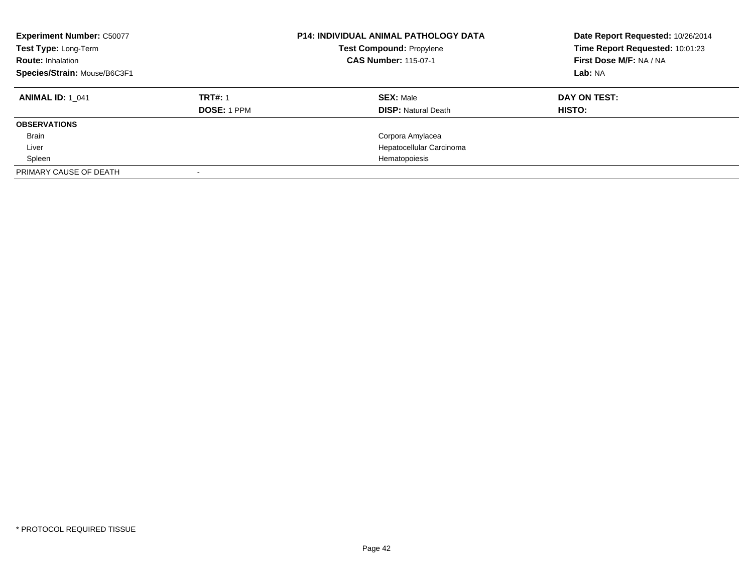| <b>Experiment Number: C50077</b><br>Test Type: Long-Term<br><b>Route: Inhalation</b><br>Species/Strain: Mouse/B6C3F1 |                    | <b>P14: INDIVIDUAL ANIMAL PATHOLOGY DATA</b><br>Test Compound: Propylene<br><b>CAS Number: 115-07-1</b> | Date Report Requested: 10/26/2014<br>Time Report Requested: 10:01:23<br>First Dose M/F: NA / NA<br>Lab: NA |
|----------------------------------------------------------------------------------------------------------------------|--------------------|---------------------------------------------------------------------------------------------------------|------------------------------------------------------------------------------------------------------------|
| <b>ANIMAL ID: 1 041</b>                                                                                              | <b>TRT#: 1</b>     | <b>SEX: Male</b>                                                                                        | DAY ON TEST:                                                                                               |
|                                                                                                                      | <b>DOSE: 1 PPM</b> | <b>DISP:</b> Natural Death                                                                              | <b>HISTO:</b>                                                                                              |
| <b>OBSERVATIONS</b>                                                                                                  |                    |                                                                                                         |                                                                                                            |
| <b>Brain</b>                                                                                                         |                    | Corpora Amylacea                                                                                        |                                                                                                            |
| Liver                                                                                                                |                    | Hepatocellular Carcinoma                                                                                |                                                                                                            |
| Spleen                                                                                                               |                    | Hematopoiesis                                                                                           |                                                                                                            |
| PRIMARY CAUSE OF DEATH                                                                                               |                    |                                                                                                         |                                                                                                            |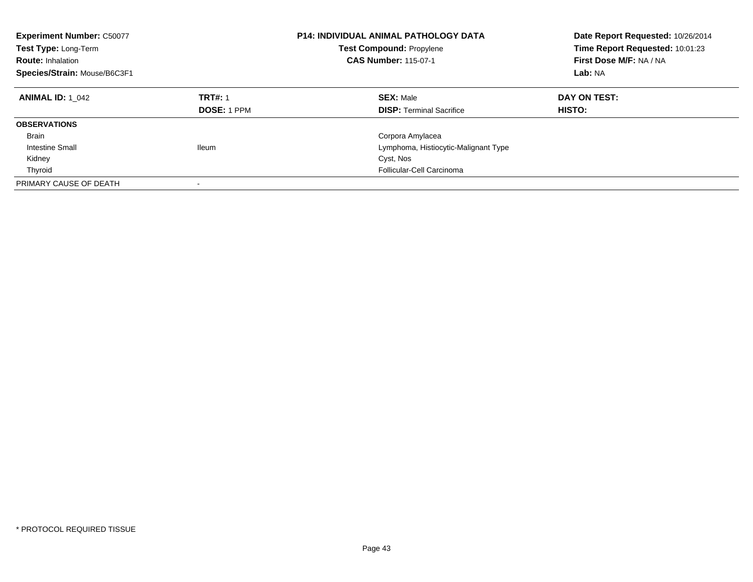| <b>Experiment Number: C50077</b><br>Test Type: Long-Term<br><b>Route: Inhalation</b><br>Species/Strain: Mouse/B6C3F1 |                                      | <b>P14: INDIVIDUAL ANIMAL PATHOLOGY DATA</b><br><b>Test Compound: Propylene</b><br><b>CAS Number: 115-07-1</b> | Date Report Requested: 10/26/2014<br>Time Report Requested: 10:01:23<br>First Dose M/F: NA / NA<br>Lab: NA |
|----------------------------------------------------------------------------------------------------------------------|--------------------------------------|----------------------------------------------------------------------------------------------------------------|------------------------------------------------------------------------------------------------------------|
| <b>ANIMAL ID: 1 042</b>                                                                                              | <b>TRT#: 1</b><br><b>DOSE: 1 PPM</b> | <b>SEX: Male</b><br><b>DISP:</b> Terminal Sacrifice                                                            | DAY ON TEST:<br>HISTO:                                                                                     |
| <b>OBSERVATIONS</b>                                                                                                  |                                      |                                                                                                                |                                                                                                            |
| <b>Brain</b>                                                                                                         |                                      | Corpora Amylacea                                                                                               |                                                                                                            |
| Intestine Small                                                                                                      | <b>Ileum</b>                         | Lymphoma, Histiocytic-Malignant Type                                                                           |                                                                                                            |
| Kidney                                                                                                               |                                      | Cyst, Nos                                                                                                      |                                                                                                            |
| Thyroid                                                                                                              |                                      | Follicular-Cell Carcinoma                                                                                      |                                                                                                            |
| PRIMARY CAUSE OF DEATH                                                                                               | -                                    |                                                                                                                |                                                                                                            |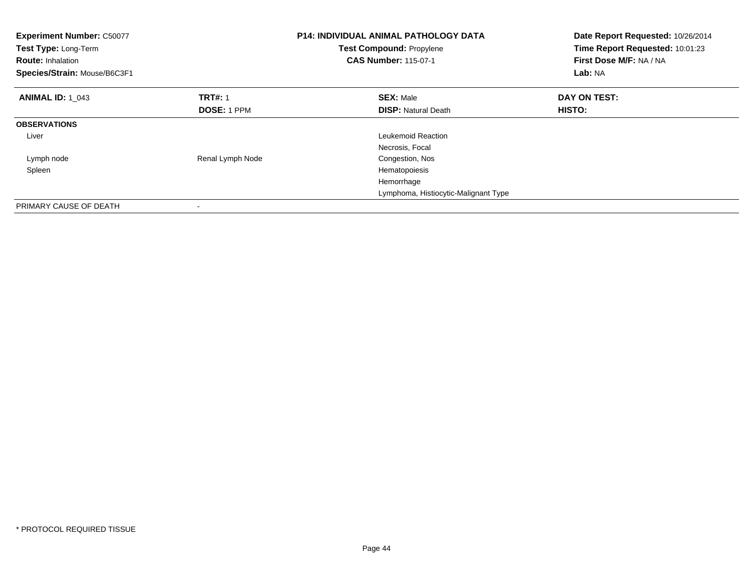| <b>Experiment Number: C50077</b><br>Test Type: Long-Term<br><b>Route: Inhalation</b><br>Species/Strain: Mouse/B6C3F1 |                    | <b>P14: INDIVIDUAL ANIMAL PATHOLOGY DATA</b><br>Test Compound: Propylene<br><b>CAS Number: 115-07-1</b> | Date Report Requested: 10/26/2014<br>Time Report Requested: 10:01:23<br>First Dose M/F: NA / NA<br>Lab: NA |
|----------------------------------------------------------------------------------------------------------------------|--------------------|---------------------------------------------------------------------------------------------------------|------------------------------------------------------------------------------------------------------------|
| <b>ANIMAL ID: 1 043</b>                                                                                              | <b>TRT#: 1</b>     | <b>SEX: Male</b>                                                                                        | DAY ON TEST:                                                                                               |
|                                                                                                                      | <b>DOSE: 1 PPM</b> | <b>DISP:</b> Natural Death                                                                              | HISTO:                                                                                                     |
| <b>OBSERVATIONS</b>                                                                                                  |                    |                                                                                                         |                                                                                                            |
| Liver                                                                                                                |                    | Leukemoid Reaction                                                                                      |                                                                                                            |
|                                                                                                                      |                    | Necrosis, Focal                                                                                         |                                                                                                            |
| Lymph node                                                                                                           | Renal Lymph Node   | Congestion, Nos                                                                                         |                                                                                                            |
| Spleen                                                                                                               |                    | Hematopoiesis                                                                                           |                                                                                                            |
|                                                                                                                      |                    | Hemorrhage                                                                                              |                                                                                                            |
|                                                                                                                      |                    | Lymphoma, Histiocytic-Malignant Type                                                                    |                                                                                                            |
| PRIMARY CAUSE OF DEATH                                                                                               |                    |                                                                                                         |                                                                                                            |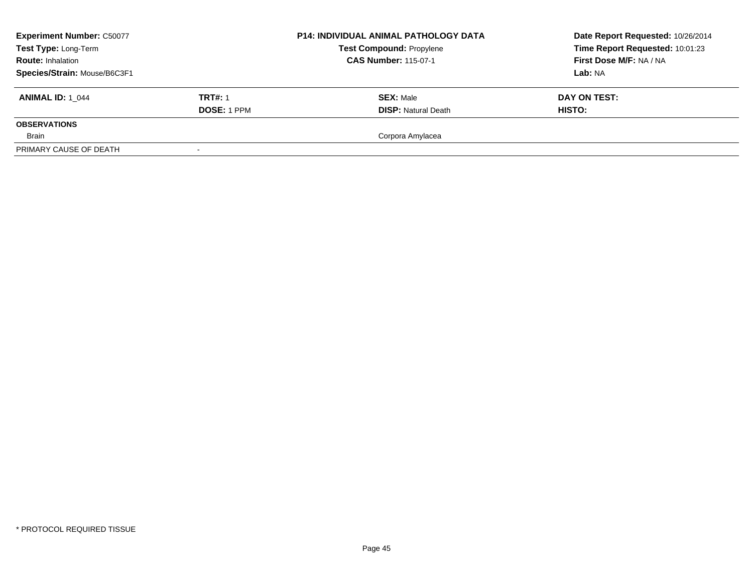| <b>Experiment Number: C50077</b><br>Test Type: Long-Term<br><b>Route: Inhalation</b><br>Species/Strain: Mouse/B6C3F1 |                               | <b>P14: INDIVIDUAL ANIMAL PATHOLOGY DATA</b><br><b>Test Compound: Propylene</b><br><b>CAS Number: 115-07-1</b> | Date Report Requested: 10/26/2014<br>Time Report Requested: 10:01:23<br>First Dose M/F: NA / NA<br>Lab: NA |
|----------------------------------------------------------------------------------------------------------------------|-------------------------------|----------------------------------------------------------------------------------------------------------------|------------------------------------------------------------------------------------------------------------|
| <b>ANIMAL ID: 1 044</b>                                                                                              | <b>TRT#: 1</b><br>DOSE: 1 PPM | <b>SEX: Male</b><br><b>DISP: Natural Death</b>                                                                 | DAY ON TEST:<br><b>HISTO:</b>                                                                              |
| <b>OBSERVATIONS</b>                                                                                                  |                               |                                                                                                                |                                                                                                            |
| Brain                                                                                                                |                               | Corpora Amylacea                                                                                               |                                                                                                            |
| PRIMARY CAUSE OF DEATH                                                                                               |                               |                                                                                                                |                                                                                                            |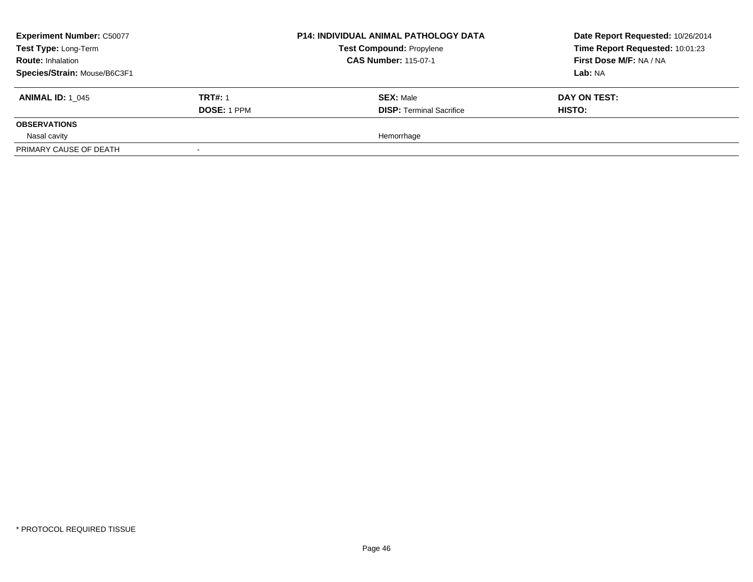| <b>Experiment Number: C50077</b><br>Test Type: Long-Term<br><b>Route: Inhalation</b> |                    | <b>P14: INDIVIDUAL ANIMAL PATHOLOGY DATA</b><br><b>Test Compound: Propylene</b><br><b>CAS Number: 115-07-1</b> | Date Report Requested: 10/26/2014<br>Time Report Requested: 10:01:23<br>First Dose M/F: NA / NA |
|--------------------------------------------------------------------------------------|--------------------|----------------------------------------------------------------------------------------------------------------|-------------------------------------------------------------------------------------------------|
| Species/Strain: Mouse/B6C3F1                                                         |                    |                                                                                                                | Lab: NA                                                                                         |
| <b>ANIMAL ID: 1 045</b>                                                              | <b>TRT#: 1</b>     | <b>SEX: Male</b>                                                                                               | DAY ON TEST:                                                                                    |
|                                                                                      | <b>DOSE: 1 PPM</b> | <b>DISP: Terminal Sacrifice</b>                                                                                | HISTO:                                                                                          |
| <b>OBSERVATIONS</b>                                                                  |                    |                                                                                                                |                                                                                                 |
| Nasal cavity                                                                         |                    | Hemorrhage                                                                                                     |                                                                                                 |
| PRIMARY CAUSE OF DEATH                                                               |                    |                                                                                                                |                                                                                                 |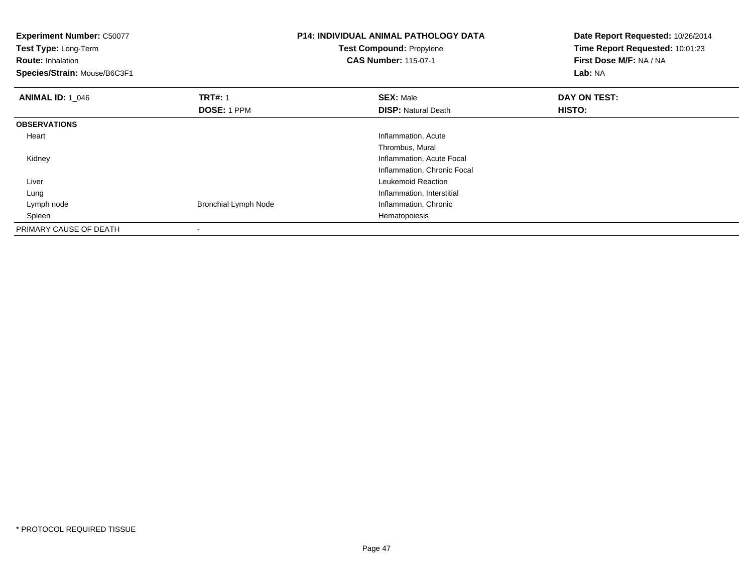**Experiment Number:** C50077**Test Type:** Long-Term**Route:** Inhalation **Species/Strain:** Mouse/B6C3F1**P14: INDIVIDUAL ANIMAL PATHOLOGY DATATest Compound:** Propylene**CAS Number:** 115-07-1**Date Report Requested:** 10/26/2014**Time Report Requested:** 10:01:23**First Dose M/F:** NA / NA**Lab:** NA**ANIMAL ID: 1\_046 6 DAY ON TRT#:** 1 **SEX:** Male **SEX:** Male **DAY ON TEST: DOSE:** 1 PPM**DISP:** Natural Death **HISTO: OBSERVATIONS** Heart Inflammation, AcuteThrombus, Mural Kidney Inflammation, Acute Focal Inflammation, Chronic Focal Liver Leukemoid Reactiong and the state of the state of the state of the state of the state of the state of the state of the state of the state of the state of the state of the state of the state of the state of the state of the state of the stat Lung Lymph nodeBronchial Lymph Node Inflammation, Chronic<br>Hematopoiesis Spleenn and the control of the control of the control of the control of the control of the control of the control of the control of the control of the control of the control of the control of the control of the control of the co PRIMARY CAUSE OF DEATH-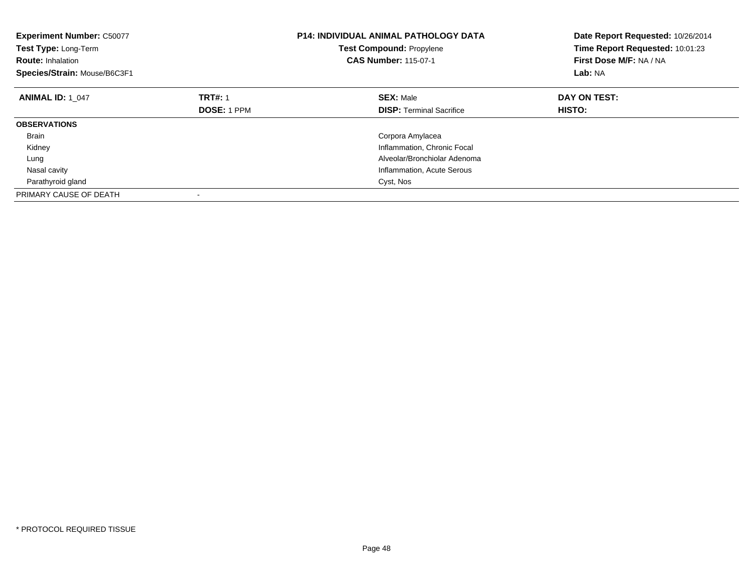| <b>Experiment Number: C50077</b><br>Test Type: Long-Term<br><b>Route: Inhalation</b><br>Species/Strain: Mouse/B6C3F1 |                    | <b>P14: INDIVIDUAL ANIMAL PATHOLOGY DATA</b><br><b>Test Compound: Propylene</b><br><b>CAS Number: 115-07-1</b> | Date Report Requested: 10/26/2014<br>Time Report Requested: 10:01:23<br>First Dose M/F: NA / NA<br>Lab: NA |
|----------------------------------------------------------------------------------------------------------------------|--------------------|----------------------------------------------------------------------------------------------------------------|------------------------------------------------------------------------------------------------------------|
| <b>ANIMAL ID: 1 047</b>                                                                                              | <b>TRT#: 1</b>     | <b>SEX: Male</b>                                                                                               | DAY ON TEST:                                                                                               |
|                                                                                                                      | <b>DOSE: 1 PPM</b> | <b>DISP:</b> Terminal Sacrifice                                                                                | HISTO:                                                                                                     |
| <b>OBSERVATIONS</b>                                                                                                  |                    |                                                                                                                |                                                                                                            |
| <b>Brain</b>                                                                                                         |                    | Corpora Amylacea                                                                                               |                                                                                                            |
| Kidney                                                                                                               |                    | Inflammation, Chronic Focal                                                                                    |                                                                                                            |
| Lung                                                                                                                 |                    | Alveolar/Bronchiolar Adenoma                                                                                   |                                                                                                            |
| Nasal cavity                                                                                                         |                    | Inflammation, Acute Serous                                                                                     |                                                                                                            |
| Parathyroid gland                                                                                                    |                    | Cyst, Nos                                                                                                      |                                                                                                            |
| PRIMARY CAUSE OF DEATH                                                                                               |                    |                                                                                                                |                                                                                                            |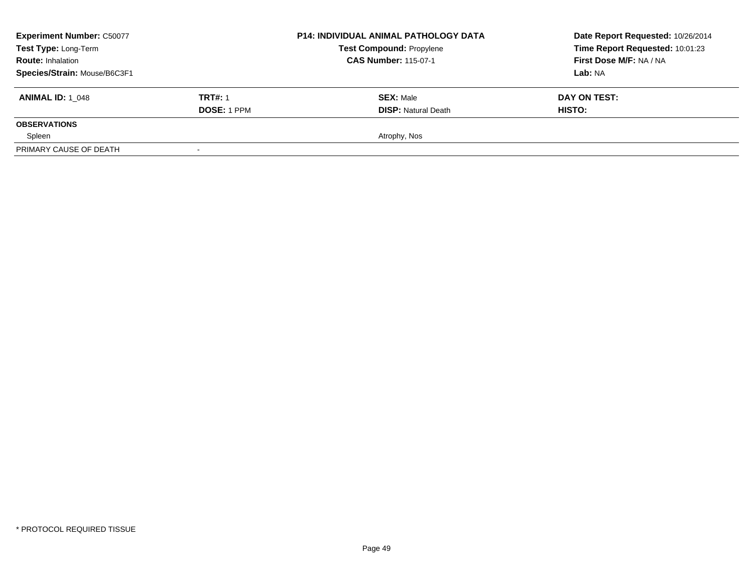| <b>Experiment Number: C50077</b> | <b>P14: INDIVIDUAL ANIMAL PATHOLOGY DATA</b> | Date Report Requested: 10/26/2014 |                                 |
|----------------------------------|----------------------------------------------|-----------------------------------|---------------------------------|
| Test Type: Long-Term             |                                              | <b>Test Compound: Propylene</b>   | Time Report Requested: 10:01:23 |
| <b>Route: Inhalation</b>         |                                              | <b>CAS Number: 115-07-1</b>       | First Dose M/F: NA / NA         |
| Species/Strain: Mouse/B6C3F1     |                                              |                                   | Lab: NA                         |
| <b>ANIMAL ID: 1 048</b>          | <b>TRT#: 1</b>                               | <b>SEX: Male</b>                  | DAY ON TEST:                    |
|                                  | <b>DOSE: 1 PPM</b>                           | <b>DISP:</b> Natural Death        | HISTO:                          |
| <b>OBSERVATIONS</b>              |                                              |                                   |                                 |
| Spleen                           |                                              | Atrophy, Nos                      |                                 |
| PRIMARY CAUSE OF DEATH           |                                              |                                   |                                 |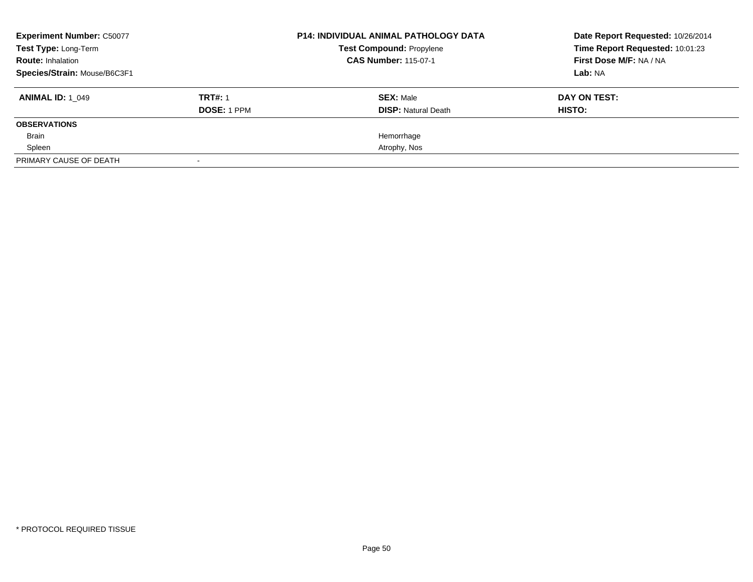| <b>Experiment Number: C50077</b><br>Test Type: Long-Term<br><b>Route: Inhalation</b><br>Species/Strain: Mouse/B6C3F1 |                               | <b>P14: INDIVIDUAL ANIMAL PATHOLOGY DATA</b><br><b>Test Compound: Propylene</b><br><b>CAS Number: 115-07-1</b> | Date Report Requested: 10/26/2014<br>Time Report Requested: 10:01:23<br>First Dose M/F: NA / NA<br>Lab: NA |
|----------------------------------------------------------------------------------------------------------------------|-------------------------------|----------------------------------------------------------------------------------------------------------------|------------------------------------------------------------------------------------------------------------|
| <b>ANIMAL ID: 1 049</b>                                                                                              | <b>TRT#: 1</b><br>DOSE: 1 PPM | <b>SEX: Male</b><br><b>DISP:</b> Natural Death                                                                 | DAY ON TEST:<br>HISTO:                                                                                     |
| <b>OBSERVATIONS</b>                                                                                                  |                               |                                                                                                                |                                                                                                            |
| Brain                                                                                                                |                               | Hemorrhage                                                                                                     |                                                                                                            |
| Spleen                                                                                                               |                               | Atrophy, Nos                                                                                                   |                                                                                                            |
| PRIMARY CAUSE OF DEATH                                                                                               |                               |                                                                                                                |                                                                                                            |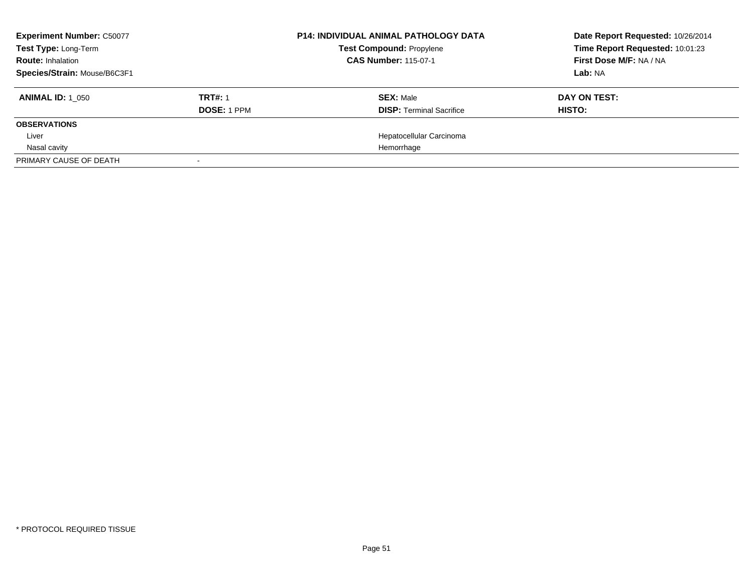| <b>Experiment Number: C50077</b> |                    | <b>P14: INDIVIDUAL ANIMAL PATHOLOGY DATA</b> | Date Report Requested: 10/26/2014 |
|----------------------------------|--------------------|----------------------------------------------|-----------------------------------|
| Test Type: Long-Term             |                    | <b>Test Compound: Propylene</b>              | Time Report Requested: 10:01:23   |
| <b>Route: Inhalation</b>         |                    | <b>CAS Number: 115-07-1</b>                  | First Dose M/F: NA / NA           |
| Species/Strain: Mouse/B6C3F1     |                    |                                              | Lab: NA                           |
| <b>ANIMAL ID: 1 050</b>          | <b>TRT#: 1</b>     | <b>SEX: Male</b>                             | DAY ON TEST:                      |
|                                  | <b>DOSE: 1 PPM</b> | <b>DISP:</b> Terminal Sacrifice              | HISTO:                            |
| <b>OBSERVATIONS</b>              |                    |                                              |                                   |
| Liver                            |                    | Hepatocellular Carcinoma                     |                                   |
| Nasal cavity                     |                    | Hemorrhage                                   |                                   |
| PRIMARY CAUSE OF DEATH           | $\sim$             |                                              |                                   |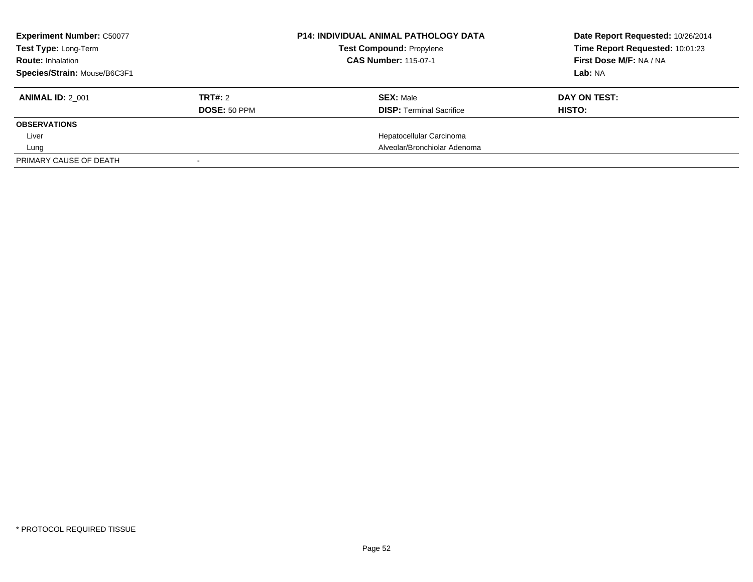| <b>Experiment Number: C50077</b><br>Test Type: Long-Term<br><b>Route: Inhalation</b><br>Species/Strain: Mouse/B6C3F1 |                         | <b>P14: INDIVIDUAL ANIMAL PATHOLOGY DATA</b><br><b>Test Compound: Propylene</b><br><b>CAS Number: 115-07-1</b> | Date Report Requested: 10/26/2014<br>Time Report Requested: 10:01:23<br>First Dose M/F: NA / NA<br>Lab: NA |
|----------------------------------------------------------------------------------------------------------------------|-------------------------|----------------------------------------------------------------------------------------------------------------|------------------------------------------------------------------------------------------------------------|
| <b>ANIMAL ID: 2 001</b>                                                                                              | TRT#: 2<br>DOSE: 50 PPM | <b>SEX: Male</b><br><b>DISP:</b> Terminal Sacrifice                                                            | DAY ON TEST:<br>HISTO:                                                                                     |
| <b>OBSERVATIONS</b>                                                                                                  |                         |                                                                                                                |                                                                                                            |
| Liver                                                                                                                |                         | Hepatocellular Carcinoma                                                                                       |                                                                                                            |
| Lung                                                                                                                 |                         | Alveolar/Bronchiolar Adenoma                                                                                   |                                                                                                            |
| PRIMARY CAUSE OF DEATH                                                                                               |                         |                                                                                                                |                                                                                                            |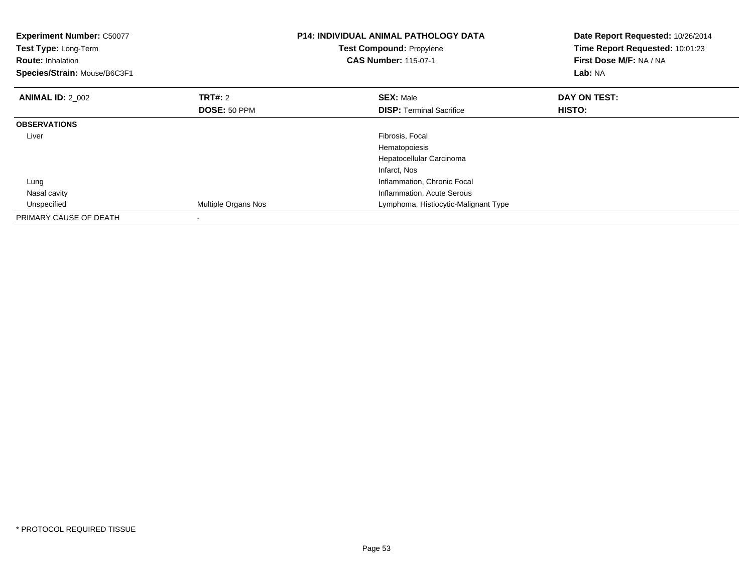| <b>Experiment Number: C50077</b><br>Test Type: Long-Term<br><b>Route: Inhalation</b><br>Species/Strain: Mouse/B6C3F1 |                     | <b>P14: INDIVIDUAL ANIMAL PATHOLOGY DATA</b><br><b>Test Compound: Propylene</b><br><b>CAS Number: 115-07-1</b> | Date Report Requested: 10/26/2014<br>Time Report Requested: 10:01:23<br>First Dose M/F: NA / NA<br>Lab: NA |
|----------------------------------------------------------------------------------------------------------------------|---------------------|----------------------------------------------------------------------------------------------------------------|------------------------------------------------------------------------------------------------------------|
| <b>ANIMAL ID: 2_002</b>                                                                                              | <b>TRT#:</b> 2      | <b>SEX: Male</b>                                                                                               | DAY ON TEST:                                                                                               |
|                                                                                                                      | DOSE: 50 PPM        | <b>DISP:</b> Terminal Sacrifice                                                                                | HISTO:                                                                                                     |
| <b>OBSERVATIONS</b>                                                                                                  |                     |                                                                                                                |                                                                                                            |
| Liver                                                                                                                |                     | Fibrosis, Focal                                                                                                |                                                                                                            |
|                                                                                                                      |                     | Hematopoiesis                                                                                                  |                                                                                                            |
|                                                                                                                      |                     | Hepatocellular Carcinoma                                                                                       |                                                                                                            |
|                                                                                                                      |                     | Infarct, Nos                                                                                                   |                                                                                                            |
| Lung                                                                                                                 |                     | Inflammation, Chronic Focal                                                                                    |                                                                                                            |
| Nasal cavity                                                                                                         |                     | Inflammation, Acute Serous                                                                                     |                                                                                                            |
| Unspecified                                                                                                          | Multiple Organs Nos | Lymphoma, Histiocytic-Malignant Type                                                                           |                                                                                                            |
| PRIMARY CAUSE OF DEATH                                                                                               |                     |                                                                                                                |                                                                                                            |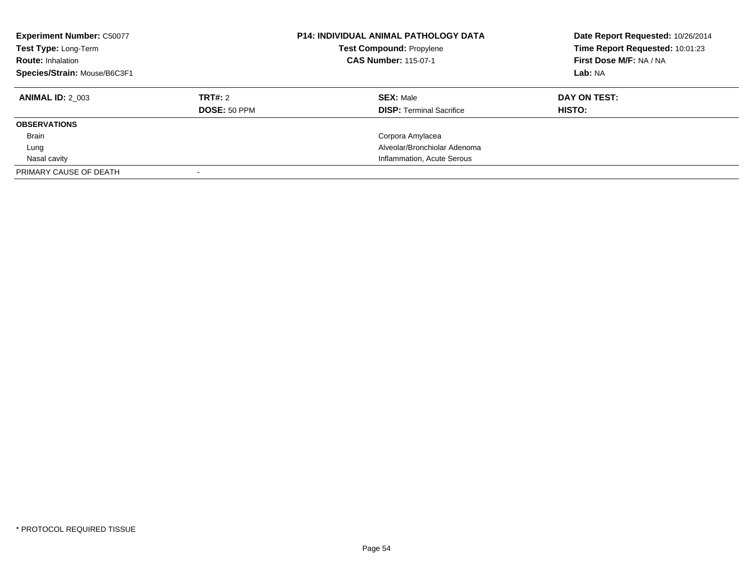| <b>Experiment Number: C50077</b><br>Test Type: Long-Term<br><b>Route: Inhalation</b><br>Species/Strain: Mouse/B6C3F1 |                     | <b>P14: INDIVIDUAL ANIMAL PATHOLOGY DATA</b><br>Test Compound: Propylene<br><b>CAS Number: 115-07-1</b> | Date Report Requested: 10/26/2014<br>Time Report Requested: 10:01:23<br>First Dose M/F: NA / NA<br>Lab: NA |
|----------------------------------------------------------------------------------------------------------------------|---------------------|---------------------------------------------------------------------------------------------------------|------------------------------------------------------------------------------------------------------------|
| <b>ANIMAL ID: 2 003</b>                                                                                              | TRT#: 2             | <b>SEX: Male</b>                                                                                        | DAY ON TEST:                                                                                               |
|                                                                                                                      | <b>DOSE: 50 PPM</b> | <b>DISP:</b> Terminal Sacrifice                                                                         | <b>HISTO:</b>                                                                                              |
| <b>OBSERVATIONS</b>                                                                                                  |                     |                                                                                                         |                                                                                                            |
| <b>Brain</b>                                                                                                         |                     | Corpora Amylacea                                                                                        |                                                                                                            |
| Lung                                                                                                                 |                     | Alveolar/Bronchiolar Adenoma                                                                            |                                                                                                            |
| Nasal cavity                                                                                                         |                     | Inflammation, Acute Serous                                                                              |                                                                                                            |
| PRIMARY CAUSE OF DEATH                                                                                               |                     |                                                                                                         |                                                                                                            |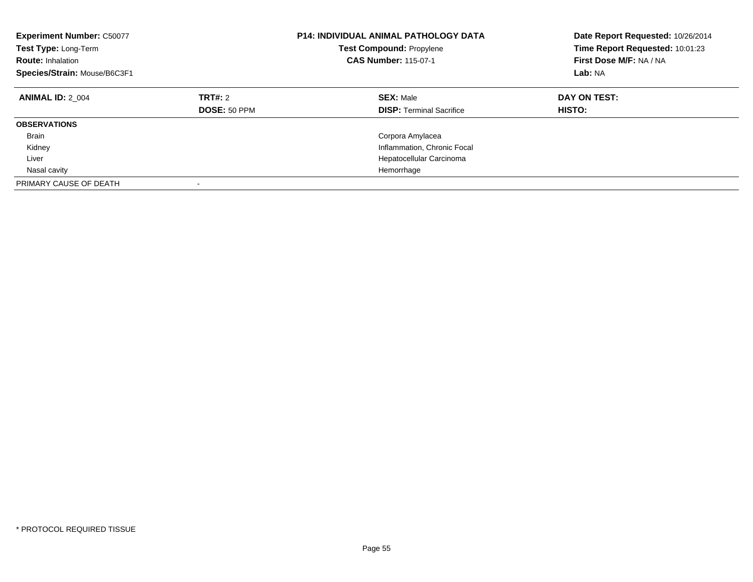| <b>Experiment Number: C50077</b><br>Test Type: Long-Term<br><b>Route: Inhalation</b><br>Species/Strain: Mouse/B6C3F1 |                                | P14: INDIVIDUAL ANIMAL PATHOLOGY DATA<br><b>Test Compound: Propylene</b><br><b>CAS Number: 115-07-1</b> | Date Report Requested: 10/26/2014<br>Time Report Requested: 10:01:23<br>First Dose M/F: NA / NA<br>Lab: NA |
|----------------------------------------------------------------------------------------------------------------------|--------------------------------|---------------------------------------------------------------------------------------------------------|------------------------------------------------------------------------------------------------------------|
| <b>ANIMAL ID: 2 004</b>                                                                                              | <b>TRT#: 2</b><br>DOSE: 50 PPM | <b>SEX: Male</b><br><b>DISP:</b> Terminal Sacrifice                                                     | DAY ON TEST:<br>HISTO:                                                                                     |
| <b>OBSERVATIONS</b>                                                                                                  |                                |                                                                                                         |                                                                                                            |
| <b>Brain</b>                                                                                                         |                                | Corpora Amylacea                                                                                        |                                                                                                            |
| Kidney                                                                                                               |                                | Inflammation, Chronic Focal                                                                             |                                                                                                            |
| Liver                                                                                                                |                                | Hepatocellular Carcinoma                                                                                |                                                                                                            |
| Nasal cavity                                                                                                         |                                | Hemorrhage                                                                                              |                                                                                                            |
| PRIMARY CAUSE OF DEATH                                                                                               |                                |                                                                                                         |                                                                                                            |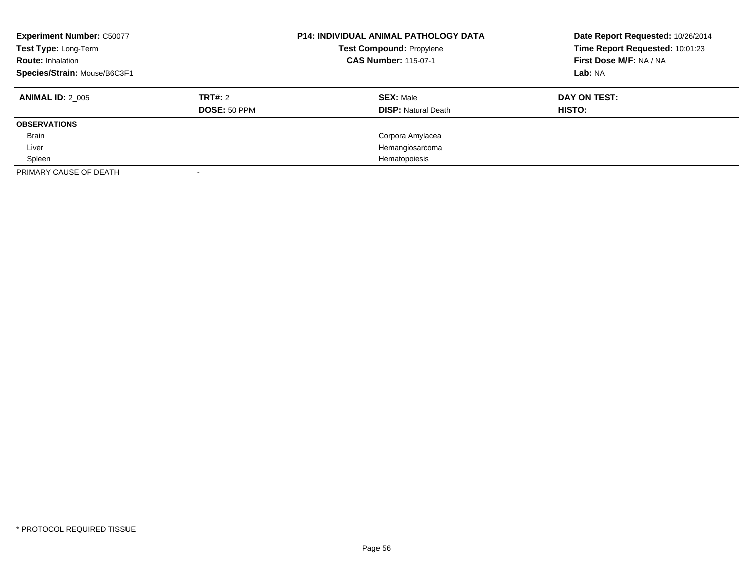| <b>Experiment Number: C50077</b><br>Test Type: Long-Term<br><b>Route: Inhalation</b><br>Species/Strain: Mouse/B6C3F1 |                         | <b>P14: INDIVIDUAL ANIMAL PATHOLOGY DATA</b><br>Test Compound: Propylene<br><b>CAS Number: 115-07-1</b> | Date Report Requested: 10/26/2014<br>Time Report Requested: 10:01:23<br>First Dose M/F: NA / NA<br>Lab: NA |
|----------------------------------------------------------------------------------------------------------------------|-------------------------|---------------------------------------------------------------------------------------------------------|------------------------------------------------------------------------------------------------------------|
| <b>ANIMAL ID: 2 005</b>                                                                                              | TRT#: 2<br>DOSE: 50 PPM | <b>SEX: Male</b><br><b>DISP: Natural Death</b>                                                          | DAY ON TEST:<br><b>HISTO:</b>                                                                              |
| <b>OBSERVATIONS</b>                                                                                                  |                         |                                                                                                         |                                                                                                            |
| <b>Brain</b>                                                                                                         |                         | Corpora Amylacea                                                                                        |                                                                                                            |
| Liver                                                                                                                |                         | Hemangiosarcoma                                                                                         |                                                                                                            |
| Spleen                                                                                                               |                         | Hematopoiesis                                                                                           |                                                                                                            |
| PRIMARY CAUSE OF DEATH                                                                                               |                         |                                                                                                         |                                                                                                            |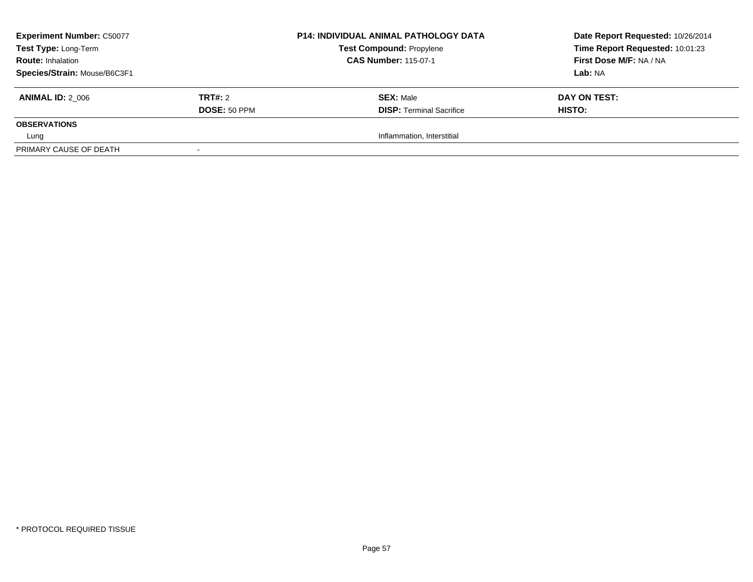| <b>Experiment Number: C50077</b> |                | <b>P14: INDIVIDUAL ANIMAL PATHOLOGY DATA</b> | Date Report Requested: 10/26/2014 |
|----------------------------------|----------------|----------------------------------------------|-----------------------------------|
| Test Type: Long-Term             |                | <b>Test Compound: Propylene</b>              | Time Report Requested: 10:01:23   |
| <b>Route: Inhalation</b>         |                | <b>CAS Number: 115-07-1</b>                  | First Dose M/F: NA / NA           |
| Species/Strain: Mouse/B6C3F1     |                |                                              | Lab: NA                           |
| <b>ANIMAL ID: 2 006</b>          | <b>TRT#: 2</b> | <b>SEX: Male</b>                             | DAY ON TEST:                      |
|                                  | DOSE: 50 PPM   | <b>DISP: Terminal Sacrifice</b>              | HISTO:                            |
| <b>OBSERVATIONS</b>              |                |                                              |                                   |
| Lung                             |                | Inflammation, Interstitial                   |                                   |
| PRIMARY CAUSE OF DEATH           |                |                                              |                                   |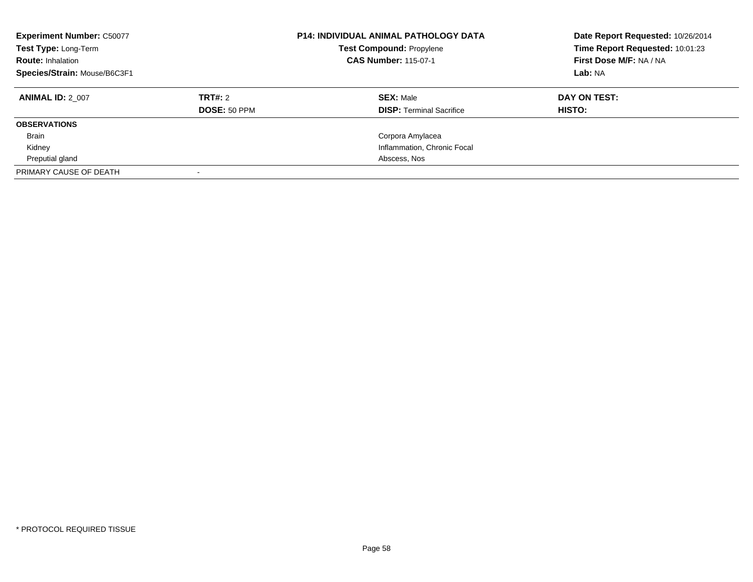| <b>Experiment Number: C50077</b><br>Test Type: Long-Term<br><b>Route: Inhalation</b><br>Species/Strain: Mouse/B6C3F1 |                         | <b>P14: INDIVIDUAL ANIMAL PATHOLOGY DATA</b><br><b>Test Compound: Propylene</b><br><b>CAS Number: 115-07-1</b> | Date Report Requested: 10/26/2014<br>Time Report Requested: 10:01:23<br>First Dose M/F: NA / NA<br>Lab: NA |
|----------------------------------------------------------------------------------------------------------------------|-------------------------|----------------------------------------------------------------------------------------------------------------|------------------------------------------------------------------------------------------------------------|
| <b>ANIMAL ID: 2 007</b>                                                                                              | TRT#: 2<br>DOSE: 50 PPM | <b>SEX: Male</b><br><b>DISP:</b> Terminal Sacrifice                                                            | DAY ON TEST:<br>HISTO:                                                                                     |
| <b>OBSERVATIONS</b>                                                                                                  |                         |                                                                                                                |                                                                                                            |
| <b>Brain</b>                                                                                                         |                         | Corpora Amylacea                                                                                               |                                                                                                            |
| Kidney                                                                                                               |                         | Inflammation, Chronic Focal                                                                                    |                                                                                                            |
| Preputial gland                                                                                                      |                         | Abscess, Nos                                                                                                   |                                                                                                            |
| PRIMARY CAUSE OF DEATH                                                                                               |                         |                                                                                                                |                                                                                                            |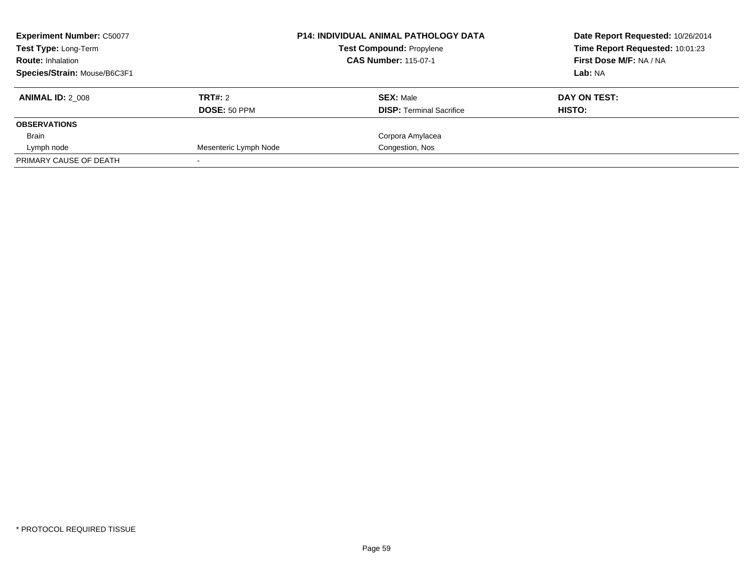| <b>Experiment Number: C50077</b><br><b>Test Type: Long-Term</b><br><b>Route: Inhalation</b> |                       | <b>P14: INDIVIDUAL ANIMAL PATHOLOGY DATA</b><br><b>Test Compound: Propylene</b><br><b>CAS Number: 115-07-1</b> | Date Report Requested: 10/26/2014<br>Time Report Requested: 10:01:23<br>First Dose M/F: NA / NA |
|---------------------------------------------------------------------------------------------|-----------------------|----------------------------------------------------------------------------------------------------------------|-------------------------------------------------------------------------------------------------|
| Species/Strain: Mouse/B6C3F1                                                                |                       |                                                                                                                | Lab: NA                                                                                         |
| <b>ANIMAL ID: 2 008</b>                                                                     | TRT#: 2               | <b>SEX: Male</b>                                                                                               | DAY ON TEST:                                                                                    |
|                                                                                             | DOSE: 50 PPM          | <b>DISP:</b> Terminal Sacrifice                                                                                | HISTO:                                                                                          |
| <b>OBSERVATIONS</b>                                                                         |                       |                                                                                                                |                                                                                                 |
| Brain                                                                                       |                       | Corpora Amylacea                                                                                               |                                                                                                 |
| Lymph node                                                                                  | Mesenteric Lymph Node | Congestion, Nos                                                                                                |                                                                                                 |
| PRIMARY CAUSE OF DEATH                                                                      |                       |                                                                                                                |                                                                                                 |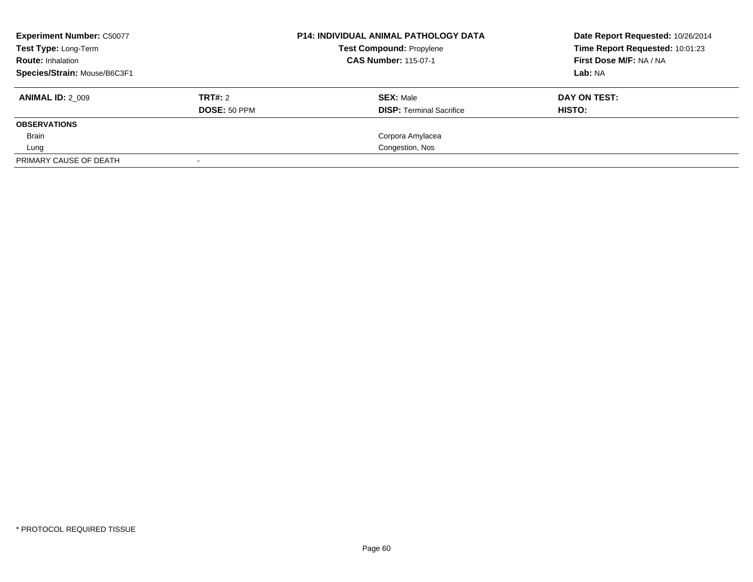| <b>Experiment Number: C50077</b><br>Test Type: Long-Term |              | <b>P14: INDIVIDUAL ANIMAL PATHOLOGY DATA</b><br><b>Test Compound: Propylene</b> | Date Report Requested: 10/26/2014<br>Time Report Requested: 10:01:23 |
|----------------------------------------------------------|--------------|---------------------------------------------------------------------------------|----------------------------------------------------------------------|
| <b>Route: Inhalation</b>                                 |              | <b>CAS Number: 115-07-1</b>                                                     | First Dose M/F: NA / NA                                              |
| Species/Strain: Mouse/B6C3F1                             |              |                                                                                 | Lab: NA                                                              |
| <b>ANIMAL ID: 2 009</b>                                  | TRT#: 2      | <b>SEX: Male</b>                                                                | DAY ON TEST:                                                         |
|                                                          | DOSE: 50 PPM | <b>DISP:</b> Terminal Sacrifice                                                 | HISTO:                                                               |
| <b>OBSERVATIONS</b>                                      |              |                                                                                 |                                                                      |
| <b>Brain</b>                                             |              | Corpora Amylacea                                                                |                                                                      |
| Lung                                                     |              | Congestion, Nos                                                                 |                                                                      |
| PRIMARY CAUSE OF DEATH                                   |              |                                                                                 |                                                                      |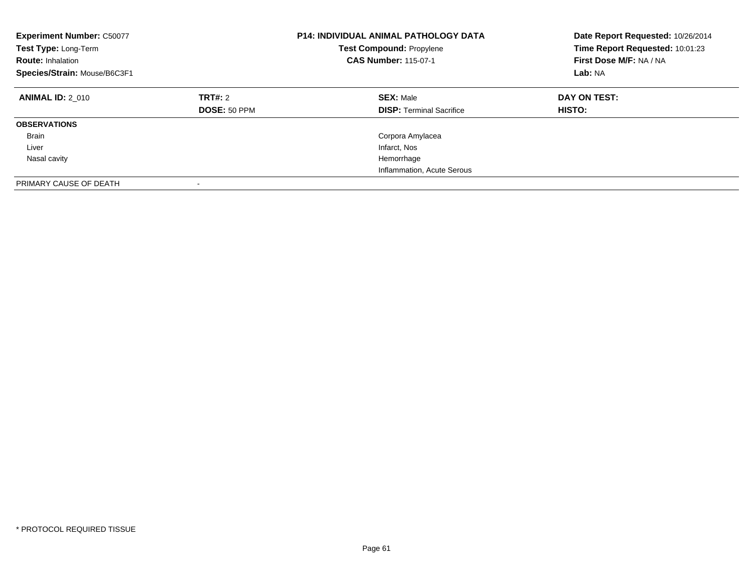| <b>Experiment Number: C50077</b><br>Test Type: Long-Term<br><b>Route: Inhalation</b><br>Species/Strain: Mouse/B6C3F1 |                                | <b>P14: INDIVIDUAL ANIMAL PATHOLOGY DATA</b><br><b>Test Compound: Propylene</b><br><b>CAS Number: 115-07-1</b> | Date Report Requested: 10/26/2014<br>Time Report Requested: 10:01:23<br>First Dose M/F: NA / NA<br>Lab: NA |
|----------------------------------------------------------------------------------------------------------------------|--------------------------------|----------------------------------------------------------------------------------------------------------------|------------------------------------------------------------------------------------------------------------|
| <b>ANIMAL ID: 2 010</b>                                                                                              | TRT#: 2<br><b>DOSE: 50 PPM</b> | <b>SEX: Male</b><br><b>DISP:</b> Terminal Sacrifice                                                            | DAY ON TEST:<br><b>HISTO:</b>                                                                              |
| <b>OBSERVATIONS</b>                                                                                                  |                                |                                                                                                                |                                                                                                            |
| <b>Brain</b>                                                                                                         |                                | Corpora Amylacea                                                                                               |                                                                                                            |
| Liver                                                                                                                |                                | Infarct, Nos                                                                                                   |                                                                                                            |
| Nasal cavity                                                                                                         |                                | Hemorrhage                                                                                                     |                                                                                                            |
|                                                                                                                      |                                | Inflammation, Acute Serous                                                                                     |                                                                                                            |
| PRIMARY CAUSE OF DEATH                                                                                               |                                |                                                                                                                |                                                                                                            |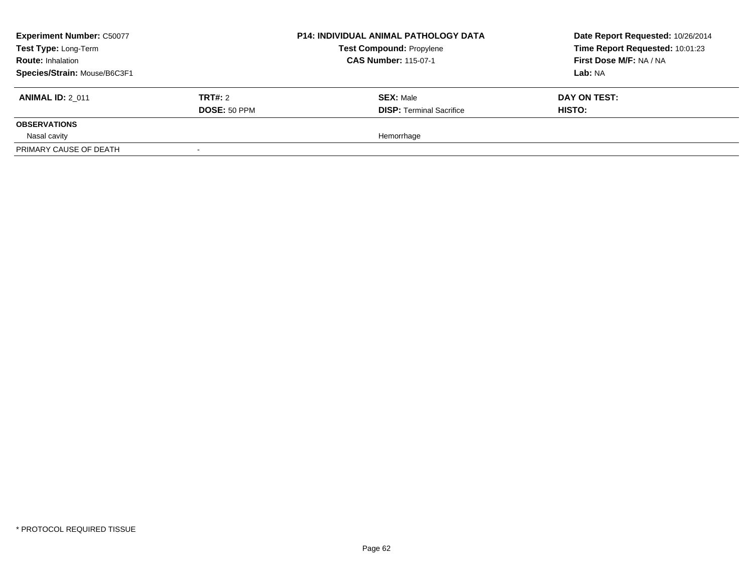| <b>Experiment Number: C50077</b><br>Test Type: Long-Term<br><b>Route: Inhalation</b><br>Species/Strain: Mouse/B6C3F1 |                                | <b>P14: INDIVIDUAL ANIMAL PATHOLOGY DATA</b><br><b>Test Compound: Propylene</b><br><b>CAS Number: 115-07-1</b> | Date Report Requested: 10/26/2014<br>Time Report Requested: 10:01:23<br>First Dose M/F: NA / NA<br>Lab: NA |
|----------------------------------------------------------------------------------------------------------------------|--------------------------------|----------------------------------------------------------------------------------------------------------------|------------------------------------------------------------------------------------------------------------|
| <b>ANIMAL ID: 2 011</b>                                                                                              | TRT#: 2<br><b>DOSE: 50 PPM</b> | <b>SEX: Male</b><br><b>DISP: Terminal Sacrifice</b>                                                            | DAY ON TEST:<br>HISTO:                                                                                     |
| <b>OBSERVATIONS</b>                                                                                                  |                                |                                                                                                                |                                                                                                            |
| Nasal cavity<br>PRIMARY CAUSE OF DEATH                                                                               |                                | Hemorrhage                                                                                                     |                                                                                                            |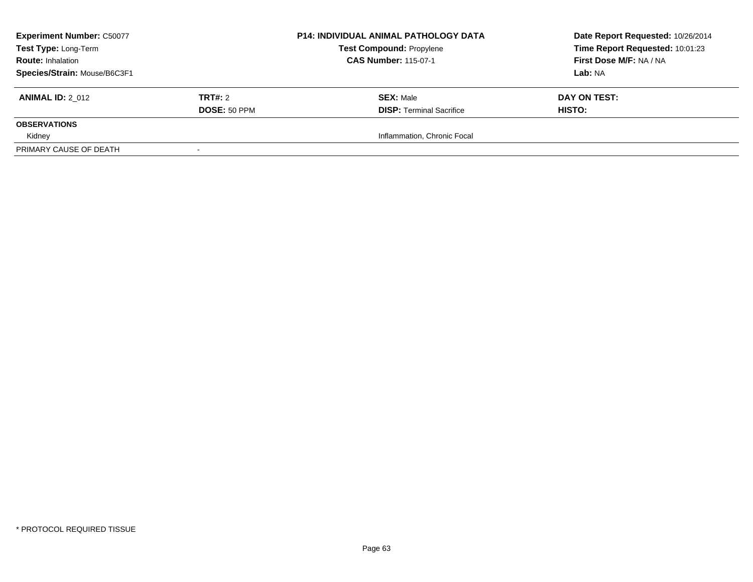| <b>Experiment Number: C50077</b> |              | <b>P14: INDIVIDUAL ANIMAL PATHOLOGY DATA</b> | Date Report Requested: 10/26/2014 |
|----------------------------------|--------------|----------------------------------------------|-----------------------------------|
| Test Type: Long-Term             |              | <b>Test Compound: Propylene</b>              | Time Report Requested: 10:01:23   |
| <b>Route: Inhalation</b>         |              | <b>CAS Number: 115-07-1</b>                  | First Dose M/F: NA / NA           |
| Species/Strain: Mouse/B6C3F1     |              |                                              | Lab: NA                           |
| <b>ANIMAL ID: 2 012</b>          | TRT#: 2      | <b>SEX: Male</b>                             | DAY ON TEST:                      |
|                                  | DOSE: 50 PPM | <b>DISP: Terminal Sacrifice</b>              | <b>HISTO:</b>                     |
| <b>OBSERVATIONS</b>              |              |                                              |                                   |
| Kidney                           |              | Inflammation, Chronic Focal                  |                                   |
| PRIMARY CAUSE OF DEATH           |              |                                              |                                   |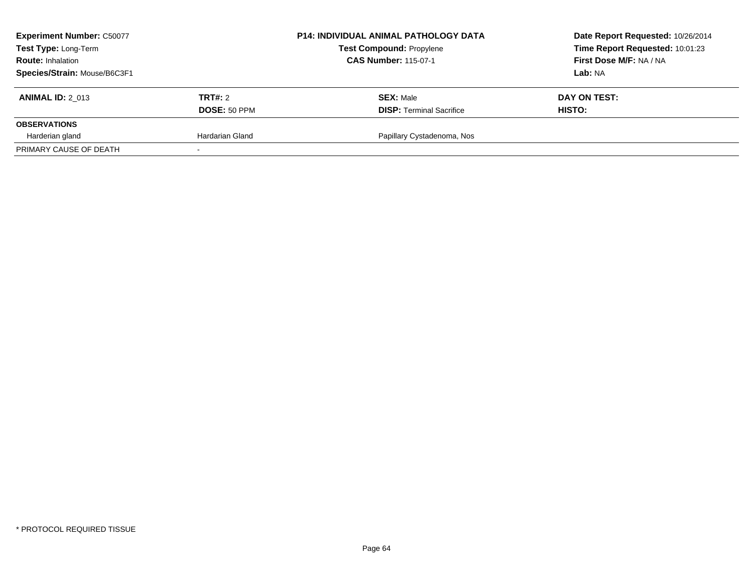| <b>Experiment Number: C50077</b><br>Test Type: Long-Term<br><b>Route: Inhalation</b><br>Species/Strain: Mouse/B6C3F1 |                 | <b>P14: INDIVIDUAL ANIMAL PATHOLOGY DATA</b><br><b>Test Compound: Propylene</b><br><b>CAS Number: 115-07-1</b> | Date Report Requested: 10/26/2014<br>Time Report Requested: 10:01:23<br>First Dose M/F: NA / NA<br>Lab: NA |
|----------------------------------------------------------------------------------------------------------------------|-----------------|----------------------------------------------------------------------------------------------------------------|------------------------------------------------------------------------------------------------------------|
| <b>ANIMAL ID: 2 013</b>                                                                                              | TRT#: 2         | <b>SEX: Male</b>                                                                                               | DAY ON TEST:                                                                                               |
| <b>OBSERVATIONS</b>                                                                                                  | DOSE: 50 PPM    | <b>DISP: Terminal Sacrifice</b>                                                                                | <b>HISTO:</b>                                                                                              |
| Harderian gland                                                                                                      | Hardarian Gland | Papillary Cystadenoma, Nos                                                                                     |                                                                                                            |
| PRIMARY CAUSE OF DEATH                                                                                               |                 |                                                                                                                |                                                                                                            |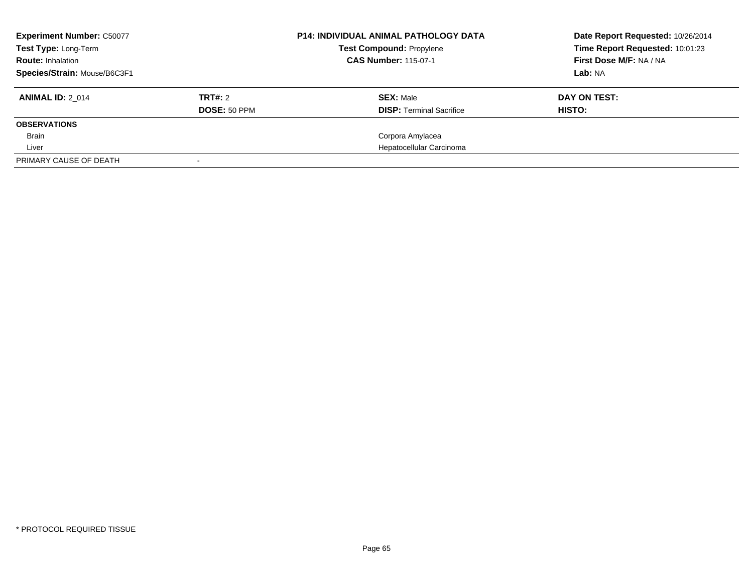| <b>Experiment Number: C50077</b><br>Test Type: Long-Term<br><b>Route: Inhalation</b><br>Species/Strain: Mouse/B6C3F1 |                         | <b>P14: INDIVIDUAL ANIMAL PATHOLOGY DATA</b><br><b>Test Compound: Propylene</b><br><b>CAS Number: 115-07-1</b> | Date Report Requested: 10/26/2014<br>Time Report Requested: 10:01:23<br>First Dose M/F: NA / NA<br>Lab: NA |
|----------------------------------------------------------------------------------------------------------------------|-------------------------|----------------------------------------------------------------------------------------------------------------|------------------------------------------------------------------------------------------------------------|
| <b>ANIMAL ID: 2 014</b>                                                                                              | TRT#: 2<br>DOSE: 50 PPM | <b>SEX: Male</b><br><b>DISP:</b> Terminal Sacrifice                                                            | DAY ON TEST:<br>HISTO:                                                                                     |
| <b>OBSERVATIONS</b>                                                                                                  |                         |                                                                                                                |                                                                                                            |
| Brain                                                                                                                |                         | Corpora Amylacea                                                                                               |                                                                                                            |
| Liver                                                                                                                |                         | Hepatocellular Carcinoma                                                                                       |                                                                                                            |
| PRIMARY CAUSE OF DEATH                                                                                               |                         |                                                                                                                |                                                                                                            |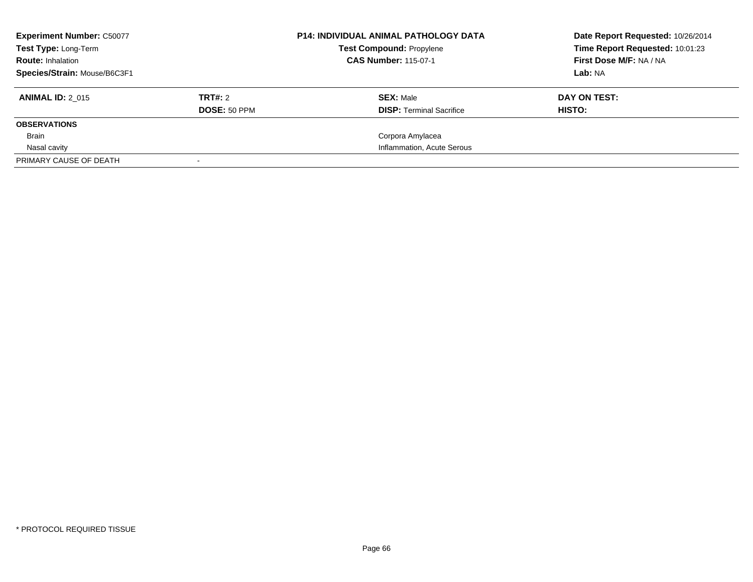| <b>Experiment Number: C50077</b><br><b>Test Type: Long-Term</b><br><b>Route: Inhalation</b><br>Species/Strain: Mouse/B6C3F1 |                                | <b>P14: INDIVIDUAL ANIMAL PATHOLOGY DATA</b><br><b>Test Compound: Propylene</b><br><b>CAS Number: 115-07-1</b> | Date Report Requested: 10/26/2014<br>Time Report Requested: 10:01:23<br>First Dose M/F: NA / NA<br>Lab: NA |
|-----------------------------------------------------------------------------------------------------------------------------|--------------------------------|----------------------------------------------------------------------------------------------------------------|------------------------------------------------------------------------------------------------------------|
| <b>ANIMAL ID: 2 015</b>                                                                                                     | TRT#: 2<br><b>DOSE: 50 PPM</b> | <b>SEX: Male</b><br><b>DISP:</b> Terminal Sacrifice                                                            | DAY ON TEST:<br>HISTO:                                                                                     |
| <b>OBSERVATIONS</b>                                                                                                         |                                |                                                                                                                |                                                                                                            |
| Brain                                                                                                                       |                                | Corpora Amylacea                                                                                               |                                                                                                            |
| Nasal cavity                                                                                                                |                                | Inflammation, Acute Serous                                                                                     |                                                                                                            |
| PRIMARY CAUSE OF DEATH                                                                                                      |                                |                                                                                                                |                                                                                                            |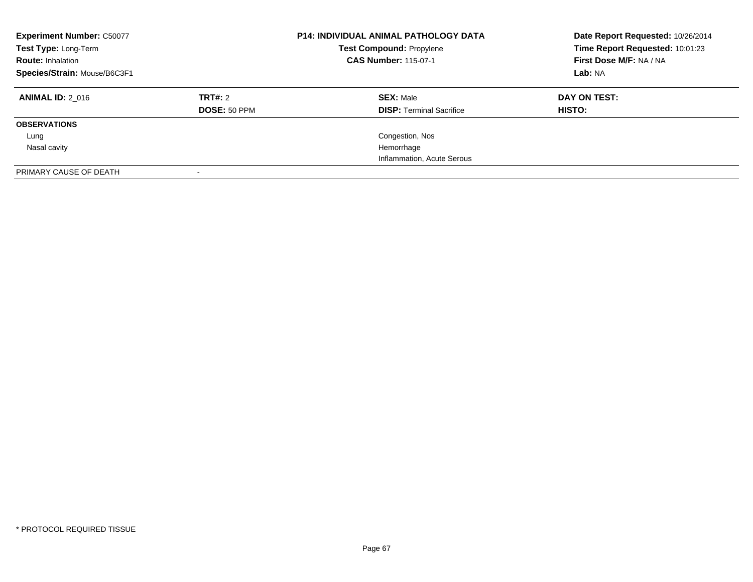| <b>Experiment Number: C50077</b><br>Test Type: Long-Term<br><b>Route: Inhalation</b><br>Species/Strain: Mouse/B6C3F1 |                     | <b>P14: INDIVIDUAL ANIMAL PATHOLOGY DATA</b><br><b>Test Compound: Propylene</b><br><b>CAS Number: 115-07-1</b> | Date Report Requested: 10/26/2014<br>Time Report Requested: 10:01:23<br>First Dose M/F: NA / NA<br>Lab: NA |
|----------------------------------------------------------------------------------------------------------------------|---------------------|----------------------------------------------------------------------------------------------------------------|------------------------------------------------------------------------------------------------------------|
| <b>ANIMAL ID: 2 016</b>                                                                                              | TRT#: 2             | <b>SEX: Male</b>                                                                                               | DAY ON TEST:                                                                                               |
|                                                                                                                      | <b>DOSE: 50 PPM</b> | <b>DISP:</b> Terminal Sacrifice                                                                                | <b>HISTO:</b>                                                                                              |
| <b>OBSERVATIONS</b>                                                                                                  |                     |                                                                                                                |                                                                                                            |
| Lung                                                                                                                 |                     | Congestion, Nos                                                                                                |                                                                                                            |
| Nasal cavity                                                                                                         |                     | Hemorrhage                                                                                                     |                                                                                                            |
|                                                                                                                      |                     | Inflammation, Acute Serous                                                                                     |                                                                                                            |
| PRIMARY CAUSE OF DEATH                                                                                               |                     |                                                                                                                |                                                                                                            |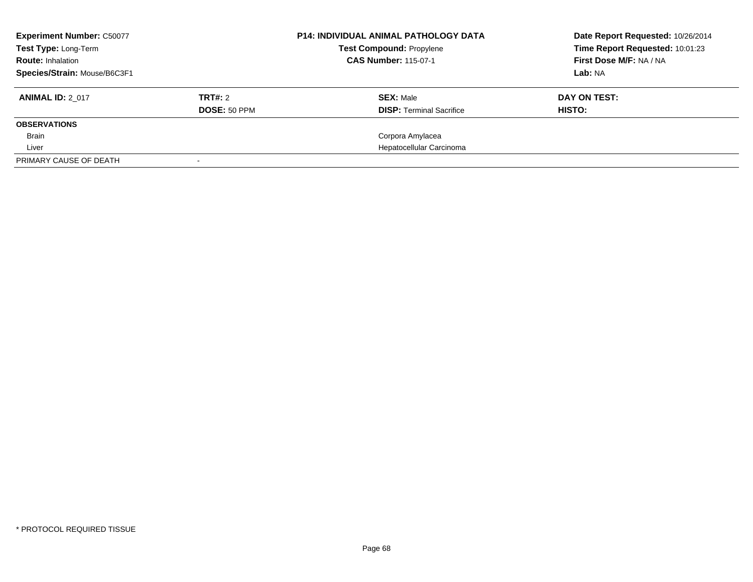| <b>Experiment Number: C50077</b><br>Test Type: Long-Term<br><b>Route: Inhalation</b><br>Species/Strain: Mouse/B6C3F1 |              | <b>P14: INDIVIDUAL ANIMAL PATHOLOGY DATA</b><br><b>Test Compound: Propylene</b><br><b>CAS Number: 115-07-1</b> | Date Report Requested: 10/26/2014<br>Time Report Requested: 10:01:23<br>First Dose M/F: NA / NA<br>Lab: NA |
|----------------------------------------------------------------------------------------------------------------------|--------------|----------------------------------------------------------------------------------------------------------------|------------------------------------------------------------------------------------------------------------|
|                                                                                                                      |              |                                                                                                                |                                                                                                            |
| <b>ANIMAL ID: 2 017</b>                                                                                              | TRT#: 2      | <b>SEX: Male</b>                                                                                               | DAY ON TEST:                                                                                               |
|                                                                                                                      | DOSE: 50 PPM | <b>DISP:</b> Terminal Sacrifice                                                                                | HISTO:                                                                                                     |
| <b>OBSERVATIONS</b>                                                                                                  |              |                                                                                                                |                                                                                                            |
| Brain                                                                                                                |              | Corpora Amylacea                                                                                               |                                                                                                            |
| Liver                                                                                                                |              | Hepatocellular Carcinoma                                                                                       |                                                                                                            |
| PRIMARY CAUSE OF DEATH                                                                                               |              |                                                                                                                |                                                                                                            |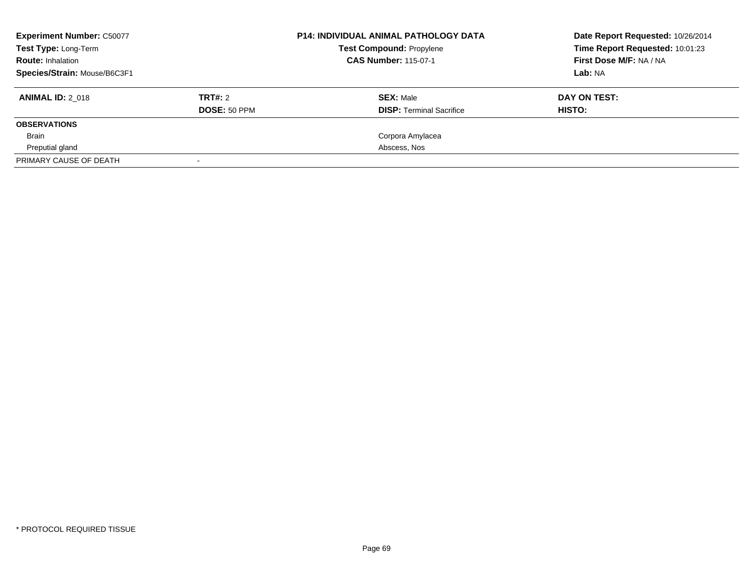| <b>Experiment Number: C50077</b> |              | <b>P14: INDIVIDUAL ANIMAL PATHOLOGY DATA</b> | Date Report Requested: 10/26/2014 |
|----------------------------------|--------------|----------------------------------------------|-----------------------------------|
| <b>Test Type: Long-Term</b>      |              | <b>Test Compound: Propylene</b>              | Time Report Requested: 10:01:23   |
| <b>Route: Inhalation</b>         |              | <b>CAS Number: 115-07-1</b>                  | First Dose M/F: NA / NA           |
| Species/Strain: Mouse/B6C3F1     |              |                                              | Lab: NA                           |
| <b>ANIMAL ID: 2 018</b>          | TRT#: 2      | <b>SEX: Male</b>                             | DAY ON TEST:                      |
|                                  | DOSE: 50 PPM | <b>DISP:</b> Terminal Sacrifice              | HISTO:                            |
| <b>OBSERVATIONS</b>              |              |                                              |                                   |
| Brain                            |              | Corpora Amylacea                             |                                   |
| Preputial gland                  |              | Abscess, Nos                                 |                                   |
| PRIMARY CAUSE OF DEATH           |              |                                              |                                   |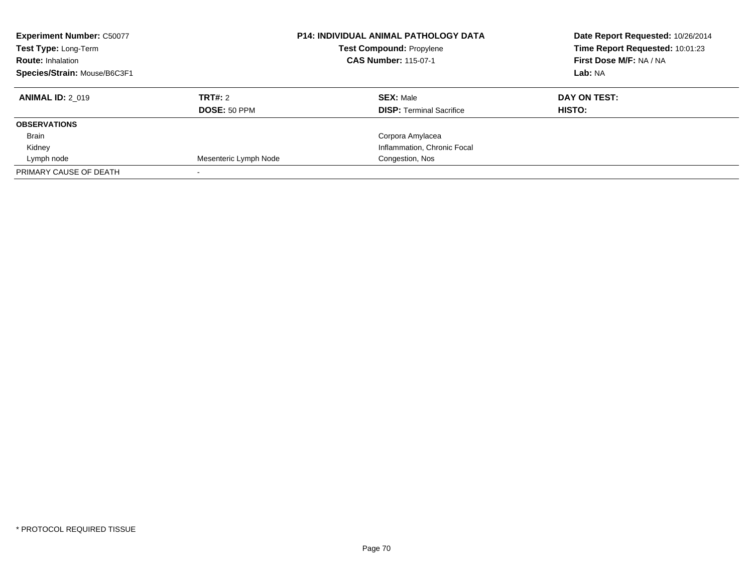| <b>Experiment Number: C50077</b><br>Test Type: Long-Term<br><b>Route: Inhalation</b><br>Species/Strain: Mouse/B6C3F1 |                       | <b>P14: INDIVIDUAL ANIMAL PATHOLOGY DATA</b><br><b>Test Compound: Propylene</b><br><b>CAS Number: 115-07-1</b> | Date Report Requested: 10/26/2014<br>Time Report Requested: 10:01:23<br>First Dose M/F: NA / NA<br>Lab: NA |
|----------------------------------------------------------------------------------------------------------------------|-----------------------|----------------------------------------------------------------------------------------------------------------|------------------------------------------------------------------------------------------------------------|
| <b>ANIMAL ID: 2 019</b>                                                                                              | TRT#: 2               | <b>SEX: Male</b>                                                                                               | DAY ON TEST:                                                                                               |
|                                                                                                                      | <b>DOSE: 50 PPM</b>   | <b>DISP: Terminal Sacrifice</b>                                                                                | HISTO:                                                                                                     |
| <b>OBSERVATIONS</b>                                                                                                  |                       |                                                                                                                |                                                                                                            |
| <b>Brain</b>                                                                                                         |                       | Corpora Amylacea                                                                                               |                                                                                                            |
| Kidney                                                                                                               |                       | Inflammation, Chronic Focal                                                                                    |                                                                                                            |
| Lymph node                                                                                                           | Mesenteric Lymph Node | Congestion, Nos                                                                                                |                                                                                                            |
| PRIMARY CAUSE OF DEATH                                                                                               |                       |                                                                                                                |                                                                                                            |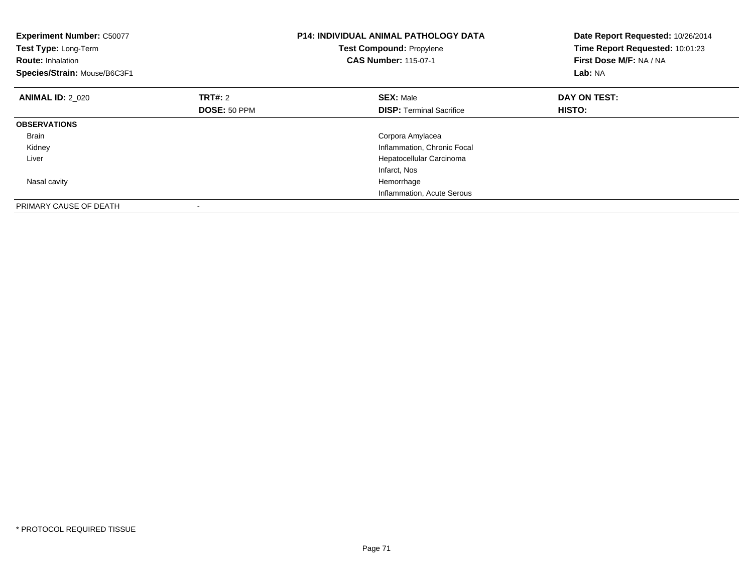| <b>Experiment Number: C50077</b><br>Test Type: Long-Term<br><b>Route: Inhalation</b><br>Species/Strain: Mouse/B6C3F1 |                     | <b>P14: INDIVIDUAL ANIMAL PATHOLOGY DATA</b><br>Test Compound: Propylene<br><b>CAS Number: 115-07-1</b> | Date Report Requested: 10/26/2014<br>Time Report Requested: 10:01:23<br>First Dose M/F: NA / NA<br>Lab: NA |
|----------------------------------------------------------------------------------------------------------------------|---------------------|---------------------------------------------------------------------------------------------------------|------------------------------------------------------------------------------------------------------------|
| <b>ANIMAL ID: 2 020</b>                                                                                              | TRT#: 2             | <b>SEX: Male</b>                                                                                        | DAY ON TEST:                                                                                               |
|                                                                                                                      | <b>DOSE: 50 PPM</b> | <b>DISP:</b> Terminal Sacrifice                                                                         | HISTO:                                                                                                     |
| <b>OBSERVATIONS</b>                                                                                                  |                     |                                                                                                         |                                                                                                            |
| <b>Brain</b>                                                                                                         |                     | Corpora Amylacea                                                                                        |                                                                                                            |
| Kidney                                                                                                               |                     | Inflammation, Chronic Focal                                                                             |                                                                                                            |
| Liver                                                                                                                |                     | Hepatocellular Carcinoma                                                                                |                                                                                                            |
|                                                                                                                      |                     | Infarct, Nos                                                                                            |                                                                                                            |
| Nasal cavity                                                                                                         |                     | Hemorrhage                                                                                              |                                                                                                            |
|                                                                                                                      |                     | Inflammation, Acute Serous                                                                              |                                                                                                            |
| PRIMARY CAUSE OF DEATH                                                                                               |                     |                                                                                                         |                                                                                                            |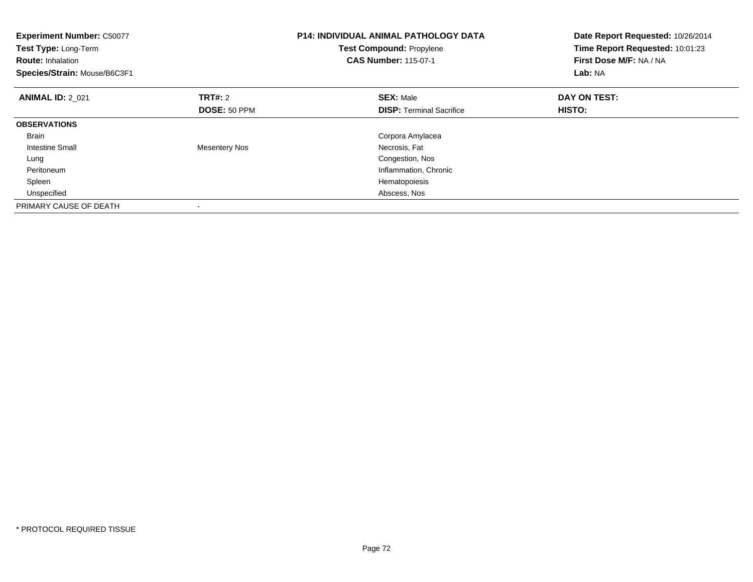| <b>Experiment Number: C50077</b><br>Test Type: Long-Term<br><b>Route: Inhalation</b><br>Species/Strain: Mouse/B6C3F1 |                      | <b>P14: INDIVIDUAL ANIMAL PATHOLOGY DATA</b><br><b>Test Compound: Propylene</b><br><b>CAS Number: 115-07-1</b> | Date Report Requested: 10/26/2014<br>Time Report Requested: 10:01:23<br>First Dose M/F: NA / NA<br>Lab: NA |
|----------------------------------------------------------------------------------------------------------------------|----------------------|----------------------------------------------------------------------------------------------------------------|------------------------------------------------------------------------------------------------------------|
| <b>ANIMAL ID: 2 021</b>                                                                                              | <b>TRT#: 2</b>       | <b>SEX: Male</b>                                                                                               | DAY ON TEST:                                                                                               |
|                                                                                                                      | <b>DOSE: 50 PPM</b>  | <b>DISP:</b> Terminal Sacrifice                                                                                | <b>HISTO:</b>                                                                                              |
| <b>OBSERVATIONS</b>                                                                                                  |                      |                                                                                                                |                                                                                                            |
| <b>Brain</b>                                                                                                         |                      | Corpora Amylacea                                                                                               |                                                                                                            |
| Intestine Small                                                                                                      | <b>Mesentery Nos</b> | Necrosis, Fat                                                                                                  |                                                                                                            |
| Lung                                                                                                                 |                      | Congestion, Nos                                                                                                |                                                                                                            |
| Peritoneum                                                                                                           |                      | Inflammation, Chronic                                                                                          |                                                                                                            |
| Spleen                                                                                                               |                      | Hematopoiesis                                                                                                  |                                                                                                            |
| Unspecified                                                                                                          |                      | Abscess, Nos                                                                                                   |                                                                                                            |
| PRIMARY CAUSE OF DEATH                                                                                               |                      |                                                                                                                |                                                                                                            |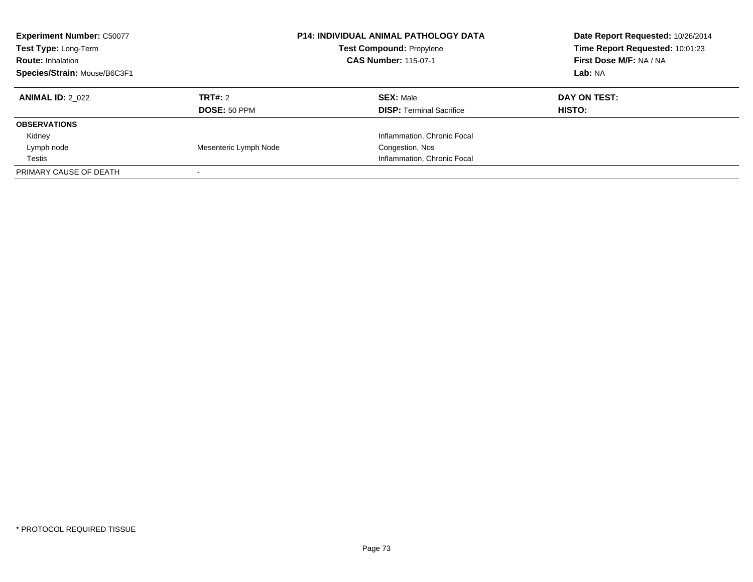| <b>Experiment Number: C50077</b><br>Test Type: Long-Term<br><b>Route: Inhalation</b><br>Species/Strain: Mouse/B6C3F1 |                       | <b>P14: INDIVIDUAL ANIMAL PATHOLOGY DATA</b><br><b>Test Compound: Propylene</b><br><b>CAS Number: 115-07-1</b> | Date Report Requested: 10/26/2014<br>Time Report Requested: 10:01:23<br>First Dose M/F: NA / NA<br><b>Lab: NA</b> |
|----------------------------------------------------------------------------------------------------------------------|-----------------------|----------------------------------------------------------------------------------------------------------------|-------------------------------------------------------------------------------------------------------------------|
| <b>ANIMAL ID: 2 022</b>                                                                                              | TRT#: 2               | <b>SEX: Male</b>                                                                                               | DAY ON TEST:                                                                                                      |
|                                                                                                                      | DOSE: 50 PPM          | <b>DISP:</b> Terminal Sacrifice                                                                                | HISTO:                                                                                                            |
| <b>OBSERVATIONS</b>                                                                                                  |                       |                                                                                                                |                                                                                                                   |
| Kidney                                                                                                               |                       | Inflammation, Chronic Focal                                                                                    |                                                                                                                   |
| Lymph node                                                                                                           | Mesenteric Lymph Node | Congestion, Nos                                                                                                |                                                                                                                   |
| Testis                                                                                                               |                       | Inflammation, Chronic Focal                                                                                    |                                                                                                                   |
| PRIMARY CAUSE OF DEATH                                                                                               |                       |                                                                                                                |                                                                                                                   |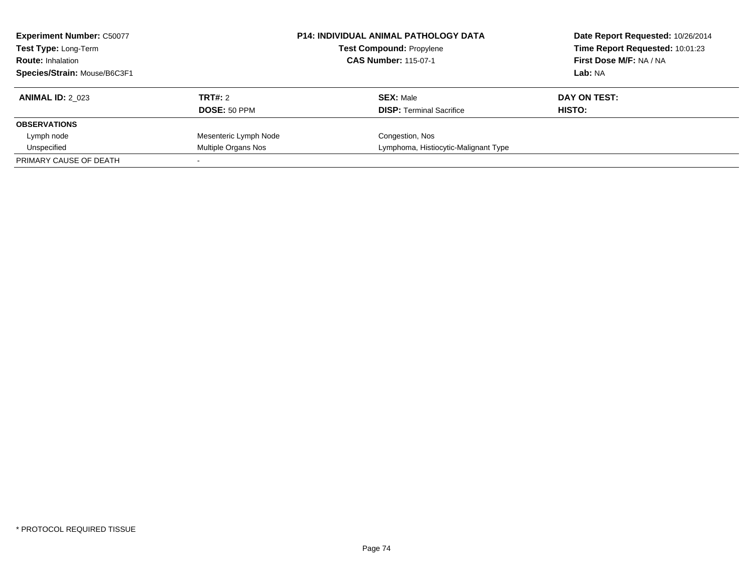| <b>Experiment Number: C50077</b><br>Test Type: Long-Term<br><b>Route: Inhalation</b><br>Species/Strain: Mouse/B6C3F1 |                       | <b>P14: INDIVIDUAL ANIMAL PATHOLOGY DATA</b><br><b>Test Compound: Propylene</b><br><b>CAS Number: 115-07-1</b> | Date Report Requested: 10/26/2014<br>Time Report Requested: 10:01:23<br>First Dose M/F: NA / NA<br>Lab: NA |
|----------------------------------------------------------------------------------------------------------------------|-----------------------|----------------------------------------------------------------------------------------------------------------|------------------------------------------------------------------------------------------------------------|
| <b>ANIMAL ID: 2 023</b>                                                                                              | TRT#: 2               | <b>SEX: Male</b>                                                                                               | DAY ON TEST:                                                                                               |
|                                                                                                                      | <b>DOSE: 50 PPM</b>   | <b>DISP:</b> Terminal Sacrifice                                                                                | HISTO:                                                                                                     |
| <b>OBSERVATIONS</b>                                                                                                  |                       |                                                                                                                |                                                                                                            |
| Lymph node                                                                                                           | Mesenteric Lymph Node | Congestion, Nos                                                                                                |                                                                                                            |
| Unspecified                                                                                                          | Multiple Organs Nos   | Lymphoma, Histiocytic-Malignant Type                                                                           |                                                                                                            |
| PRIMARY CAUSE OF DEATH                                                                                               |                       |                                                                                                                |                                                                                                            |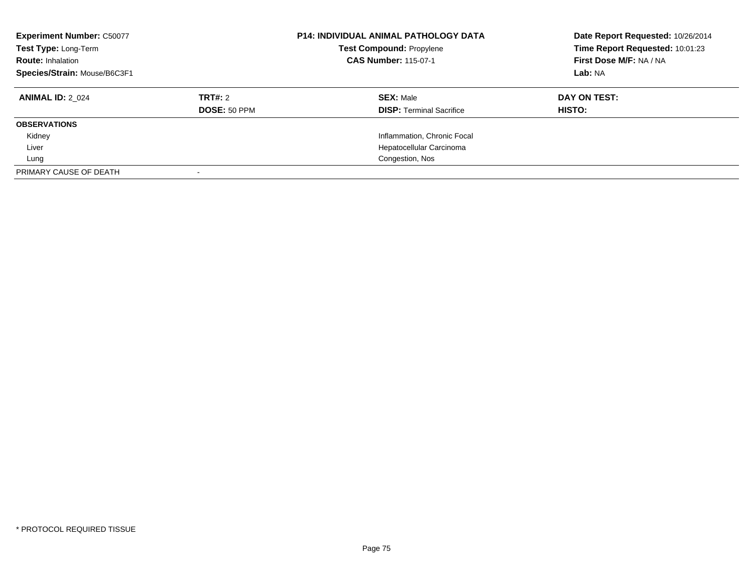| <b>Experiment Number: C50077</b><br>Test Type: Long-Term<br><b>Route: Inhalation</b><br>Species/Strain: Mouse/B6C3F1 |                                | <b>P14: INDIVIDUAL ANIMAL PATHOLOGY DATA</b><br><b>Test Compound: Propylene</b><br><b>CAS Number: 115-07-1</b> | Date Report Requested: 10/26/2014<br>Time Report Requested: 10:01:23<br>First Dose M/F: NA / NA<br>Lab: NA |
|----------------------------------------------------------------------------------------------------------------------|--------------------------------|----------------------------------------------------------------------------------------------------------------|------------------------------------------------------------------------------------------------------------|
| <b>ANIMAL ID: 2 024</b>                                                                                              | TRT#: 2<br><b>DOSE: 50 PPM</b> | <b>SEX: Male</b><br><b>DISP:</b> Terminal Sacrifice                                                            | DAY ON TEST:<br><b>HISTO:</b>                                                                              |
| <b>OBSERVATIONS</b>                                                                                                  |                                |                                                                                                                |                                                                                                            |
| Kidney                                                                                                               |                                | Inflammation, Chronic Focal                                                                                    |                                                                                                            |
| Liver                                                                                                                |                                | Hepatocellular Carcinoma                                                                                       |                                                                                                            |
| Lung                                                                                                                 |                                | Congestion, Nos                                                                                                |                                                                                                            |
| PRIMARY CAUSE OF DEATH                                                                                               |                                |                                                                                                                |                                                                                                            |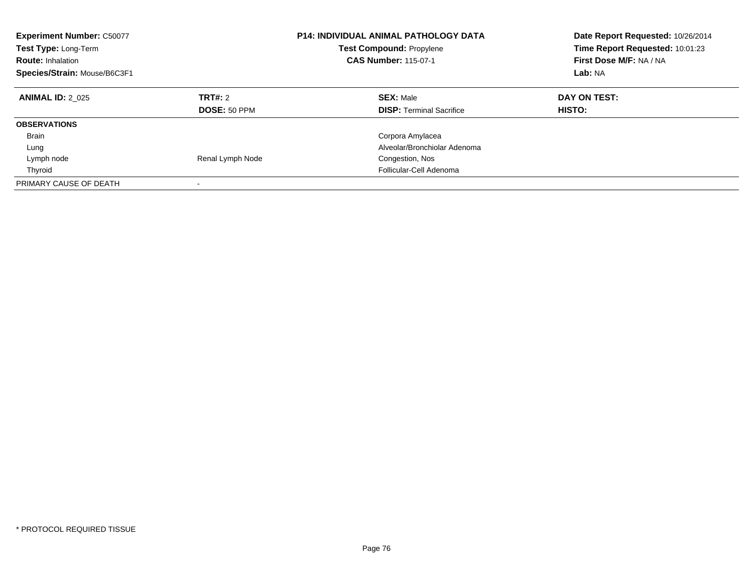| <b>Experiment Number: C50077</b><br>Test Type: Long-Term<br><b>Route: Inhalation</b><br>Species/Strain: Mouse/B6C3F1 |                         | <b>P14: INDIVIDUAL ANIMAL PATHOLOGY DATA</b><br><b>Test Compound: Propylene</b><br><b>CAS Number: 115-07-1</b> | Date Report Requested: 10/26/2014<br>Time Report Requested: 10:01:23<br>First Dose M/F: NA / NA<br>Lab: NA |
|----------------------------------------------------------------------------------------------------------------------|-------------------------|----------------------------------------------------------------------------------------------------------------|------------------------------------------------------------------------------------------------------------|
| <b>ANIMAL ID: 2 025</b>                                                                                              | TRT#: 2<br>DOSE: 50 PPM | <b>SEX: Male</b><br><b>DISP:</b> Terminal Sacrifice                                                            | DAY ON TEST:<br>HISTO:                                                                                     |
| <b>OBSERVATIONS</b>                                                                                                  |                         |                                                                                                                |                                                                                                            |
| <b>Brain</b>                                                                                                         |                         | Corpora Amylacea                                                                                               |                                                                                                            |
| Lung                                                                                                                 |                         | Alveolar/Bronchiolar Adenoma                                                                                   |                                                                                                            |
| Lymph node                                                                                                           | Renal Lymph Node        | Congestion, Nos                                                                                                |                                                                                                            |
| Thyroid                                                                                                              |                         | Follicular-Cell Adenoma                                                                                        |                                                                                                            |
| PRIMARY CAUSE OF DEATH                                                                                               |                         |                                                                                                                |                                                                                                            |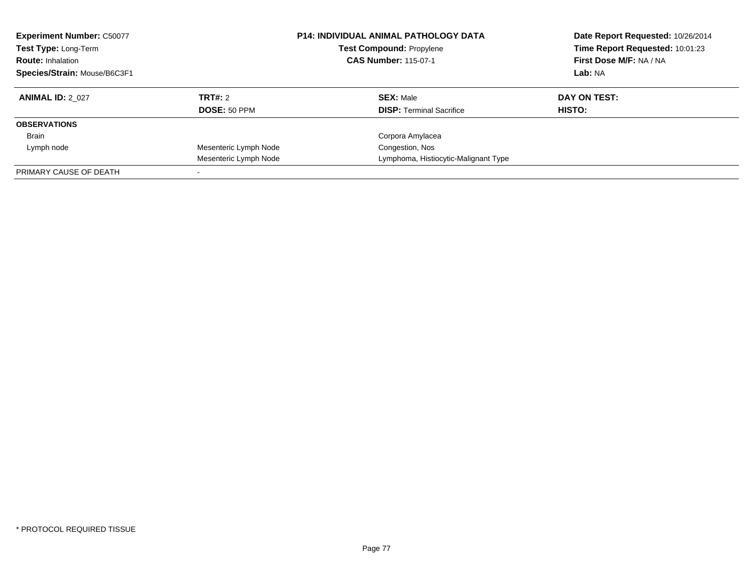| <b>Experiment Number: C50077</b><br><b>Test Type: Long-Term</b><br><b>Route: Inhalation</b><br>Species/Strain: Mouse/B6C3F1 |                       | <b>P14: INDIVIDUAL ANIMAL PATHOLOGY DATA</b><br><b>Test Compound: Propylene</b><br><b>CAS Number: 115-07-1</b> | Date Report Requested: 10/26/2014<br>Time Report Requested: 10:01:23<br>First Dose M/F: NA / NA<br>Lab: NA |
|-----------------------------------------------------------------------------------------------------------------------------|-----------------------|----------------------------------------------------------------------------------------------------------------|------------------------------------------------------------------------------------------------------------|
| <b>ANIMAL ID: 2 027</b>                                                                                                     | TRT#: 2               | <b>SEX: Male</b>                                                                                               | DAY ON TEST:                                                                                               |
|                                                                                                                             | <b>DOSE: 50 PPM</b>   | <b>DISP:</b> Terminal Sacrifice                                                                                | <b>HISTO:</b>                                                                                              |
| <b>OBSERVATIONS</b>                                                                                                         |                       |                                                                                                                |                                                                                                            |
| Brain                                                                                                                       |                       | Corpora Amylacea                                                                                               |                                                                                                            |
| Lymph node                                                                                                                  | Mesenteric Lymph Node | Congestion, Nos                                                                                                |                                                                                                            |
|                                                                                                                             | Mesenteric Lymph Node | Lymphoma, Histiocytic-Malignant Type                                                                           |                                                                                                            |
| PRIMARY CAUSE OF DEATH                                                                                                      |                       |                                                                                                                |                                                                                                            |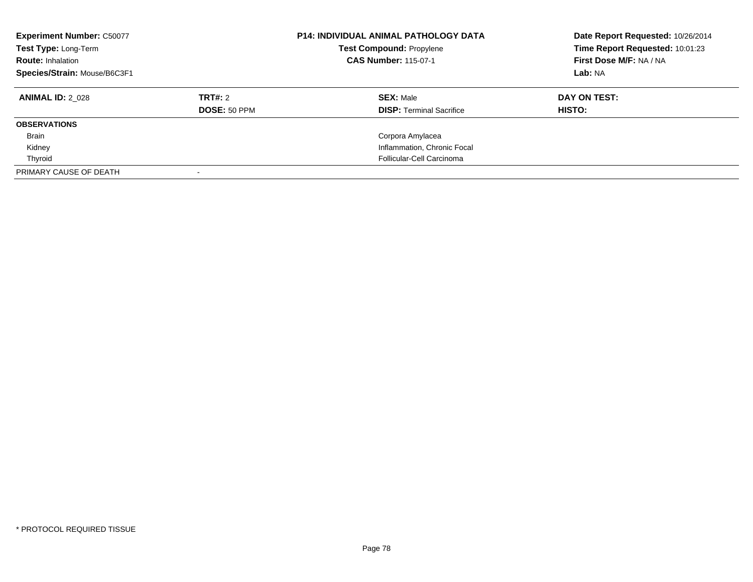| <b>Experiment Number: C50077</b><br>Test Type: Long-Term<br><b>Route: Inhalation</b><br>Species/Strain: Mouse/B6C3F1 |              | <b>P14: INDIVIDUAL ANIMAL PATHOLOGY DATA</b><br><b>Test Compound: Propylene</b><br><b>CAS Number: 115-07-1</b> | Date Report Requested: 10/26/2014<br>Time Report Requested: 10:01:23<br>First Dose M/F: NA / NA<br>Lab: NA |
|----------------------------------------------------------------------------------------------------------------------|--------------|----------------------------------------------------------------------------------------------------------------|------------------------------------------------------------------------------------------------------------|
| <b>ANIMAL ID: 2 028</b>                                                                                              | TRT#: 2      | <b>SEX: Male</b>                                                                                               | DAY ON TEST:                                                                                               |
|                                                                                                                      | DOSE: 50 PPM | <b>DISP: Terminal Sacrifice</b>                                                                                | <b>HISTO:</b>                                                                                              |
| <b>OBSERVATIONS</b>                                                                                                  |              |                                                                                                                |                                                                                                            |
| <b>Brain</b>                                                                                                         |              | Corpora Amylacea                                                                                               |                                                                                                            |
| Kidney                                                                                                               |              | Inflammation, Chronic Focal                                                                                    |                                                                                                            |
| Thyroid                                                                                                              |              | Follicular-Cell Carcinoma                                                                                      |                                                                                                            |
| PRIMARY CAUSE OF DEATH                                                                                               |              |                                                                                                                |                                                                                                            |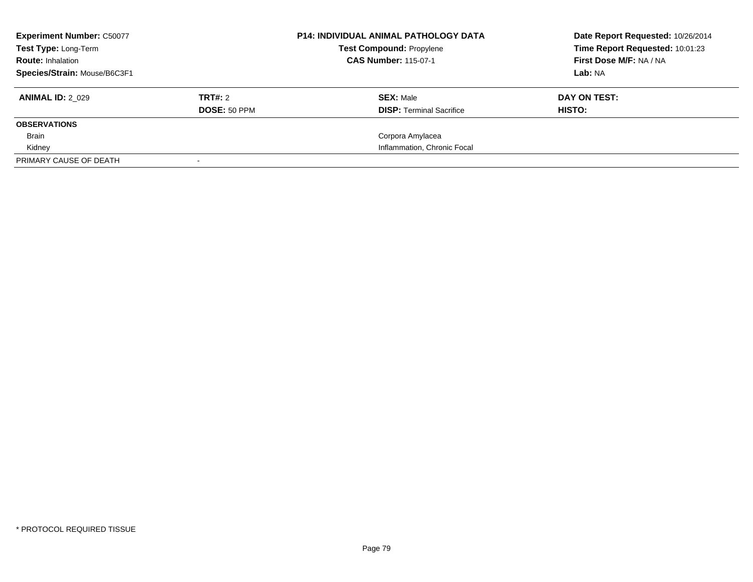| <b>Experiment Number: C50077</b><br><b>Test Type: Long-Term</b><br><b>Route: Inhalation</b><br>Species/Strain: Mouse/B6C3F1 |                                | <b>P14: INDIVIDUAL ANIMAL PATHOLOGY DATA</b><br><b>Test Compound: Propylene</b><br><b>CAS Number: 115-07-1</b> | Date Report Requested: 10/26/2014<br>Time Report Requested: 10:01:23<br>First Dose M/F: NA / NA<br>Lab: NA |
|-----------------------------------------------------------------------------------------------------------------------------|--------------------------------|----------------------------------------------------------------------------------------------------------------|------------------------------------------------------------------------------------------------------------|
| <b>ANIMAL ID: 2 029</b>                                                                                                     | TRT#: 2<br><b>DOSE: 50 PPM</b> | <b>SEX: Male</b><br><b>DISP:</b> Terminal Sacrifice                                                            | DAY ON TEST:<br>HISTO:                                                                                     |
| <b>OBSERVATIONS</b>                                                                                                         |                                |                                                                                                                |                                                                                                            |
| Brain                                                                                                                       |                                | Corpora Amylacea                                                                                               |                                                                                                            |
| Kidney                                                                                                                      |                                | Inflammation, Chronic Focal                                                                                    |                                                                                                            |
| PRIMARY CAUSE OF DEATH                                                                                                      |                                |                                                                                                                |                                                                                                            |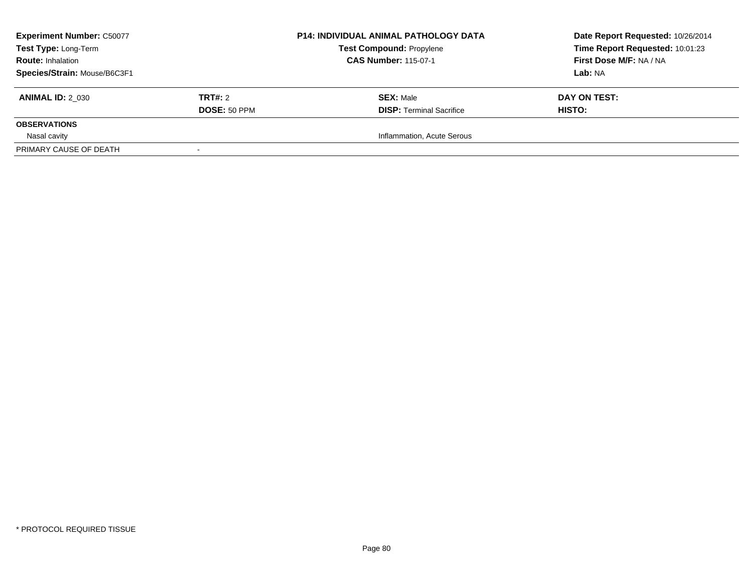| <b>Experiment Number: C50077</b><br>Test Type: Long-Term<br><b>Route: Inhalation</b><br>Species/Strain: Mouse/B6C3F1 |                                | <b>P14: INDIVIDUAL ANIMAL PATHOLOGY DATA</b><br><b>Test Compound: Propylene</b><br><b>CAS Number: 115-07-1</b> | Date Report Requested: 10/26/2014<br>Time Report Requested: 10:01:23<br>First Dose M/F: NA / NA<br>Lab: NA |
|----------------------------------------------------------------------------------------------------------------------|--------------------------------|----------------------------------------------------------------------------------------------------------------|------------------------------------------------------------------------------------------------------------|
| <b>ANIMAL ID: 2 030</b>                                                                                              | TRT#: 2<br><b>DOSE: 50 PPM</b> | <b>SEX: Male</b><br><b>DISP: Terminal Sacrifice</b>                                                            | DAY ON TEST:<br>HISTO:                                                                                     |
| <b>OBSERVATIONS</b>                                                                                                  |                                |                                                                                                                |                                                                                                            |
| Nasal cavity<br>PRIMARY CAUSE OF DEATH                                                                               |                                | Inflammation, Acute Serous                                                                                     |                                                                                                            |
|                                                                                                                      |                                |                                                                                                                |                                                                                                            |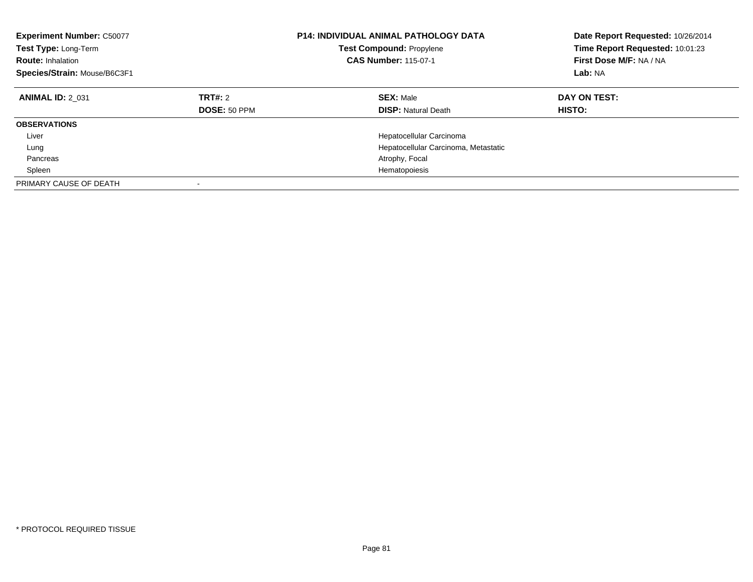| <b>Experiment Number: C50077</b><br>Test Type: Long-Term<br><b>Route: Inhalation</b><br>Species/Strain: Mouse/B6C3F1 |                                | <b>P14: INDIVIDUAL ANIMAL PATHOLOGY DATA</b><br><b>Test Compound: Propylene</b><br><b>CAS Number: 115-07-1</b> | Date Report Requested: 10/26/2014<br>Time Report Requested: 10:01:23<br>First Dose M/F: NA / NA<br>Lab: NA |
|----------------------------------------------------------------------------------------------------------------------|--------------------------------|----------------------------------------------------------------------------------------------------------------|------------------------------------------------------------------------------------------------------------|
| <b>ANIMAL ID: 2 031</b>                                                                                              | TRT#: 2<br><b>DOSE: 50 PPM</b> | <b>SEX: Male</b><br><b>DISP:</b> Natural Death                                                                 | DAY ON TEST:<br><b>HISTO:</b>                                                                              |
| <b>OBSERVATIONS</b>                                                                                                  |                                |                                                                                                                |                                                                                                            |
| Liver                                                                                                                |                                | Hepatocellular Carcinoma                                                                                       |                                                                                                            |
| Lung                                                                                                                 |                                | Hepatocellular Carcinoma, Metastatic                                                                           |                                                                                                            |
| Pancreas                                                                                                             |                                | Atrophy, Focal                                                                                                 |                                                                                                            |
| Spleen                                                                                                               |                                | Hematopoiesis                                                                                                  |                                                                                                            |
| PRIMARY CAUSE OF DEATH                                                                                               |                                |                                                                                                                |                                                                                                            |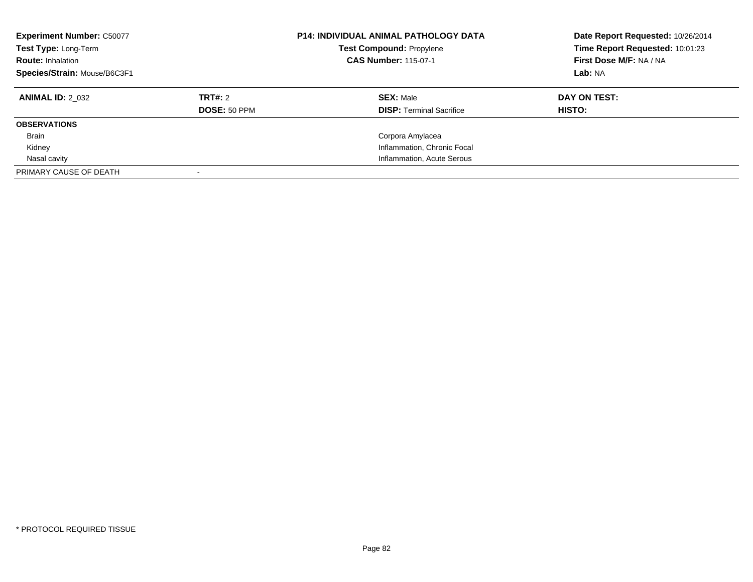| <b>Experiment Number: C50077</b><br>Test Type: Long-Term<br><b>Route: Inhalation</b><br>Species/Strain: Mouse/B6C3F1 |              | <b>P14: INDIVIDUAL ANIMAL PATHOLOGY DATA</b><br><b>Test Compound: Propylene</b><br><b>CAS Number: 115-07-1</b> | Date Report Requested: 10/26/2014<br>Time Report Requested: 10:01:23<br>First Dose M/F: NA / NA<br>Lab: NA |
|----------------------------------------------------------------------------------------------------------------------|--------------|----------------------------------------------------------------------------------------------------------------|------------------------------------------------------------------------------------------------------------|
| <b>ANIMAL ID: 2 032</b>                                                                                              | TRT#: 2      | <b>SEX: Male</b>                                                                                               | DAY ON TEST:                                                                                               |
|                                                                                                                      | DOSE: 50 PPM | <b>DISP: Terminal Sacrifice</b>                                                                                | HISTO:                                                                                                     |
| <b>OBSERVATIONS</b>                                                                                                  |              |                                                                                                                |                                                                                                            |
| <b>Brain</b>                                                                                                         |              | Corpora Amylacea                                                                                               |                                                                                                            |
| Kidney                                                                                                               |              | Inflammation, Chronic Focal                                                                                    |                                                                                                            |
| Nasal cavity                                                                                                         |              | Inflammation, Acute Serous                                                                                     |                                                                                                            |
| PRIMARY CAUSE OF DEATH                                                                                               |              |                                                                                                                |                                                                                                            |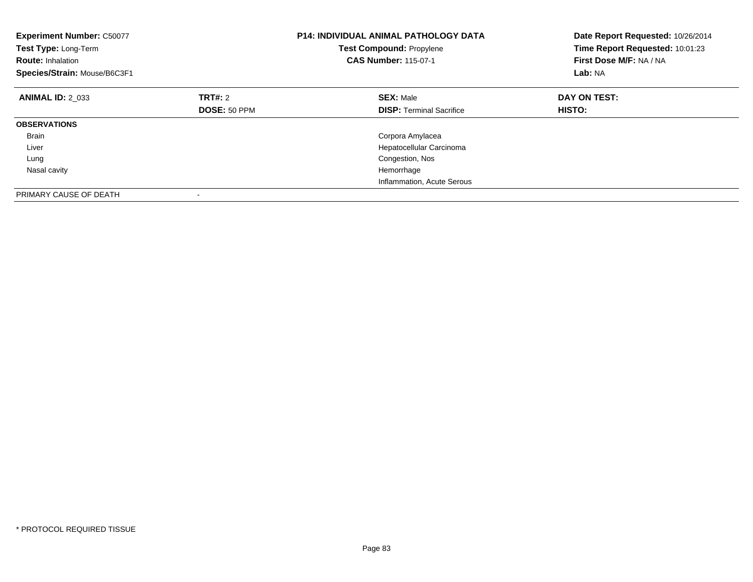| <b>Experiment Number: C50077</b><br>Test Type: Long-Term<br><b>Route: Inhalation</b><br>Species/Strain: Mouse/B6C3F1 |              | <b>P14: INDIVIDUAL ANIMAL PATHOLOGY DATA</b><br><b>Test Compound: Propylene</b><br><b>CAS Number: 115-07-1</b> | Date Report Requested: 10/26/2014<br>Time Report Requested: 10:01:23<br>First Dose M/F: NA / NA<br>Lab: NA |
|----------------------------------------------------------------------------------------------------------------------|--------------|----------------------------------------------------------------------------------------------------------------|------------------------------------------------------------------------------------------------------------|
| <b>ANIMAL ID: 2 033</b>                                                                                              | TRT#: 2      | <b>SEX: Male</b>                                                                                               | DAY ON TEST:                                                                                               |
|                                                                                                                      | DOSE: 50 PPM | <b>DISP:</b> Terminal Sacrifice                                                                                | <b>HISTO:</b>                                                                                              |
| <b>OBSERVATIONS</b>                                                                                                  |              |                                                                                                                |                                                                                                            |
| <b>Brain</b>                                                                                                         |              | Corpora Amylacea                                                                                               |                                                                                                            |
| Liver                                                                                                                |              | Hepatocellular Carcinoma                                                                                       |                                                                                                            |
| Lung                                                                                                                 |              | Congestion, Nos                                                                                                |                                                                                                            |
| Nasal cavity                                                                                                         |              | Hemorrhage                                                                                                     |                                                                                                            |
|                                                                                                                      |              | Inflammation, Acute Serous                                                                                     |                                                                                                            |
| PRIMARY CAUSE OF DEATH                                                                                               |              |                                                                                                                |                                                                                                            |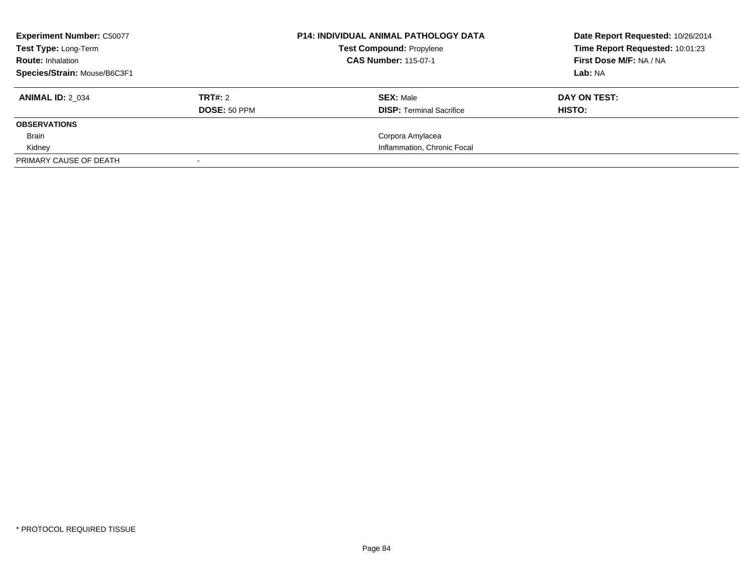| <b>Experiment Number: C50077</b><br>Test Type: Long-Term<br><b>Route: Inhalation</b> |                     | <b>P14: INDIVIDUAL ANIMAL PATHOLOGY DATA</b><br><b>Test Compound: Propylene</b><br><b>CAS Number: 115-07-1</b> | Date Report Requested: 10/26/2014<br>Time Report Requested: 10:01:23<br>First Dose M/F: NA / NA |
|--------------------------------------------------------------------------------------|---------------------|----------------------------------------------------------------------------------------------------------------|-------------------------------------------------------------------------------------------------|
| Species/Strain: Mouse/B6C3F1                                                         |                     |                                                                                                                | Lab: NA                                                                                         |
| <b>ANIMAL ID: 2 034</b>                                                              | TRT#: 2             | <b>SEX: Male</b>                                                                                               | DAY ON TEST:                                                                                    |
|                                                                                      | <b>DOSE: 50 PPM</b> | <b>DISP:</b> Terminal Sacrifice                                                                                | HISTO:                                                                                          |
| <b>OBSERVATIONS</b>                                                                  |                     |                                                                                                                |                                                                                                 |
| Brain                                                                                |                     | Corpora Amylacea                                                                                               |                                                                                                 |
| Kidney                                                                               |                     | Inflammation, Chronic Focal                                                                                    |                                                                                                 |
| PRIMARY CAUSE OF DEATH                                                               |                     |                                                                                                                |                                                                                                 |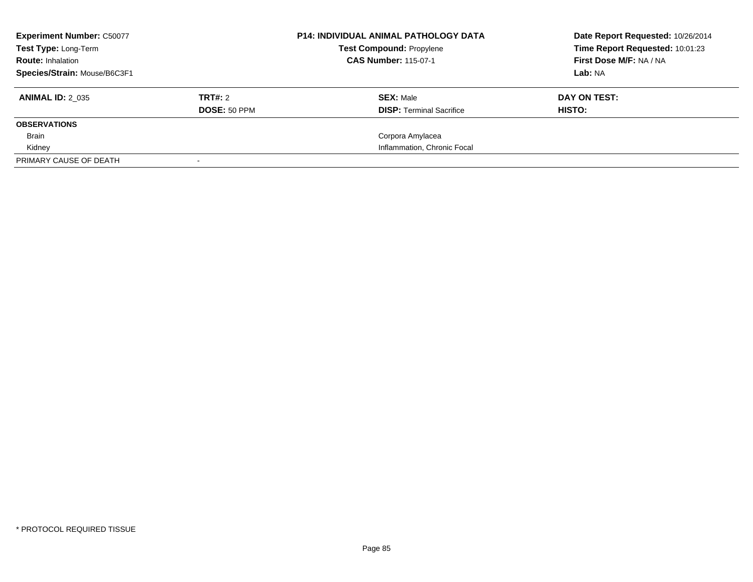| <b>Experiment Number: C50077</b><br><b>Test Type: Long-Term</b><br><b>Route: Inhalation</b><br>Species/Strain: Mouse/B6C3F1 |                                | <b>P14: INDIVIDUAL ANIMAL PATHOLOGY DATA</b><br><b>Test Compound: Propylene</b><br><b>CAS Number: 115-07-1</b> | Date Report Requested: 10/26/2014<br>Time Report Requested: 10:01:23<br>First Dose M/F: NA / NA<br>Lab: NA |
|-----------------------------------------------------------------------------------------------------------------------------|--------------------------------|----------------------------------------------------------------------------------------------------------------|------------------------------------------------------------------------------------------------------------|
| <b>ANIMAL ID: 2 035</b>                                                                                                     | TRT#: 2<br><b>DOSE: 50 PPM</b> | <b>SEX: Male</b><br><b>DISP:</b> Terminal Sacrifice                                                            | DAY ON TEST:<br>HISTO:                                                                                     |
| <b>OBSERVATIONS</b>                                                                                                         |                                |                                                                                                                |                                                                                                            |
| Brain                                                                                                                       |                                | Corpora Amylacea                                                                                               |                                                                                                            |
| Kidney                                                                                                                      |                                | Inflammation, Chronic Focal                                                                                    |                                                                                                            |
| PRIMARY CAUSE OF DEATH                                                                                                      |                                |                                                                                                                |                                                                                                            |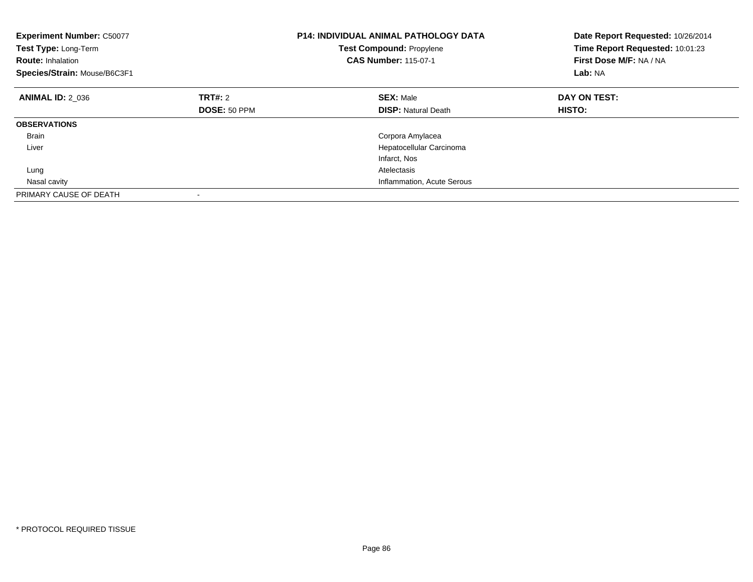| <b>Experiment Number: C50077</b><br>Test Type: Long-Term<br><b>Route: Inhalation</b><br>Species/Strain: Mouse/B6C3F1 |                | <b>P14: INDIVIDUAL ANIMAL PATHOLOGY DATA</b><br><b>Test Compound: Propylene</b><br><b>CAS Number: 115-07-1</b> | Date Report Requested: 10/26/2014<br>Time Report Requested: 10:01:23<br>First Dose M/F: NA / NA<br>Lab: NA |
|----------------------------------------------------------------------------------------------------------------------|----------------|----------------------------------------------------------------------------------------------------------------|------------------------------------------------------------------------------------------------------------|
| <b>ANIMAL ID: 2 036</b>                                                                                              | <b>TRT#:</b> 2 | <b>SEX: Male</b>                                                                                               | DAY ON TEST:                                                                                               |
|                                                                                                                      | DOSE: 50 PPM   | <b>DISP:</b> Natural Death                                                                                     | <b>HISTO:</b>                                                                                              |
| <b>OBSERVATIONS</b>                                                                                                  |                |                                                                                                                |                                                                                                            |
| <b>Brain</b>                                                                                                         |                | Corpora Amylacea                                                                                               |                                                                                                            |
| Liver                                                                                                                |                | Hepatocellular Carcinoma                                                                                       |                                                                                                            |
|                                                                                                                      |                | Infarct, Nos                                                                                                   |                                                                                                            |
| Lung                                                                                                                 |                | Atelectasis                                                                                                    |                                                                                                            |
| Nasal cavity                                                                                                         |                | Inflammation, Acute Serous                                                                                     |                                                                                                            |
| PRIMARY CAUSE OF DEATH                                                                                               |                |                                                                                                                |                                                                                                            |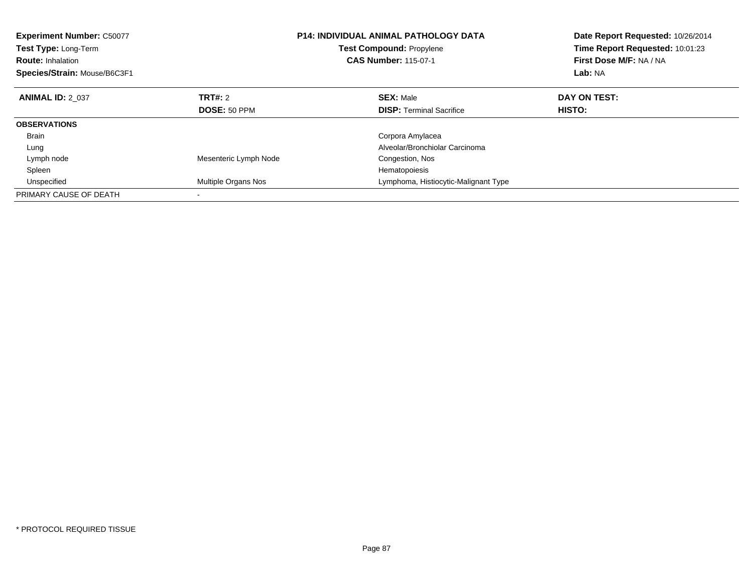| <b>Experiment Number: C50077</b><br>Test Type: Long-Term<br><b>Route: Inhalation</b><br>Species/Strain: Mouse/B6C3F1 |                       | P14: INDIVIDUAL ANIMAL PATHOLOGY DATA<br><b>Test Compound: Propylene</b><br><b>CAS Number: 115-07-1</b> | Date Report Requested: 10/26/2014<br>Time Report Requested: 10:01:23<br>First Dose M/F: NA / NA<br>Lab: NA |
|----------------------------------------------------------------------------------------------------------------------|-----------------------|---------------------------------------------------------------------------------------------------------|------------------------------------------------------------------------------------------------------------|
| <b>ANIMAL ID: 2_037</b>                                                                                              | TRT#: 2               | <b>SEX: Male</b>                                                                                        | DAY ON TEST:                                                                                               |
|                                                                                                                      | DOSE: 50 PPM          | <b>DISP:</b> Terminal Sacrifice                                                                         | HISTO:                                                                                                     |
| <b>OBSERVATIONS</b>                                                                                                  |                       |                                                                                                         |                                                                                                            |
| <b>Brain</b>                                                                                                         |                       | Corpora Amylacea                                                                                        |                                                                                                            |
| Lung                                                                                                                 |                       | Alveolar/Bronchiolar Carcinoma                                                                          |                                                                                                            |
| Lymph node                                                                                                           | Mesenteric Lymph Node | Congestion, Nos                                                                                         |                                                                                                            |
| Spleen                                                                                                               |                       | Hematopoiesis                                                                                           |                                                                                                            |
| Unspecified                                                                                                          | Multiple Organs Nos   | Lymphoma, Histiocytic-Malignant Type                                                                    |                                                                                                            |
| PRIMARY CAUSE OF DEATH                                                                                               |                       |                                                                                                         |                                                                                                            |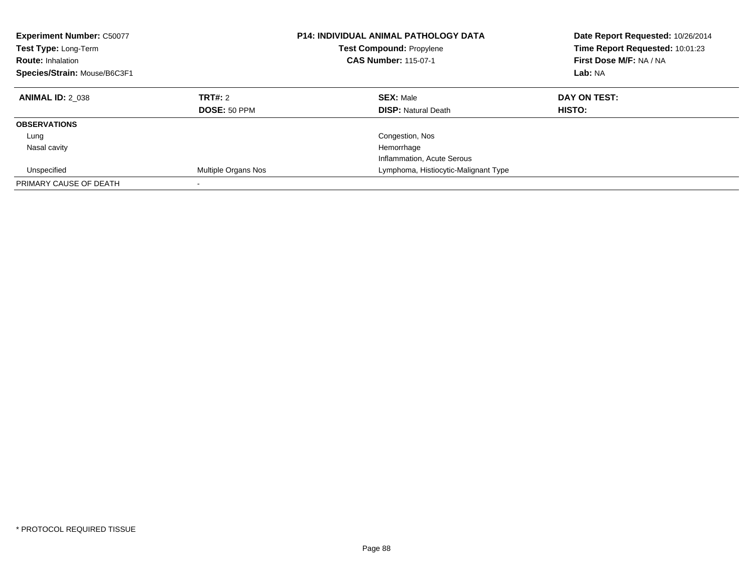| <b>Experiment Number: C50077</b><br>Test Type: Long-Term<br><b>Route: Inhalation</b><br>Species/Strain: Mouse/B6C3F1 |                          | <b>P14: INDIVIDUAL ANIMAL PATHOLOGY DATA</b><br><b>Test Compound: Propylene</b><br><b>CAS Number: 115-07-1</b> | Date Report Requested: 10/26/2014<br>Time Report Requested: 10:01:23<br>First Dose M/F: NA / NA<br>Lab: NA |
|----------------------------------------------------------------------------------------------------------------------|--------------------------|----------------------------------------------------------------------------------------------------------------|------------------------------------------------------------------------------------------------------------|
| <b>ANIMAL ID: 2 038</b>                                                                                              | TRT#: 2<br>DOSE: 50 PPM  | <b>SEX: Male</b><br><b>DISP:</b> Natural Death                                                                 | DAY ON TEST:<br><b>HISTO:</b>                                                                              |
| <b>OBSERVATIONS</b>                                                                                                  |                          |                                                                                                                |                                                                                                            |
| Lung                                                                                                                 |                          | Congestion, Nos                                                                                                |                                                                                                            |
| Nasal cavity                                                                                                         |                          | Hemorrhage                                                                                                     |                                                                                                            |
|                                                                                                                      |                          | Inflammation, Acute Serous                                                                                     |                                                                                                            |
| Unspecified                                                                                                          | Multiple Organs Nos      | Lymphoma, Histiocytic-Malignant Type                                                                           |                                                                                                            |
| PRIMARY CAUSE OF DEATH                                                                                               | $\overline{\phantom{a}}$ |                                                                                                                |                                                                                                            |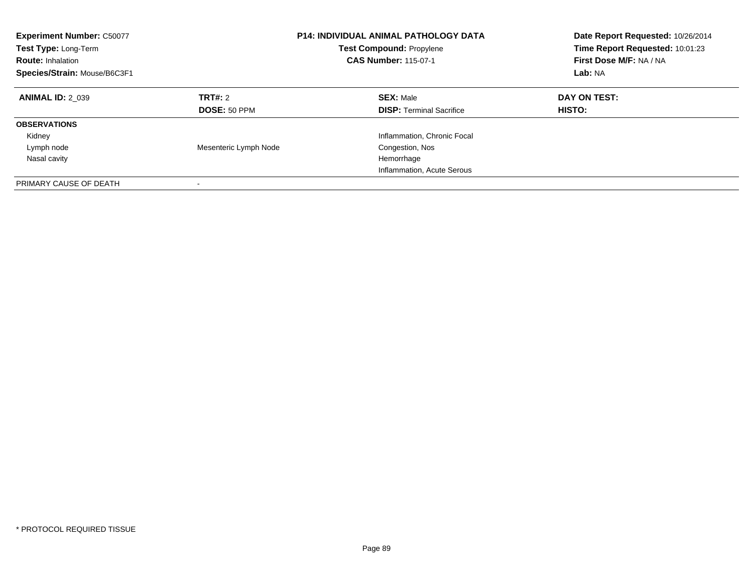| <b>Experiment Number: C50077</b><br>Test Type: Long-Term<br><b>Route: Inhalation</b><br>Species/Strain: Mouse/B6C3F1 |                         | <b>P14: INDIVIDUAL ANIMAL PATHOLOGY DATA</b><br><b>Test Compound: Propylene</b><br><b>CAS Number: 115-07-1</b> | Date Report Requested: 10/26/2014<br>Time Report Requested: 10:01:23<br>First Dose M/F: NA / NA<br>Lab: NA |
|----------------------------------------------------------------------------------------------------------------------|-------------------------|----------------------------------------------------------------------------------------------------------------|------------------------------------------------------------------------------------------------------------|
| <b>ANIMAL ID: 2 039</b>                                                                                              | TRT#: 2<br>DOSE: 50 PPM | <b>SEX: Male</b><br><b>DISP: Terminal Sacrifice</b>                                                            | DAY ON TEST:<br>HISTO:                                                                                     |
| <b>OBSERVATIONS</b><br>Kidney<br>Lymph node<br>Nasal cavity                                                          | Mesenteric Lymph Node   | Inflammation, Chronic Focal<br>Congestion, Nos<br>Hemorrhage<br>Inflammation, Acute Serous                     |                                                                                                            |
| PRIMARY CAUSE OF DEATH                                                                                               |                         |                                                                                                                |                                                                                                            |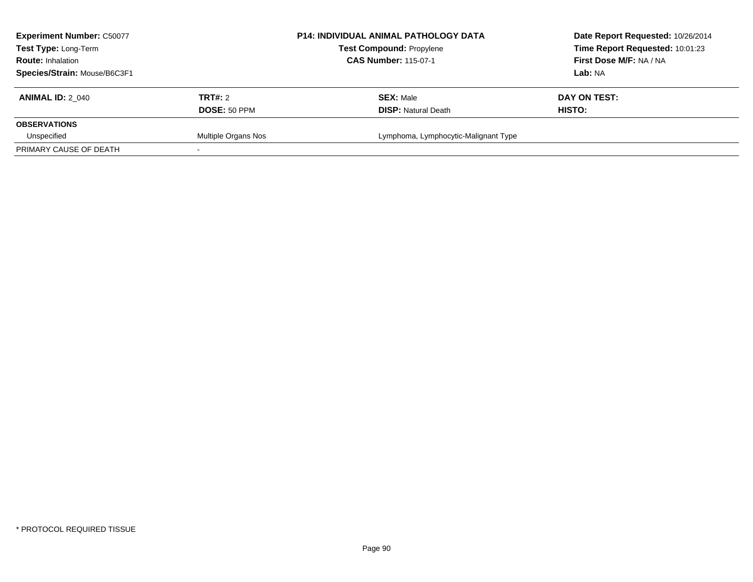| <b>Experiment Number: C50077</b><br>Test Type: Long-Term<br><b>Route: Inhalation</b> |                     | <b>P14: INDIVIDUAL ANIMAL PATHOLOGY DATA</b><br><b>Test Compound: Propylene</b><br><b>CAS Number: 115-07-1</b> | Date Report Requested: 10/26/2014<br>Time Report Requested: 10:01:23<br>First Dose M/F: NA / NA |
|--------------------------------------------------------------------------------------|---------------------|----------------------------------------------------------------------------------------------------------------|-------------------------------------------------------------------------------------------------|
| Species/Strain: Mouse/B6C3F1                                                         |                     |                                                                                                                | Lab: NA                                                                                         |
| <b>ANIMAL ID: 2 040</b>                                                              | <b>TRT#: 2</b>      | <b>SEX: Male</b>                                                                                               | DAY ON TEST:                                                                                    |
|                                                                                      | DOSE: 50 PPM        | <b>DISP:</b> Natural Death                                                                                     | HISTO:                                                                                          |
| <b>OBSERVATIONS</b>                                                                  |                     |                                                                                                                |                                                                                                 |
| Unspecified                                                                          | Multiple Organs Nos | Lymphoma, Lymphocytic-Malignant Type                                                                           |                                                                                                 |
| PRIMARY CAUSE OF DEATH                                                               |                     |                                                                                                                |                                                                                                 |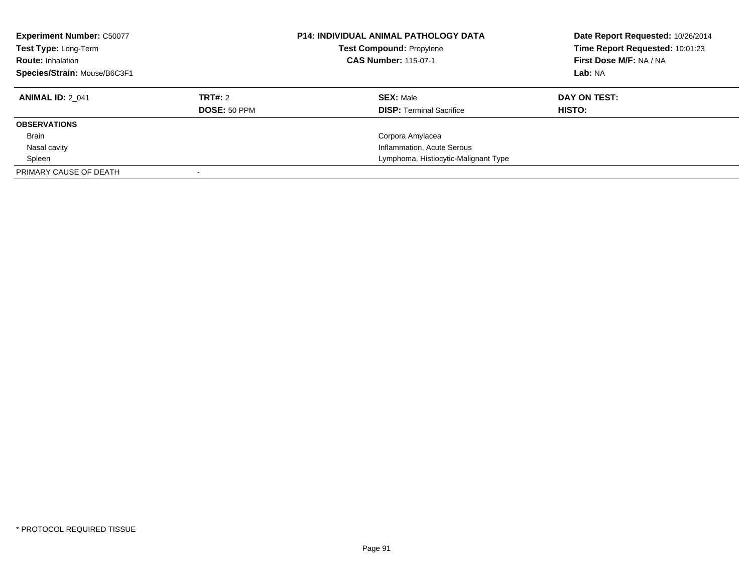| <b>Experiment Number: C50077</b><br>Test Type: Long-Term<br><b>Route: Inhalation</b><br>Species/Strain: Mouse/B6C3F1 |                     | <b>P14: INDIVIDUAL ANIMAL PATHOLOGY DATA</b><br><b>Test Compound: Propylene</b><br><b>CAS Number: 115-07-1</b> | Date Report Requested: 10/26/2014<br>Time Report Requested: 10:01:23<br>First Dose M/F: NA / NA<br>Lab: NA |
|----------------------------------------------------------------------------------------------------------------------|---------------------|----------------------------------------------------------------------------------------------------------------|------------------------------------------------------------------------------------------------------------|
| <b>ANIMAL ID: 2 041</b>                                                                                              | TRT#: 2             | <b>SEX: Male</b>                                                                                               | DAY ON TEST:                                                                                               |
|                                                                                                                      | <b>DOSE: 50 PPM</b> | <b>DISP:</b> Terminal Sacrifice                                                                                | <b>HISTO:</b>                                                                                              |
| <b>OBSERVATIONS</b>                                                                                                  |                     |                                                                                                                |                                                                                                            |
| <b>Brain</b>                                                                                                         |                     | Corpora Amylacea                                                                                               |                                                                                                            |
| Nasal cavity                                                                                                         |                     | Inflammation, Acute Serous                                                                                     |                                                                                                            |
| Spleen                                                                                                               |                     | Lymphoma, Histiocytic-Malignant Type                                                                           |                                                                                                            |
| PRIMARY CAUSE OF DEATH                                                                                               |                     |                                                                                                                |                                                                                                            |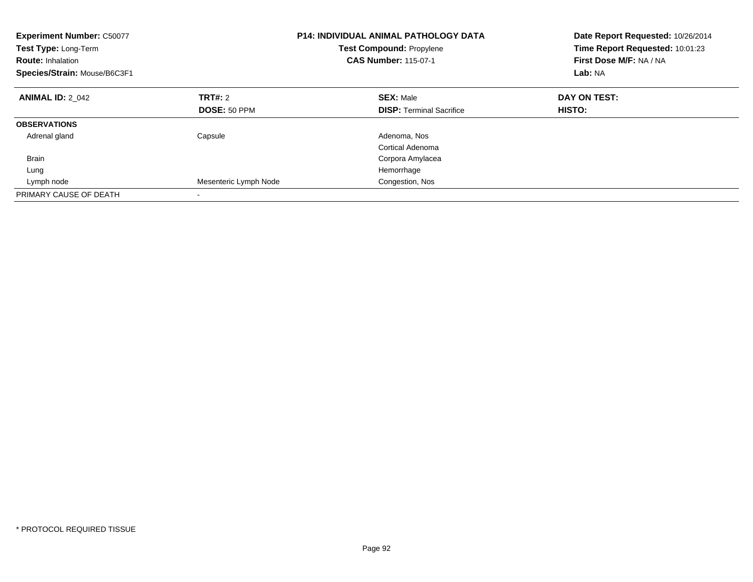| <b>Experiment Number: C50077</b><br>Test Type: Long-Term<br><b>Route: Inhalation</b><br>Species/Strain: Mouse/B6C3F1 |                       | <b>P14: INDIVIDUAL ANIMAL PATHOLOGY DATA</b><br><b>Test Compound: Propylene</b><br><b>CAS Number: 115-07-1</b> | Date Report Requested: 10/26/2014<br>Time Report Requested: 10:01:23<br>First Dose M/F: NA / NA<br>Lab: NA |
|----------------------------------------------------------------------------------------------------------------------|-----------------------|----------------------------------------------------------------------------------------------------------------|------------------------------------------------------------------------------------------------------------|
| <b>ANIMAL ID: 2 042</b>                                                                                              | TRT#: 2               | <b>SEX: Male</b>                                                                                               | DAY ON TEST:                                                                                               |
|                                                                                                                      | DOSE: 50 PPM          | <b>DISP: Terminal Sacrifice</b>                                                                                | HISTO:                                                                                                     |
| <b>OBSERVATIONS</b>                                                                                                  |                       |                                                                                                                |                                                                                                            |
| Adrenal gland                                                                                                        | Capsule               | Adenoma, Nos                                                                                                   |                                                                                                            |
|                                                                                                                      |                       | Cortical Adenoma                                                                                               |                                                                                                            |
| <b>Brain</b>                                                                                                         |                       | Corpora Amylacea                                                                                               |                                                                                                            |
| Lung                                                                                                                 |                       | Hemorrhage                                                                                                     |                                                                                                            |
| Lymph node                                                                                                           | Mesenteric Lymph Node | Congestion, Nos                                                                                                |                                                                                                            |
| PRIMARY CAUSE OF DEATH                                                                                               |                       |                                                                                                                |                                                                                                            |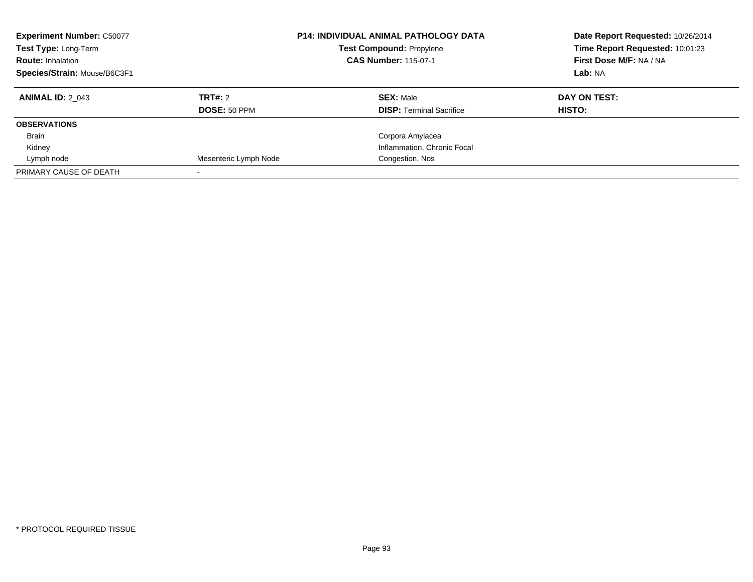| <b>Experiment Number: C50077</b><br>Test Type: Long-Term<br><b>Route: Inhalation</b><br>Species/Strain: Mouse/B6C3F1 |                       | <b>P14: INDIVIDUAL ANIMAL PATHOLOGY DATA</b><br><b>Test Compound: Propylene</b><br><b>CAS Number: 115-07-1</b> | Date Report Requested: 10/26/2014<br>Time Report Requested: 10:01:23<br>First Dose M/F: NA / NA<br>Lab: NA |
|----------------------------------------------------------------------------------------------------------------------|-----------------------|----------------------------------------------------------------------------------------------------------------|------------------------------------------------------------------------------------------------------------|
| <b>ANIMAL ID: 2 043</b>                                                                                              | TRT#: 2               | <b>SEX: Male</b>                                                                                               | DAY ON TEST:                                                                                               |
|                                                                                                                      | DOSE: 50 PPM          | <b>DISP:</b> Terminal Sacrifice                                                                                | HISTO:                                                                                                     |
| <b>OBSERVATIONS</b>                                                                                                  |                       |                                                                                                                |                                                                                                            |
| <b>Brain</b>                                                                                                         |                       | Corpora Amylacea                                                                                               |                                                                                                            |
| Kidney                                                                                                               |                       | Inflammation, Chronic Focal                                                                                    |                                                                                                            |
| Lymph node                                                                                                           | Mesenteric Lymph Node | Congestion, Nos                                                                                                |                                                                                                            |
| PRIMARY CAUSE OF DEATH                                                                                               |                       |                                                                                                                |                                                                                                            |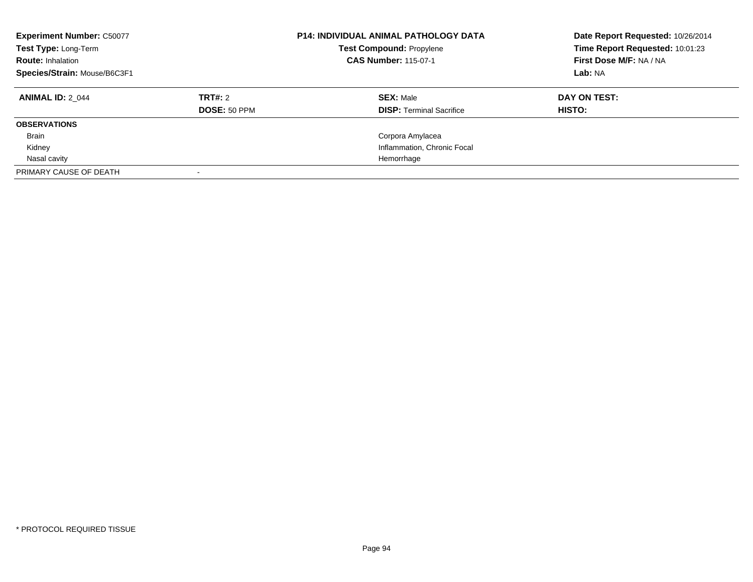| <b>Experiment Number: C50077</b><br>Test Type: Long-Term<br><b>Route: Inhalation</b><br>Species/Strain: Mouse/B6C3F1 |                     | <b>P14: INDIVIDUAL ANIMAL PATHOLOGY DATA</b><br><b>Test Compound: Propylene</b><br><b>CAS Number: 115-07-1</b> | Date Report Requested: 10/26/2014<br>Time Report Requested: 10:01:23<br>First Dose M/F: NA / NA<br>Lab: NA |
|----------------------------------------------------------------------------------------------------------------------|---------------------|----------------------------------------------------------------------------------------------------------------|------------------------------------------------------------------------------------------------------------|
| <b>ANIMAL ID: 2 044</b>                                                                                              | TRT#: 2             | <b>SEX: Male</b>                                                                                               | DAY ON TEST:                                                                                               |
|                                                                                                                      | <b>DOSE: 50 PPM</b> | <b>DISP:</b> Terminal Sacrifice                                                                                | <b>HISTO:</b>                                                                                              |
| <b>OBSERVATIONS</b>                                                                                                  |                     |                                                                                                                |                                                                                                            |
| <b>Brain</b>                                                                                                         |                     | Corpora Amylacea                                                                                               |                                                                                                            |
| Kidney                                                                                                               |                     | Inflammation, Chronic Focal                                                                                    |                                                                                                            |
| Nasal cavity                                                                                                         |                     | Hemorrhage                                                                                                     |                                                                                                            |
| PRIMARY CAUSE OF DEATH                                                                                               |                     |                                                                                                                |                                                                                                            |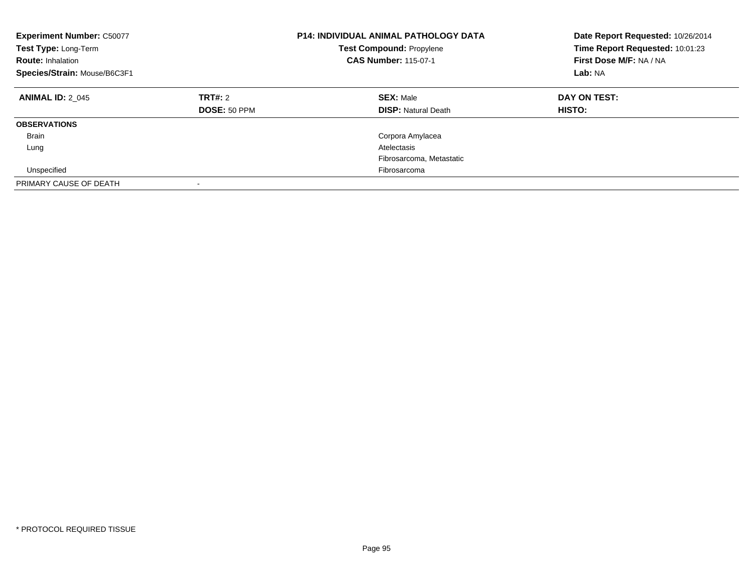| <b>Experiment Number: C50077</b><br>Test Type: Long-Term<br><b>Route: Inhalation</b><br>Species/Strain: Mouse/B6C3F1 |                                | <b>P14: INDIVIDUAL ANIMAL PATHOLOGY DATA</b><br><b>Test Compound: Propylene</b><br><b>CAS Number: 115-07-1</b> | Date Report Requested: 10/26/2014<br>Time Report Requested: 10:01:23<br>First Dose M/F: NA / NA<br>Lab: NA |
|----------------------------------------------------------------------------------------------------------------------|--------------------------------|----------------------------------------------------------------------------------------------------------------|------------------------------------------------------------------------------------------------------------|
| <b>ANIMAL ID: 2 045</b>                                                                                              | <b>TRT#: 2</b><br>DOSE: 50 PPM | <b>SEX: Male</b><br><b>DISP:</b> Natural Death                                                                 | DAY ON TEST:<br>HISTO:                                                                                     |
| <b>OBSERVATIONS</b>                                                                                                  |                                |                                                                                                                |                                                                                                            |
| <b>Brain</b>                                                                                                         |                                | Corpora Amylacea                                                                                               |                                                                                                            |
| Lung                                                                                                                 |                                | Atelectasis                                                                                                    |                                                                                                            |
|                                                                                                                      |                                | Fibrosarcoma, Metastatic                                                                                       |                                                                                                            |
| Unspecified                                                                                                          |                                | Fibrosarcoma                                                                                                   |                                                                                                            |
| PRIMARY CAUSE OF DEATH                                                                                               | $\overline{\phantom{a}}$       |                                                                                                                |                                                                                                            |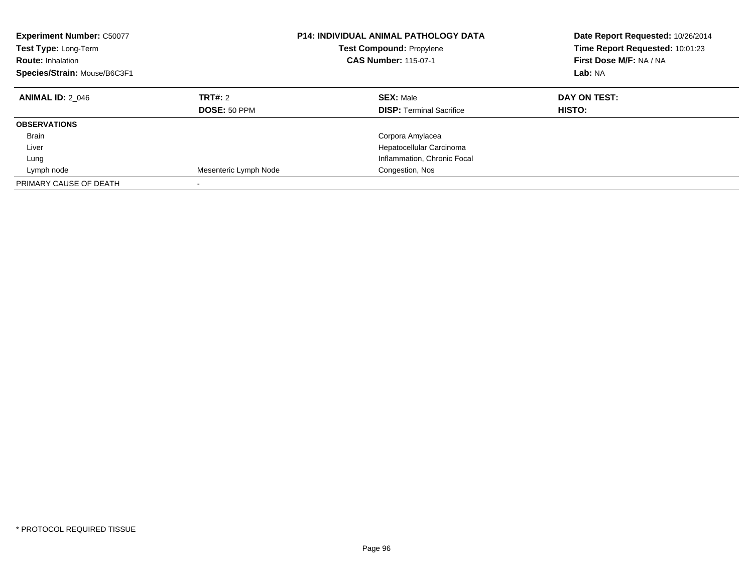| <b>Experiment Number: C50077</b><br>Test Type: Long-Term<br><b>Route: Inhalation</b><br>Species/Strain: Mouse/B6C3F1 |                         | <b>P14: INDIVIDUAL ANIMAL PATHOLOGY DATA</b><br><b>Test Compound: Propylene</b><br><b>CAS Number: 115-07-1</b> | Date Report Requested: 10/26/2014<br>Time Report Requested: 10:01:23<br>First Dose M/F: NA / NA<br>Lab: NA |
|----------------------------------------------------------------------------------------------------------------------|-------------------------|----------------------------------------------------------------------------------------------------------------|------------------------------------------------------------------------------------------------------------|
| <b>ANIMAL ID: 2 046</b>                                                                                              | TRT#: 2<br>DOSE: 50 PPM | <b>SEX: Male</b><br><b>DISP:</b> Terminal Sacrifice                                                            | DAY ON TEST:<br>HISTO:                                                                                     |
| <b>OBSERVATIONS</b>                                                                                                  |                         |                                                                                                                |                                                                                                            |
| <b>Brain</b>                                                                                                         |                         | Corpora Amylacea                                                                                               |                                                                                                            |
| Liver                                                                                                                |                         | Hepatocellular Carcinoma                                                                                       |                                                                                                            |
| Lung                                                                                                                 |                         | Inflammation, Chronic Focal                                                                                    |                                                                                                            |
| Lymph node                                                                                                           | Mesenteric Lymph Node   | Congestion, Nos                                                                                                |                                                                                                            |
| PRIMARY CAUSE OF DEATH                                                                                               |                         |                                                                                                                |                                                                                                            |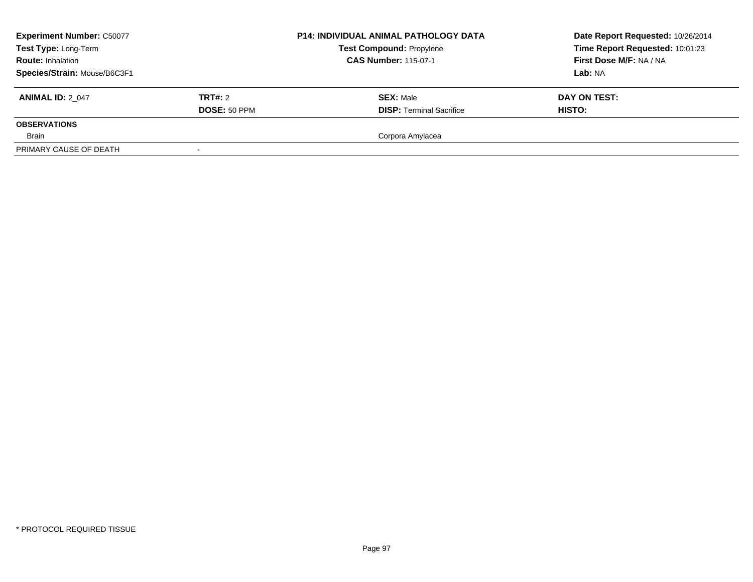| <b>Experiment Number: C50077</b><br>Test Type: Long-Term<br><b>Route: Inhalation</b> |                          | <b>P14: INDIVIDUAL ANIMAL PATHOLOGY DATA</b><br><b>Test Compound: Propylene</b><br><b>CAS Number: 115-07-1</b> | Date Report Requested: 10/26/2014<br>Time Report Requested: 10:01:23<br>First Dose M/F: NA / NA |
|--------------------------------------------------------------------------------------|--------------------------|----------------------------------------------------------------------------------------------------------------|-------------------------------------------------------------------------------------------------|
| Species/Strain: Mouse/B6C3F1                                                         |                          |                                                                                                                | Lab: NA                                                                                         |
| <b>ANIMAL ID: 2 047</b>                                                              | TRT#: 2                  | <b>SEX: Male</b>                                                                                               | DAY ON TEST:                                                                                    |
|                                                                                      | DOSE: 50 PPM             | <b>DISP: Terminal Sacrifice</b>                                                                                | <b>HISTO:</b>                                                                                   |
| <b>OBSERVATIONS</b>                                                                  |                          |                                                                                                                |                                                                                                 |
| Brain                                                                                |                          | Corpora Amylacea                                                                                               |                                                                                                 |
| PRIMARY CAUSE OF DEATH                                                               | $\overline{\phantom{a}}$ |                                                                                                                |                                                                                                 |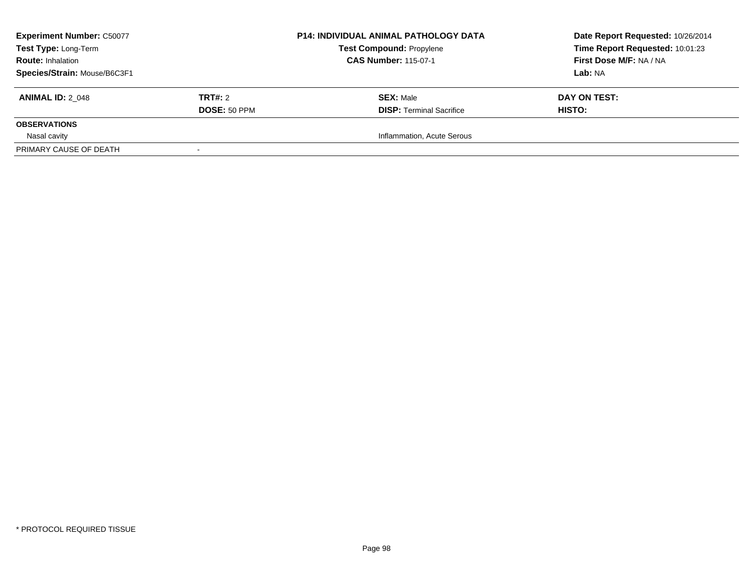| <b>Experiment Number: C50077</b><br>Test Type: Long-Term<br><b>Route: Inhalation</b><br>Species/Strain: Mouse/B6C3F1 |                                | <b>P14: INDIVIDUAL ANIMAL PATHOLOGY DATA</b><br><b>Test Compound: Propylene</b><br><b>CAS Number: 115-07-1</b> | Date Report Requested: 10/26/2014<br>Time Report Requested: 10:01:23<br>First Dose M/F: NA / NA<br>Lab: NA |
|----------------------------------------------------------------------------------------------------------------------|--------------------------------|----------------------------------------------------------------------------------------------------------------|------------------------------------------------------------------------------------------------------------|
| <b>ANIMAL ID: 2 048</b>                                                                                              | TRT#: 2<br><b>DOSE: 50 PPM</b> | <b>SEX: Male</b><br><b>DISP: Terminal Sacrifice</b>                                                            | DAY ON TEST:<br>HISTO:                                                                                     |
| <b>OBSERVATIONS</b>                                                                                                  |                                |                                                                                                                |                                                                                                            |
| Nasal cavity<br>PRIMARY CAUSE OF DEATH                                                                               |                                | Inflammation, Acute Serous                                                                                     |                                                                                                            |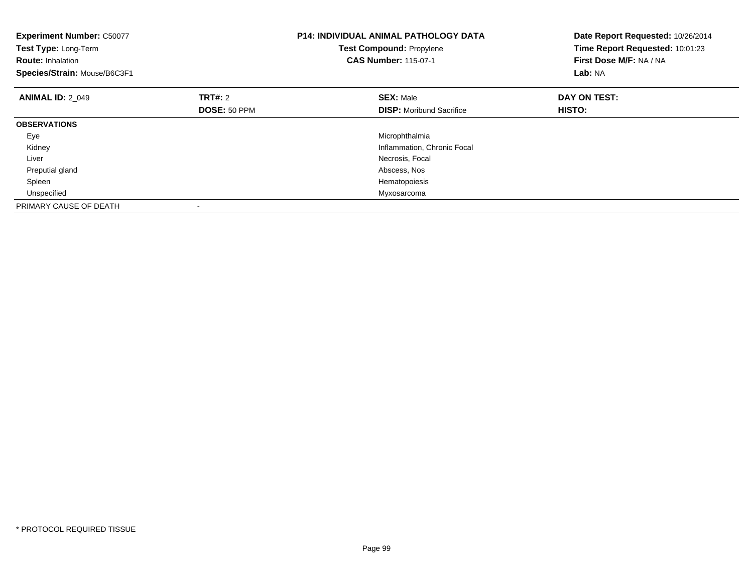| <b>Experiment Number: C50077</b><br>Test Type: Long-Term<br><b>Route: Inhalation</b><br>Species/Strain: Mouse/B6C3F1 |              | <b>P14: INDIVIDUAL ANIMAL PATHOLOGY DATA</b><br>Test Compound: Propylene<br><b>CAS Number: 115-07-1</b> | Date Report Requested: 10/26/2014<br>Time Report Requested: 10:01:23<br>First Dose M/F: NA / NA<br>Lab: NA |
|----------------------------------------------------------------------------------------------------------------------|--------------|---------------------------------------------------------------------------------------------------------|------------------------------------------------------------------------------------------------------------|
| <b>ANIMAL ID: 2 049</b>                                                                                              | TRT#: 2      | <b>SEX: Male</b>                                                                                        | DAY ON TEST:                                                                                               |
|                                                                                                                      | DOSE: 50 PPM | <b>DISP:</b> Moribund Sacrifice                                                                         | HISTO:                                                                                                     |
| <b>OBSERVATIONS</b>                                                                                                  |              |                                                                                                         |                                                                                                            |
| Eye                                                                                                                  |              | Microphthalmia                                                                                          |                                                                                                            |
| Kidney                                                                                                               |              | Inflammation, Chronic Focal                                                                             |                                                                                                            |
| Liver                                                                                                                |              | Necrosis, Focal                                                                                         |                                                                                                            |
| Preputial gland                                                                                                      |              | Abscess, Nos                                                                                            |                                                                                                            |
| Spleen                                                                                                               |              | Hematopoiesis                                                                                           |                                                                                                            |
| Unspecified                                                                                                          |              | Myxosarcoma                                                                                             |                                                                                                            |
| PRIMARY CAUSE OF DEATH                                                                                               |              |                                                                                                         |                                                                                                            |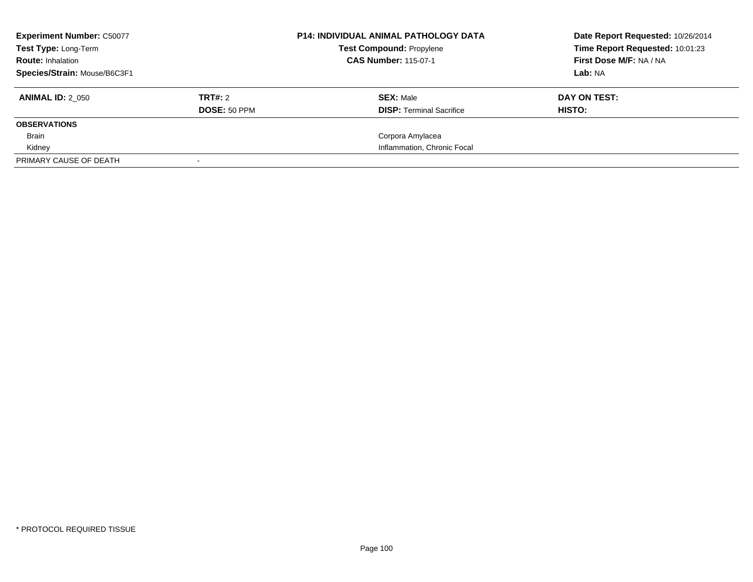| <b>Experiment Number: C50077</b><br><b>Test Type: Long-Term</b> |              | <b>P14: INDIVIDUAL ANIMAL PATHOLOGY DATA</b><br><b>Test Compound: Propylene</b> | Date Report Requested: 10/26/2014<br>Time Report Requested: 10:01:23 |
|-----------------------------------------------------------------|--------------|---------------------------------------------------------------------------------|----------------------------------------------------------------------|
| <b>Route: Inhalation</b>                                        |              | <b>CAS Number: 115-07-1</b>                                                     | First Dose M/F: NA / NA                                              |
| Species/Strain: Mouse/B6C3F1                                    |              |                                                                                 | Lab: NA                                                              |
| <b>ANIMAL ID: 2 050</b>                                         | TRT#: 2      | <b>SEX: Male</b>                                                                | DAY ON TEST:                                                         |
|                                                                 | DOSE: 50 PPM | <b>DISP:</b> Terminal Sacrifice                                                 | HISTO:                                                               |
| <b>OBSERVATIONS</b>                                             |              |                                                                                 |                                                                      |
| Brain                                                           |              | Corpora Amylacea                                                                |                                                                      |
| Kidney                                                          |              | Inflammation, Chronic Focal                                                     |                                                                      |
| PRIMARY CAUSE OF DEATH                                          |              |                                                                                 |                                                                      |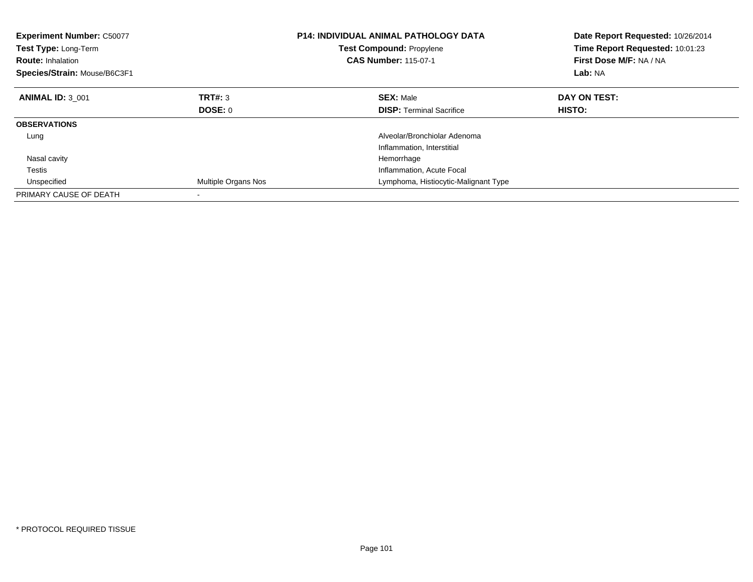| <b>Experiment Number: C50077</b><br><b>Test Type: Long-Term</b><br><b>Route: Inhalation</b><br>Species/Strain: Mouse/B6C3F1 |                     | <b>P14: INDIVIDUAL ANIMAL PATHOLOGY DATA</b><br><b>Test Compound: Propylene</b><br><b>CAS Number: 115-07-1</b> | Date Report Requested: 10/26/2014<br>Time Report Requested: 10:01:23<br>First Dose M/F: NA / NA<br>Lab: NA |
|-----------------------------------------------------------------------------------------------------------------------------|---------------------|----------------------------------------------------------------------------------------------------------------|------------------------------------------------------------------------------------------------------------|
| <b>ANIMAL ID: 3 001</b>                                                                                                     | TRT#: 3             | <b>SEX: Male</b>                                                                                               | DAY ON TEST:                                                                                               |
|                                                                                                                             | DOSE: 0             | <b>DISP:</b> Terminal Sacrifice                                                                                | <b>HISTO:</b>                                                                                              |
| <b>OBSERVATIONS</b>                                                                                                         |                     |                                                                                                                |                                                                                                            |
| Lung                                                                                                                        |                     | Alveolar/Bronchiolar Adenoma                                                                                   |                                                                                                            |
|                                                                                                                             |                     | Inflammation, Interstitial                                                                                     |                                                                                                            |
| Nasal cavity                                                                                                                |                     | Hemorrhage                                                                                                     |                                                                                                            |
| Testis                                                                                                                      |                     | Inflammation, Acute Focal                                                                                      |                                                                                                            |
| Unspecified                                                                                                                 | Multiple Organs Nos | Lymphoma, Histiocytic-Malignant Type                                                                           |                                                                                                            |
| PRIMARY CAUSE OF DEATH                                                                                                      |                     |                                                                                                                |                                                                                                            |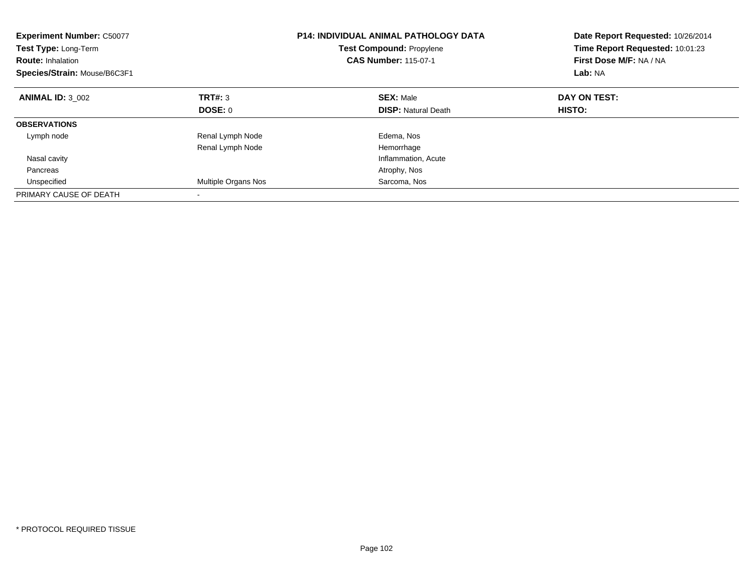| <b>Experiment Number: C50077</b><br>Test Type: Long-Term<br><b>Route: Inhalation</b><br>Species/Strain: Mouse/B6C3F1 |                     | <b>P14: INDIVIDUAL ANIMAL PATHOLOGY DATA</b><br><b>Test Compound: Propylene</b><br><b>CAS Number: 115-07-1</b> | Date Report Requested: 10/26/2014<br>Time Report Requested: 10:01:23<br>First Dose M/F: NA / NA<br>Lab: NA |
|----------------------------------------------------------------------------------------------------------------------|---------------------|----------------------------------------------------------------------------------------------------------------|------------------------------------------------------------------------------------------------------------|
| <b>ANIMAL ID: 3 002</b>                                                                                              | TRT#: 3             | <b>SEX: Male</b>                                                                                               | DAY ON TEST:                                                                                               |
|                                                                                                                      | DOSE: 0             | <b>DISP:</b> Natural Death                                                                                     | HISTO:                                                                                                     |
| <b>OBSERVATIONS</b>                                                                                                  |                     |                                                                                                                |                                                                                                            |
| Lymph node                                                                                                           | Renal Lymph Node    | Edema, Nos                                                                                                     |                                                                                                            |
|                                                                                                                      | Renal Lymph Node    | Hemorrhage                                                                                                     |                                                                                                            |
| Nasal cavity                                                                                                         |                     | Inflammation, Acute                                                                                            |                                                                                                            |
| Pancreas                                                                                                             |                     | Atrophy, Nos                                                                                                   |                                                                                                            |
| Unspecified                                                                                                          | Multiple Organs Nos | Sarcoma, Nos                                                                                                   |                                                                                                            |
| PRIMARY CAUSE OF DEATH                                                                                               |                     |                                                                                                                |                                                                                                            |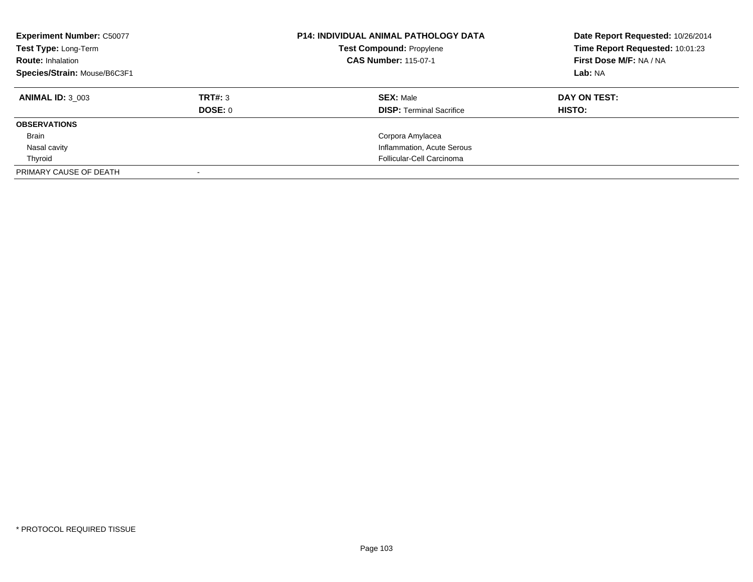| <b>Experiment Number: C50077</b><br>Test Type: Long-Term<br><b>Route: Inhalation</b><br>Species/Strain: Mouse/B6C3F1 |         | <b>P14: INDIVIDUAL ANIMAL PATHOLOGY DATA</b><br><b>Test Compound: Propylene</b><br><b>CAS Number: 115-07-1</b> | Date Report Requested: 10/26/2014<br>Time Report Requested: 10:01:23<br>First Dose M/F: NA / NA<br>Lab: NA |
|----------------------------------------------------------------------------------------------------------------------|---------|----------------------------------------------------------------------------------------------------------------|------------------------------------------------------------------------------------------------------------|
| <b>ANIMAL ID: 3 003</b>                                                                                              | TRT#: 3 | <b>SEX: Male</b>                                                                                               | DAY ON TEST:                                                                                               |
|                                                                                                                      | DOSE: 0 | <b>DISP:</b> Terminal Sacrifice                                                                                | <b>HISTO:</b>                                                                                              |
| <b>OBSERVATIONS</b>                                                                                                  |         |                                                                                                                |                                                                                                            |
| Brain                                                                                                                |         | Corpora Amylacea                                                                                               |                                                                                                            |
| Nasal cavity                                                                                                         |         | Inflammation, Acute Serous                                                                                     |                                                                                                            |
| Thyroid                                                                                                              |         | Follicular-Cell Carcinoma                                                                                      |                                                                                                            |
| PRIMARY CAUSE OF DEATH                                                                                               |         |                                                                                                                |                                                                                                            |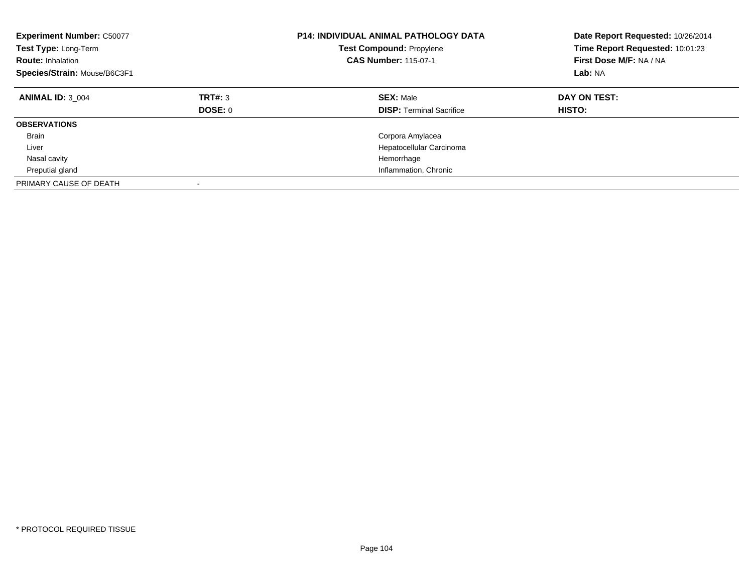| <b>Experiment Number: C50077</b><br>Test Type: Long-Term<br><b>Route: Inhalation</b><br>Species/Strain: Mouse/B6C3F1 |                    | <b>P14: INDIVIDUAL ANIMAL PATHOLOGY DATA</b><br><b>Test Compound: Propylene</b><br><b>CAS Number: 115-07-1</b> | Date Report Requested: 10/26/2014<br>Time Report Requested: 10:01:23<br>First Dose M/F: NA / NA<br>Lab: NA |
|----------------------------------------------------------------------------------------------------------------------|--------------------|----------------------------------------------------------------------------------------------------------------|------------------------------------------------------------------------------------------------------------|
| <b>ANIMAL ID: 3 004</b>                                                                                              | TRT#: 3<br>DOSE: 0 | <b>SEX: Male</b><br><b>DISP:</b> Terminal Sacrifice                                                            | DAY ON TEST:<br><b>HISTO:</b>                                                                              |
| <b>OBSERVATIONS</b>                                                                                                  |                    |                                                                                                                |                                                                                                            |
| <b>Brain</b>                                                                                                         |                    | Corpora Amylacea                                                                                               |                                                                                                            |
| Liver                                                                                                                |                    | Hepatocellular Carcinoma                                                                                       |                                                                                                            |
| Nasal cavity                                                                                                         |                    | Hemorrhage                                                                                                     |                                                                                                            |
| Preputial gland                                                                                                      |                    | Inflammation, Chronic                                                                                          |                                                                                                            |
| PRIMARY CAUSE OF DEATH                                                                                               |                    |                                                                                                                |                                                                                                            |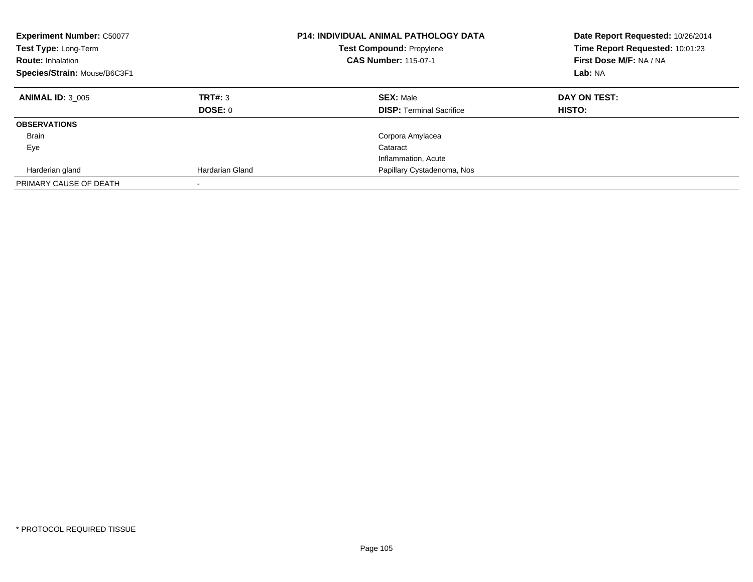| <b>Experiment Number: C50077</b><br>Test Type: Long-Term<br><b>Route: Inhalation</b><br>Species/Strain: Mouse/B6C3F1 |                    | <b>P14: INDIVIDUAL ANIMAL PATHOLOGY DATA</b><br><b>Test Compound: Propylene</b><br><b>CAS Number: 115-07-1</b> | Date Report Requested: 10/26/2014<br>Time Report Requested: 10:01:23<br>First Dose M/F: NA / NA<br>Lab: NA |
|----------------------------------------------------------------------------------------------------------------------|--------------------|----------------------------------------------------------------------------------------------------------------|------------------------------------------------------------------------------------------------------------|
| <b>ANIMAL ID: 3 005</b>                                                                                              | TRT#: 3<br>DOSE: 0 | <b>SEX: Male</b><br><b>DISP: Terminal Sacrifice</b>                                                            | DAY ON TEST:<br>HISTO:                                                                                     |
| <b>OBSERVATIONS</b>                                                                                                  |                    |                                                                                                                |                                                                                                            |
| Brain                                                                                                                |                    | Corpora Amylacea                                                                                               |                                                                                                            |
| Eye                                                                                                                  |                    | Cataract                                                                                                       |                                                                                                            |
|                                                                                                                      |                    | Inflammation, Acute                                                                                            |                                                                                                            |
| Harderian gland                                                                                                      | Hardarian Gland    | Papillary Cystadenoma, Nos                                                                                     |                                                                                                            |
| PRIMARY CAUSE OF DEATH                                                                                               |                    |                                                                                                                |                                                                                                            |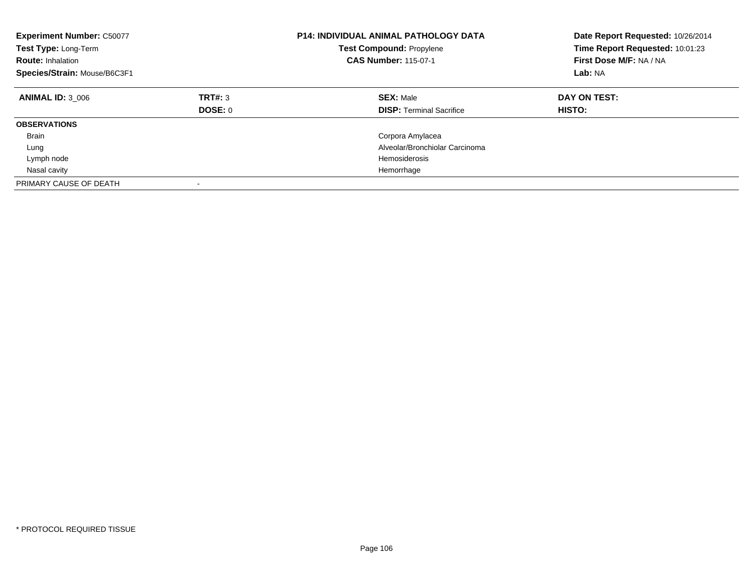| <b>Experiment Number: C50077</b><br>Test Type: Long-Term<br><b>Route: Inhalation</b><br>Species/Strain: Mouse/B6C3F1 |                    | <b>P14: INDIVIDUAL ANIMAL PATHOLOGY DATA</b><br><b>Test Compound: Propylene</b><br><b>CAS Number: 115-07-1</b> | Date Report Requested: 10/26/2014<br>Time Report Requested: 10:01:23<br>First Dose M/F: NA / NA<br>Lab: NA |
|----------------------------------------------------------------------------------------------------------------------|--------------------|----------------------------------------------------------------------------------------------------------------|------------------------------------------------------------------------------------------------------------|
| <b>ANIMAL ID: 3 006</b>                                                                                              | TRT#: 3<br>DOSE: 0 | <b>SEX: Male</b><br><b>DISP:</b> Terminal Sacrifice                                                            | DAY ON TEST:<br><b>HISTO:</b>                                                                              |
| <b>OBSERVATIONS</b>                                                                                                  |                    |                                                                                                                |                                                                                                            |
| <b>Brain</b>                                                                                                         |                    | Corpora Amylacea                                                                                               |                                                                                                            |
| Lung                                                                                                                 |                    | Alveolar/Bronchiolar Carcinoma                                                                                 |                                                                                                            |
| Lymph node                                                                                                           |                    | Hemosiderosis                                                                                                  |                                                                                                            |
| Nasal cavity                                                                                                         |                    | Hemorrhage                                                                                                     |                                                                                                            |
| PRIMARY CAUSE OF DEATH                                                                                               |                    |                                                                                                                |                                                                                                            |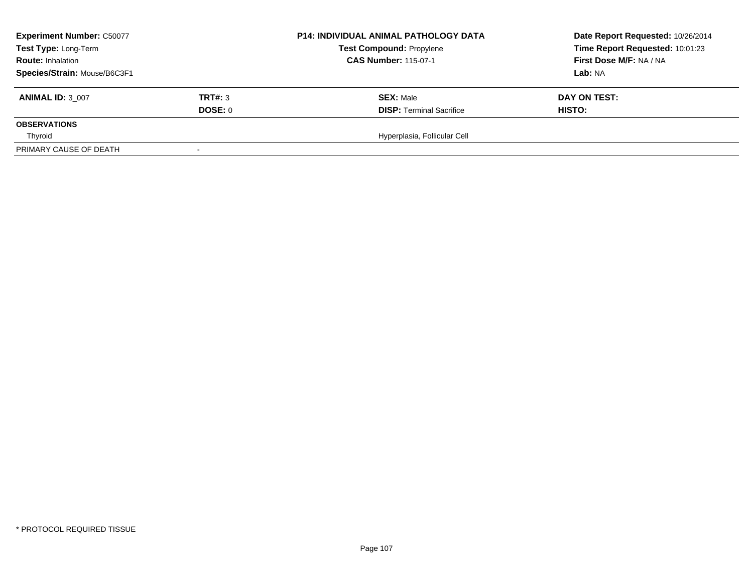| <b>Experiment Number: C50077</b> |         | <b>P14: INDIVIDUAL ANIMAL PATHOLOGY DATA</b><br><b>Test Compound: Propylene</b><br><b>CAS Number: 115-07-1</b> | Date Report Requested: 10/26/2014 |  |
|----------------------------------|---------|----------------------------------------------------------------------------------------------------------------|-----------------------------------|--|
| Test Type: Long-Term             |         |                                                                                                                | Time Report Requested: 10:01:23   |  |
| <b>Route: Inhalation</b>         |         |                                                                                                                | First Dose M/F: NA / NA           |  |
| Species/Strain: Mouse/B6C3F1     |         |                                                                                                                | <b>Lab:</b> NA                    |  |
| <b>ANIMAL ID: 3 007</b>          | TRT#: 3 | <b>SEX: Male</b>                                                                                               | DAY ON TEST:                      |  |
|                                  | DOSE: 0 | <b>DISP: Terminal Sacrifice</b>                                                                                | HISTO:                            |  |
| <b>OBSERVATIONS</b>              |         |                                                                                                                |                                   |  |
| Thyroid                          |         | Hyperplasia, Follicular Cell                                                                                   |                                   |  |
| PRIMARY CAUSE OF DEATH           |         |                                                                                                                |                                   |  |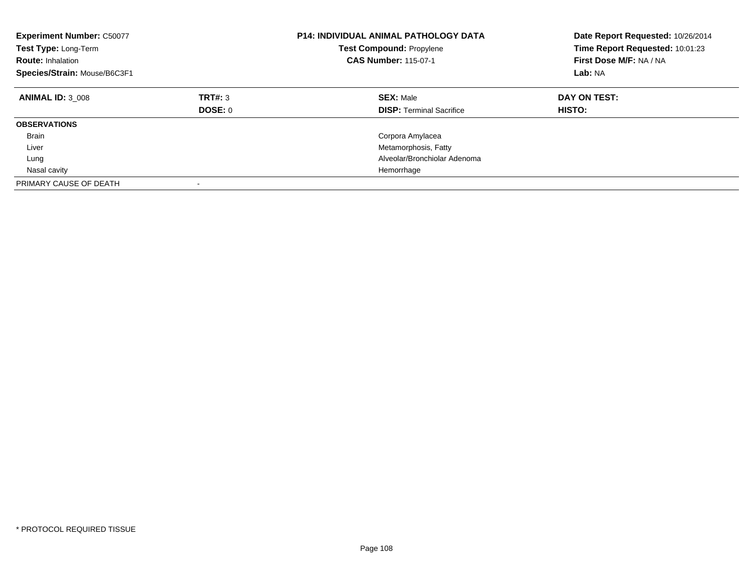| <b>Experiment Number: C50077</b><br>Test Type: Long-Term<br><b>Route: Inhalation</b><br>Species/Strain: Mouse/B6C3F1 |                           | <b>P14: INDIVIDUAL ANIMAL PATHOLOGY DATA</b><br><b>Test Compound: Propylene</b><br><b>CAS Number: 115-07-1</b> | Date Report Requested: 10/26/2014<br>Time Report Requested: 10:01:23<br>First Dose M/F: NA / NA<br>Lab: NA |
|----------------------------------------------------------------------------------------------------------------------|---------------------------|----------------------------------------------------------------------------------------------------------------|------------------------------------------------------------------------------------------------------------|
| <b>ANIMAL ID: 3 008</b>                                                                                              | TRT#: 3<br><b>DOSE: 0</b> | <b>SEX: Male</b><br><b>DISP: Terminal Sacrifice</b>                                                            | DAY ON TEST:<br>HISTO:                                                                                     |
| <b>OBSERVATIONS</b>                                                                                                  |                           |                                                                                                                |                                                                                                            |
| <b>Brain</b>                                                                                                         |                           | Corpora Amylacea                                                                                               |                                                                                                            |
| Liver                                                                                                                |                           | Metamorphosis, Fatty                                                                                           |                                                                                                            |
| Lung                                                                                                                 |                           | Alveolar/Bronchiolar Adenoma                                                                                   |                                                                                                            |
| Nasal cavity                                                                                                         |                           | Hemorrhage                                                                                                     |                                                                                                            |
| PRIMARY CAUSE OF DEATH                                                                                               | $\overline{\phantom{a}}$  |                                                                                                                |                                                                                                            |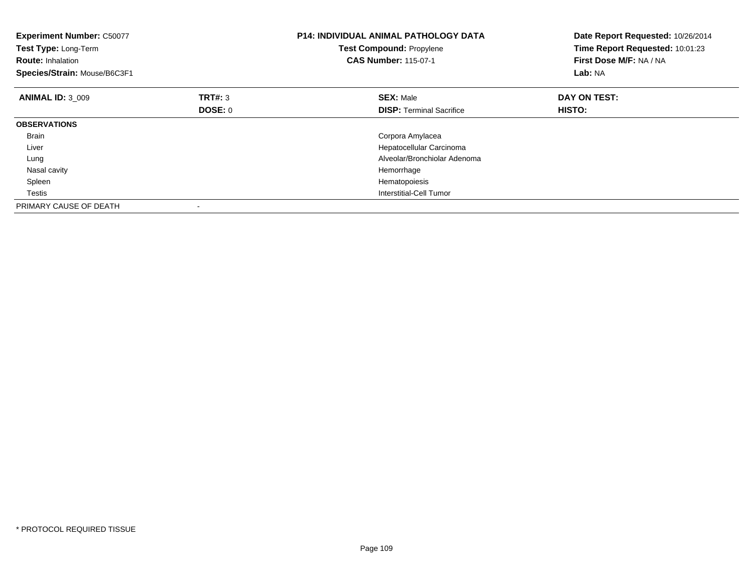| <b>Experiment Number: C50077</b><br>Test Type: Long-Term<br><b>Route: Inhalation</b><br>Species/Strain: Mouse/B6C3F1 |                | <b>P14: INDIVIDUAL ANIMAL PATHOLOGY DATA</b><br><b>Test Compound: Propylene</b><br><b>CAS Number: 115-07-1</b> | Date Report Requested: 10/26/2014<br>Time Report Requested: 10:01:23<br>First Dose M/F: NA / NA<br>Lab: NA |
|----------------------------------------------------------------------------------------------------------------------|----------------|----------------------------------------------------------------------------------------------------------------|------------------------------------------------------------------------------------------------------------|
| <b>ANIMAL ID: 3 009</b>                                                                                              | TRT#: 3        | <b>SEX: Male</b>                                                                                               | DAY ON TEST:                                                                                               |
|                                                                                                                      | <b>DOSE: 0</b> | <b>DISP:</b> Terminal Sacrifice                                                                                | HISTO:                                                                                                     |
| <b>OBSERVATIONS</b>                                                                                                  |                |                                                                                                                |                                                                                                            |
| <b>Brain</b>                                                                                                         |                | Corpora Amylacea                                                                                               |                                                                                                            |
| Liver                                                                                                                |                | Hepatocellular Carcinoma                                                                                       |                                                                                                            |
| Lung                                                                                                                 |                | Alveolar/Bronchiolar Adenoma                                                                                   |                                                                                                            |
| Nasal cavity                                                                                                         |                | Hemorrhage                                                                                                     |                                                                                                            |
| Spleen                                                                                                               |                | Hematopoiesis                                                                                                  |                                                                                                            |
| Testis                                                                                                               |                | Interstitial-Cell Tumor                                                                                        |                                                                                                            |
| PRIMARY CAUSE OF DEATH                                                                                               |                |                                                                                                                |                                                                                                            |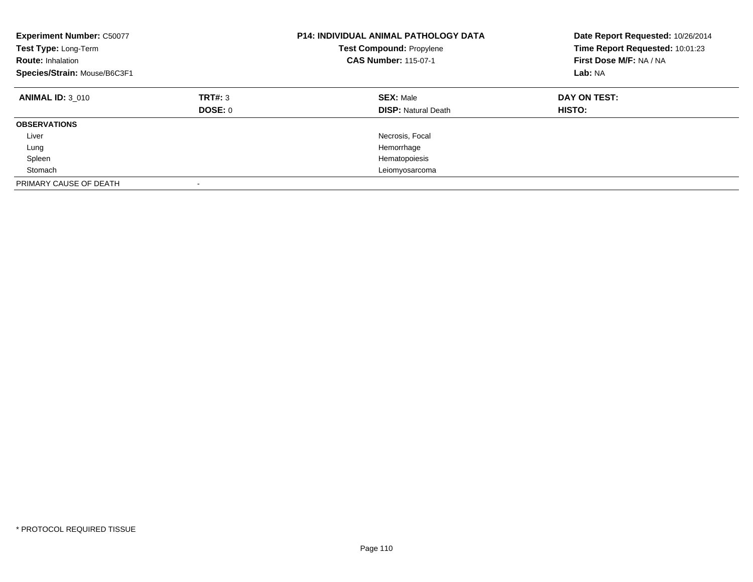| <b>Experiment Number: C50077</b><br>Test Type: Long-Term<br><b>Route: Inhalation</b><br>Species/Strain: Mouse/B6C3F1 |                    | <b>P14: INDIVIDUAL ANIMAL PATHOLOGY DATA</b><br><b>Test Compound: Propylene</b><br><b>CAS Number: 115-07-1</b> | Date Report Requested: 10/26/2014<br>Time Report Requested: 10:01:23<br>First Dose M/F: NA / NA<br>Lab: NA |
|----------------------------------------------------------------------------------------------------------------------|--------------------|----------------------------------------------------------------------------------------------------------------|------------------------------------------------------------------------------------------------------------|
| <b>ANIMAL ID: 3 010</b>                                                                                              | TRT#: 3<br>DOSE: 0 | <b>SEX: Male</b><br><b>DISP: Natural Death</b>                                                                 | DAY ON TEST:<br><b>HISTO:</b>                                                                              |
| <b>OBSERVATIONS</b>                                                                                                  |                    |                                                                                                                |                                                                                                            |
| Liver                                                                                                                |                    | Necrosis, Focal                                                                                                |                                                                                                            |
| Lung                                                                                                                 |                    | Hemorrhage                                                                                                     |                                                                                                            |
| Spleen                                                                                                               |                    | Hematopoiesis                                                                                                  |                                                                                                            |
| Stomach                                                                                                              |                    | Leiomyosarcoma                                                                                                 |                                                                                                            |
| PRIMARY CAUSE OF DEATH                                                                                               | -                  |                                                                                                                |                                                                                                            |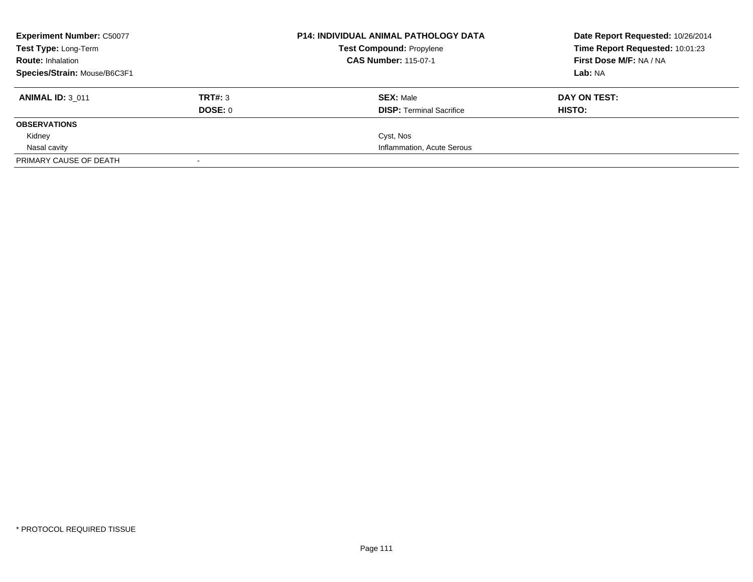| <b>Experiment Number: C50077</b> |         | <b>P14: INDIVIDUAL ANIMAL PATHOLOGY DATA</b><br><b>Test Compound: Propylene</b> | Date Report Requested: 10/26/2014 |
|----------------------------------|---------|---------------------------------------------------------------------------------|-----------------------------------|
| Test Type: Long-Term             |         |                                                                                 | Time Report Requested: 10:01:23   |
| <b>Route: Inhalation</b>         |         | <b>CAS Number: 115-07-1</b>                                                     | <b>First Dose M/F: NA / NA</b>    |
| Species/Strain: Mouse/B6C3F1     |         |                                                                                 | Lab: NA                           |
| <b>ANIMAL ID: 3 011</b>          | TRT#: 3 | <b>SEX: Male</b>                                                                | DAY ON TEST:                      |
|                                  | DOSE: 0 | <b>DISP:</b> Terminal Sacrifice                                                 | HISTO:                            |
| <b>OBSERVATIONS</b>              |         |                                                                                 |                                   |
| Kidney                           |         | Cyst, Nos                                                                       |                                   |
| Nasal cavity                     |         | Inflammation, Acute Serous                                                      |                                   |
| PRIMARY CAUSE OF DEATH           |         |                                                                                 |                                   |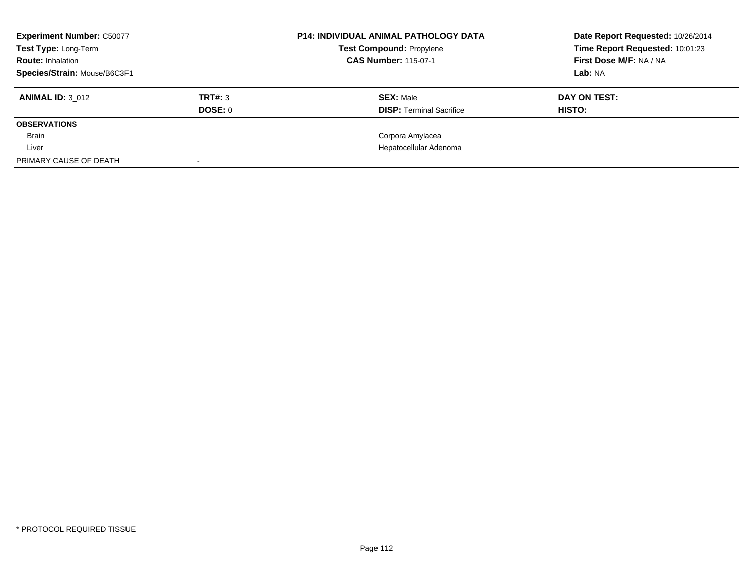| <b>Experiment Number: C50077</b> |         | <b>P14: INDIVIDUAL ANIMAL PATHOLOGY DATA</b> | Date Report Requested: 10/26/2014 |
|----------------------------------|---------|----------------------------------------------|-----------------------------------|
| Test Type: Long-Term             |         | <b>Test Compound: Propylene</b>              | Time Report Requested: 10:01:23   |
| <b>Route: Inhalation</b>         |         | <b>CAS Number: 115-07-1</b>                  | First Dose M/F: NA / NA           |
| Species/Strain: Mouse/B6C3F1     |         |                                              | Lab: NA                           |
| <b>ANIMAL ID: 3 012</b>          | TRT#: 3 | <b>SEX: Male</b>                             | DAY ON TEST:                      |
|                                  | DOSE: 0 | <b>DISP:</b> Terminal Sacrifice              | HISTO:                            |
| <b>OBSERVATIONS</b>              |         |                                              |                                   |
| <b>Brain</b>                     |         | Corpora Amylacea                             |                                   |
| Liver                            |         | Hepatocellular Adenoma                       |                                   |
| PRIMARY CAUSE OF DEATH           |         |                                              |                                   |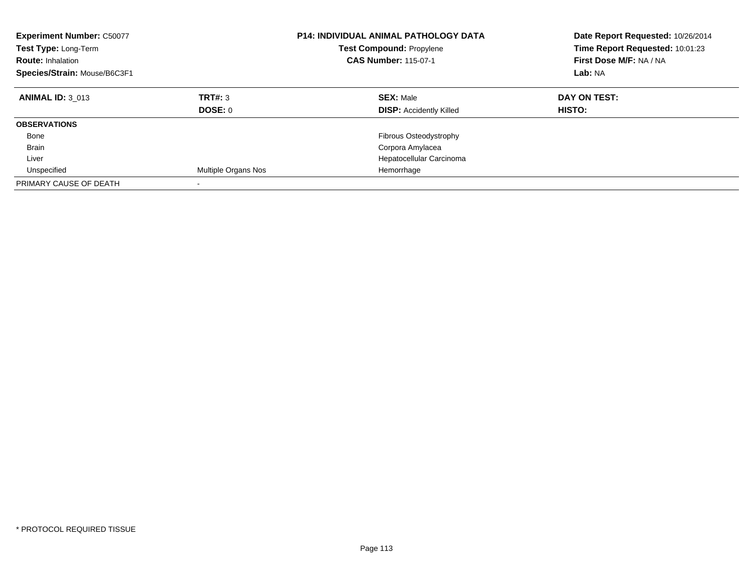| <b>Experiment Number: C50077</b><br>Test Type: Long-Term<br><b>Route: Inhalation</b><br>Species/Strain: Mouse/B6C3F1 |                     | <b>P14: INDIVIDUAL ANIMAL PATHOLOGY DATA</b><br><b>Test Compound: Propylene</b><br><b>CAS Number: 115-07-1</b> | Date Report Requested: 10/26/2014<br>Time Report Requested: 10:01:23<br>First Dose M/F: NA / NA<br>Lab: NA |
|----------------------------------------------------------------------------------------------------------------------|---------------------|----------------------------------------------------------------------------------------------------------------|------------------------------------------------------------------------------------------------------------|
| <b>ANIMAL ID: 3 013</b>                                                                                              | TRT#: 3<br>DOSE: 0  | <b>SEX: Male</b><br><b>DISP: Accidently Killed</b>                                                             | DAY ON TEST:<br>HISTO:                                                                                     |
| <b>OBSERVATIONS</b>                                                                                                  |                     |                                                                                                                |                                                                                                            |
| Bone                                                                                                                 |                     | Fibrous Osteodystrophy                                                                                         |                                                                                                            |
| <b>Brain</b>                                                                                                         |                     | Corpora Amylacea                                                                                               |                                                                                                            |
| Liver                                                                                                                |                     | Hepatocellular Carcinoma                                                                                       |                                                                                                            |
| Unspecified                                                                                                          | Multiple Organs Nos | Hemorrhage                                                                                                     |                                                                                                            |
| PRIMARY CAUSE OF DEATH                                                                                               |                     |                                                                                                                |                                                                                                            |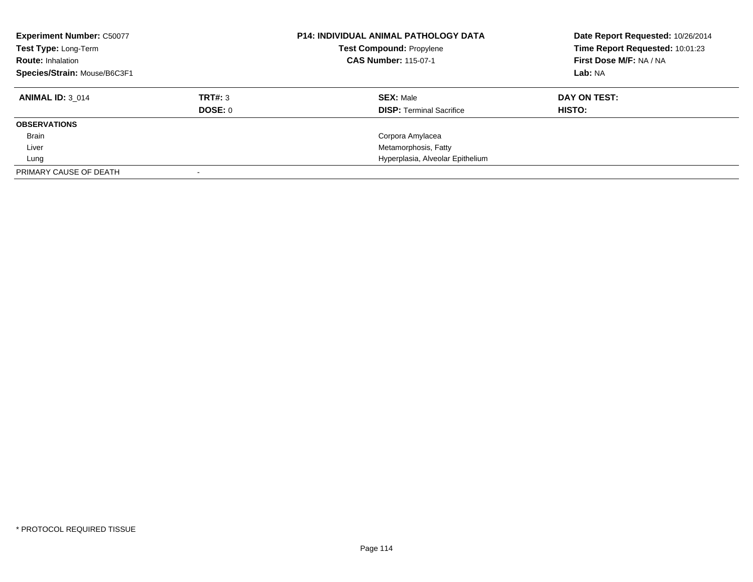| <b>Experiment Number: C50077</b><br>Test Type: Long-Term<br><b>Route: Inhalation</b><br>Species/Strain: Mouse/B6C3F1 |         | <b>P14: INDIVIDUAL ANIMAL PATHOLOGY DATA</b><br><b>Test Compound: Propylene</b><br><b>CAS Number: 115-07-1</b> | Date Report Requested: 10/26/2014<br>Time Report Requested: 10:01:23<br>First Dose M/F: NA / NA<br>Lab: NA |
|----------------------------------------------------------------------------------------------------------------------|---------|----------------------------------------------------------------------------------------------------------------|------------------------------------------------------------------------------------------------------------|
| <b>ANIMAL ID: 3 014</b>                                                                                              | TRT#: 3 | <b>SEX: Male</b>                                                                                               | DAY ON TEST:                                                                                               |
|                                                                                                                      | DOSE: 0 | <b>DISP:</b> Terminal Sacrifice                                                                                | HISTO:                                                                                                     |
| <b>OBSERVATIONS</b>                                                                                                  |         |                                                                                                                |                                                                                                            |
| Brain                                                                                                                |         | Corpora Amylacea                                                                                               |                                                                                                            |
| Liver                                                                                                                |         | Metamorphosis, Fatty                                                                                           |                                                                                                            |
| Lung                                                                                                                 |         | Hyperplasia, Alveolar Epithelium                                                                               |                                                                                                            |
| PRIMARY CAUSE OF DEATH                                                                                               |         |                                                                                                                |                                                                                                            |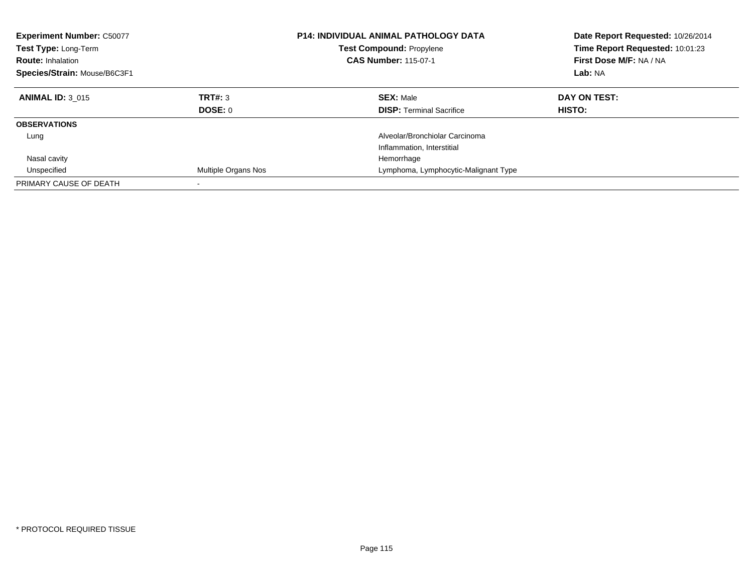| <b>Experiment Number: C50077</b><br><b>Test Type: Long-Term</b><br><b>Route: Inhalation</b><br>Species/Strain: Mouse/B6C3F1 |                            | <b>P14: INDIVIDUAL ANIMAL PATHOLOGY DATA</b><br><b>Test Compound: Propylene</b><br><b>CAS Number: 115-07-1</b> | Date Report Requested: 10/26/2014<br>Time Report Requested: 10:01:23<br>First Dose M/F: NA / NA<br>Lab: NA |
|-----------------------------------------------------------------------------------------------------------------------------|----------------------------|----------------------------------------------------------------------------------------------------------------|------------------------------------------------------------------------------------------------------------|
| <b>ANIMAL ID: 3 015</b>                                                                                                     | TRT#: 3<br>DOSE: 0         | <b>SEX: Male</b><br><b>DISP:</b> Terminal Sacrifice                                                            | DAY ON TEST:<br>HISTO:                                                                                     |
| <b>OBSERVATIONS</b>                                                                                                         |                            |                                                                                                                |                                                                                                            |
| Lung                                                                                                                        |                            | Alveolar/Bronchiolar Carcinoma<br>Inflammation, Interstitial                                                   |                                                                                                            |
| Nasal cavity                                                                                                                |                            | Hemorrhage                                                                                                     |                                                                                                            |
| Unspecified                                                                                                                 | <b>Multiple Organs Nos</b> | Lymphoma, Lymphocytic-Malignant Type                                                                           |                                                                                                            |
| PRIMARY CAUSE OF DEATH                                                                                                      |                            |                                                                                                                |                                                                                                            |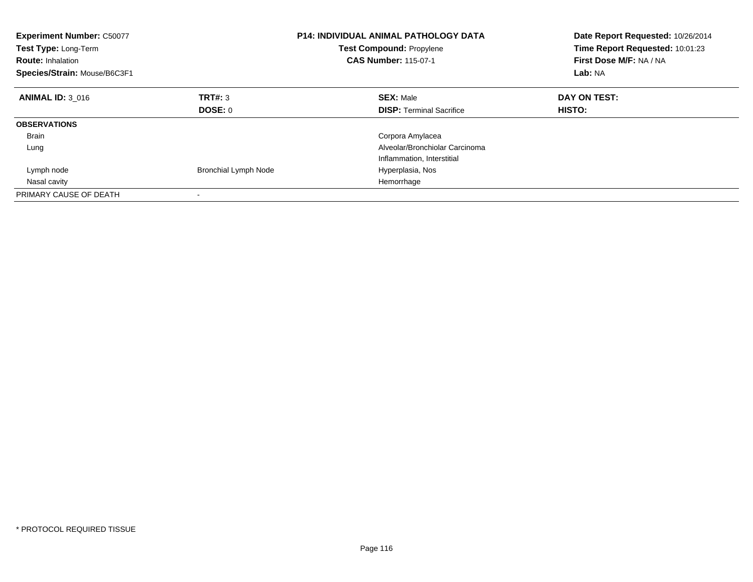| <b>Experiment Number: C50077</b><br>Test Type: Long-Term<br><b>Route: Inhalation</b><br>Species/Strain: Mouse/B6C3F1 |                             | <b>P14: INDIVIDUAL ANIMAL PATHOLOGY DATA</b><br><b>Test Compound: Propylene</b><br><b>CAS Number: 115-07-1</b> | Date Report Requested: 10/26/2014<br>Time Report Requested: 10:01:23<br>First Dose M/F: NA / NA<br>Lab: NA |
|----------------------------------------------------------------------------------------------------------------------|-----------------------------|----------------------------------------------------------------------------------------------------------------|------------------------------------------------------------------------------------------------------------|
| <b>ANIMAL ID: 3 016</b>                                                                                              | TRT#: 3                     | <b>SEX: Male</b>                                                                                               | DAY ON TEST:                                                                                               |
|                                                                                                                      | DOSE: 0                     | <b>DISP:</b> Terminal Sacrifice                                                                                | <b>HISTO:</b>                                                                                              |
| <b>OBSERVATIONS</b>                                                                                                  |                             |                                                                                                                |                                                                                                            |
| <b>Brain</b>                                                                                                         |                             | Corpora Amylacea                                                                                               |                                                                                                            |
| Lung                                                                                                                 |                             | Alveolar/Bronchiolar Carcinoma                                                                                 |                                                                                                            |
|                                                                                                                      |                             | Inflammation, Interstitial                                                                                     |                                                                                                            |
| Lymph node                                                                                                           | <b>Bronchial Lymph Node</b> | Hyperplasia, Nos                                                                                               |                                                                                                            |
| Nasal cavity                                                                                                         |                             | Hemorrhage                                                                                                     |                                                                                                            |
| PRIMARY CAUSE OF DEATH                                                                                               |                             |                                                                                                                |                                                                                                            |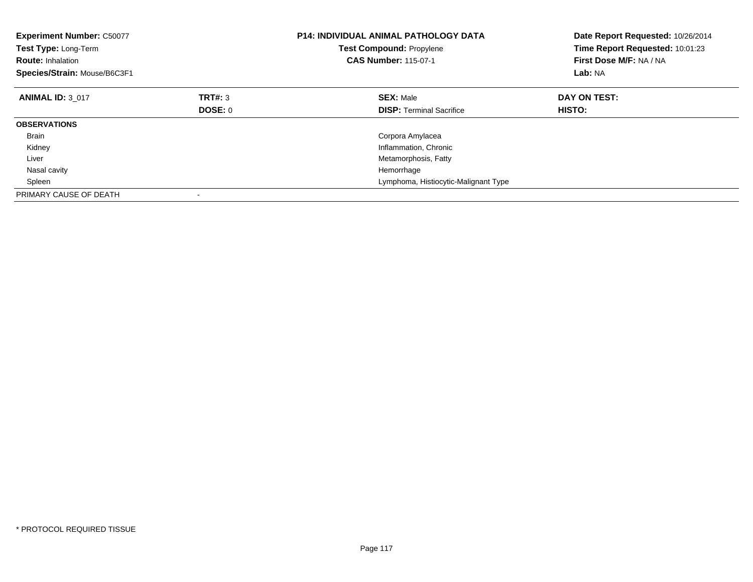| <b>Experiment Number: C50077</b><br>Test Type: Long-Term<br><b>Route: Inhalation</b><br>Species/Strain: Mouse/B6C3F1 |         | <b>P14: INDIVIDUAL ANIMAL PATHOLOGY DATA</b><br><b>Test Compound: Propylene</b><br><b>CAS Number: 115-07-1</b> | Date Report Requested: 10/26/2014<br>Time Report Requested: 10:01:23<br>First Dose M/F: NA / NA<br>Lab: NA |
|----------------------------------------------------------------------------------------------------------------------|---------|----------------------------------------------------------------------------------------------------------------|------------------------------------------------------------------------------------------------------------|
| <b>ANIMAL ID: 3 017</b>                                                                                              | TRT#: 3 | <b>SEX: Male</b>                                                                                               | DAY ON TEST:                                                                                               |
|                                                                                                                      | DOSE: 0 | <b>DISP:</b> Terminal Sacrifice                                                                                | HISTO:                                                                                                     |
| <b>OBSERVATIONS</b>                                                                                                  |         |                                                                                                                |                                                                                                            |
| <b>Brain</b>                                                                                                         |         | Corpora Amylacea                                                                                               |                                                                                                            |
| Kidney                                                                                                               |         | Inflammation, Chronic                                                                                          |                                                                                                            |
| Liver                                                                                                                |         | Metamorphosis, Fatty                                                                                           |                                                                                                            |
| Nasal cavity                                                                                                         |         | Hemorrhage                                                                                                     |                                                                                                            |
| Spleen                                                                                                               |         | Lymphoma, Histiocytic-Malignant Type                                                                           |                                                                                                            |
| PRIMARY CAUSE OF DEATH                                                                                               |         |                                                                                                                |                                                                                                            |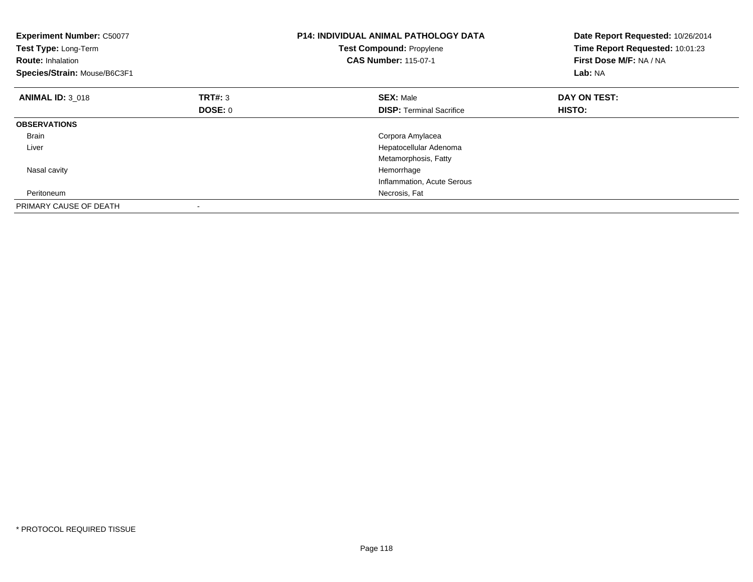| <b>Experiment Number: C50077</b><br>Test Type: Long-Term<br><b>Route: Inhalation</b><br>Species/Strain: Mouse/B6C3F1 |         | <b>P14: INDIVIDUAL ANIMAL PATHOLOGY DATA</b><br>Test Compound: Propylene<br><b>CAS Number: 115-07-1</b> | Date Report Requested: 10/26/2014<br>Time Report Requested: 10:01:23<br>First Dose M/F: NA / NA<br>Lab: NA |
|----------------------------------------------------------------------------------------------------------------------|---------|---------------------------------------------------------------------------------------------------------|------------------------------------------------------------------------------------------------------------|
| <b>ANIMAL ID: 3 018</b>                                                                                              | TRT#: 3 | <b>SEX: Male</b>                                                                                        | DAY ON TEST:                                                                                               |
|                                                                                                                      | DOSE: 0 | <b>DISP:</b> Terminal Sacrifice                                                                         | HISTO:                                                                                                     |
| <b>OBSERVATIONS</b>                                                                                                  |         |                                                                                                         |                                                                                                            |
| <b>Brain</b>                                                                                                         |         | Corpora Amylacea                                                                                        |                                                                                                            |
| Liver                                                                                                                |         | Hepatocellular Adenoma                                                                                  |                                                                                                            |
|                                                                                                                      |         | Metamorphosis, Fatty                                                                                    |                                                                                                            |
| Nasal cavity                                                                                                         |         | Hemorrhage                                                                                              |                                                                                                            |
|                                                                                                                      |         | Inflammation, Acute Serous                                                                              |                                                                                                            |
| Peritoneum                                                                                                           |         | Necrosis, Fat                                                                                           |                                                                                                            |
| PRIMARY CAUSE OF DEATH                                                                                               |         |                                                                                                         |                                                                                                            |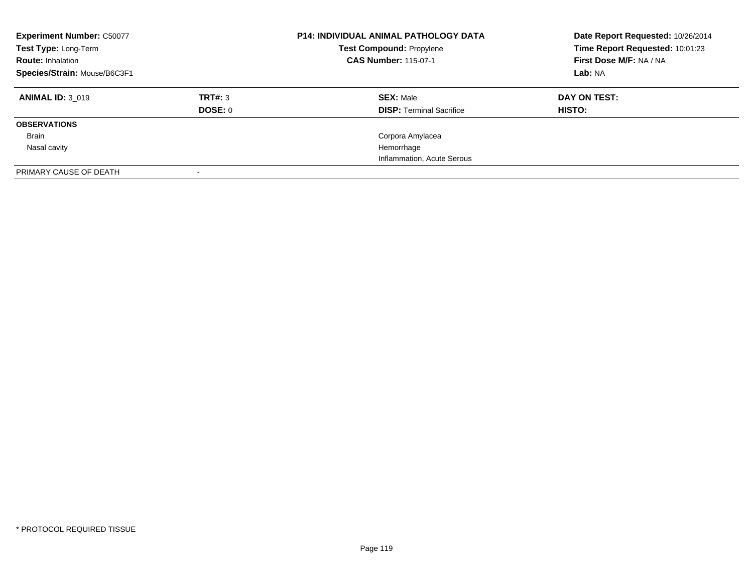| <b>Experiment Number: C50077</b><br>Test Type: Long-Term<br><b>Route: Inhalation</b><br>Species/Strain: Mouse/B6C3F1 |                    | <b>P14: INDIVIDUAL ANIMAL PATHOLOGY DATA</b><br><b>Test Compound: Propylene</b><br><b>CAS Number: 115-07-1</b> | Date Report Requested: 10/26/2014<br>Time Report Requested: 10:01:23<br>First Dose M/F: NA / NA<br>Lab: NA |
|----------------------------------------------------------------------------------------------------------------------|--------------------|----------------------------------------------------------------------------------------------------------------|------------------------------------------------------------------------------------------------------------|
| <b>ANIMAL ID: 3 019</b>                                                                                              | TRT#: 3<br>DOSE: 0 | <b>SEX: Male</b><br><b>DISP:</b> Terminal Sacrifice                                                            | DAY ON TEST:<br>HISTO:                                                                                     |
| <b>OBSERVATIONS</b>                                                                                                  |                    |                                                                                                                |                                                                                                            |
| Brain                                                                                                                |                    | Corpora Amylacea                                                                                               |                                                                                                            |
| Nasal cavity                                                                                                         |                    | Hemorrhage                                                                                                     |                                                                                                            |
|                                                                                                                      |                    | Inflammation, Acute Serous                                                                                     |                                                                                                            |
| PRIMARY CAUSE OF DEATH                                                                                               |                    |                                                                                                                |                                                                                                            |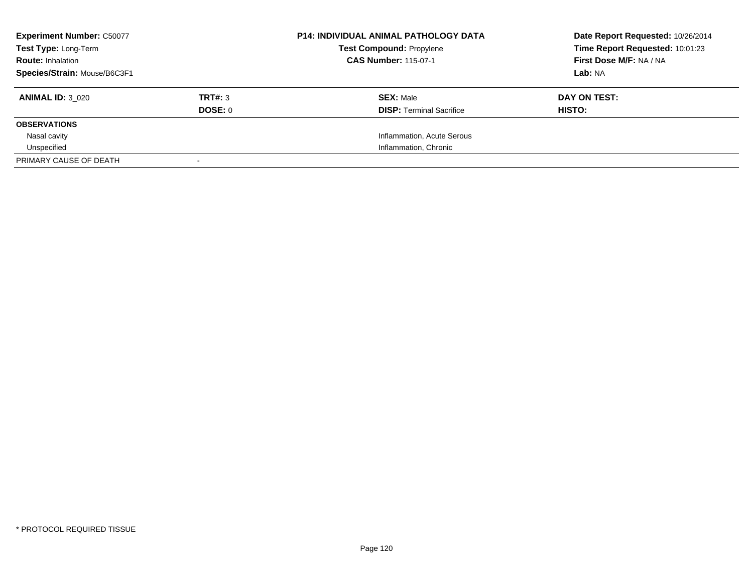| <b>Experiment Number: C50077</b><br><b>Test Type: Long-Term</b> |         | <b>P14: INDIVIDUAL ANIMAL PATHOLOGY DATA</b><br><b>Test Compound: Propylene</b> | Date Report Requested: 10/26/2014<br>Time Report Requested: 10:01:23 |
|-----------------------------------------------------------------|---------|---------------------------------------------------------------------------------|----------------------------------------------------------------------|
| <b>Route: Inhalation</b>                                        |         | <b>CAS Number: 115-07-1</b>                                                     | First Dose M/F: NA / NA                                              |
| Species/Strain: Mouse/B6C3F1                                    |         |                                                                                 | Lab: NA                                                              |
| <b>ANIMAL ID: 3 020</b>                                         | TRT#: 3 | <b>SEX: Male</b>                                                                | DAY ON TEST:                                                         |
|                                                                 | DOSE: 0 | <b>DISP:</b> Terminal Sacrifice                                                 | HISTO:                                                               |
| <b>OBSERVATIONS</b>                                             |         |                                                                                 |                                                                      |
| Nasal cavity                                                    |         | Inflammation, Acute Serous                                                      |                                                                      |
| Unspecified                                                     |         | Inflammation, Chronic                                                           |                                                                      |
| PRIMARY CAUSE OF DEATH                                          |         |                                                                                 |                                                                      |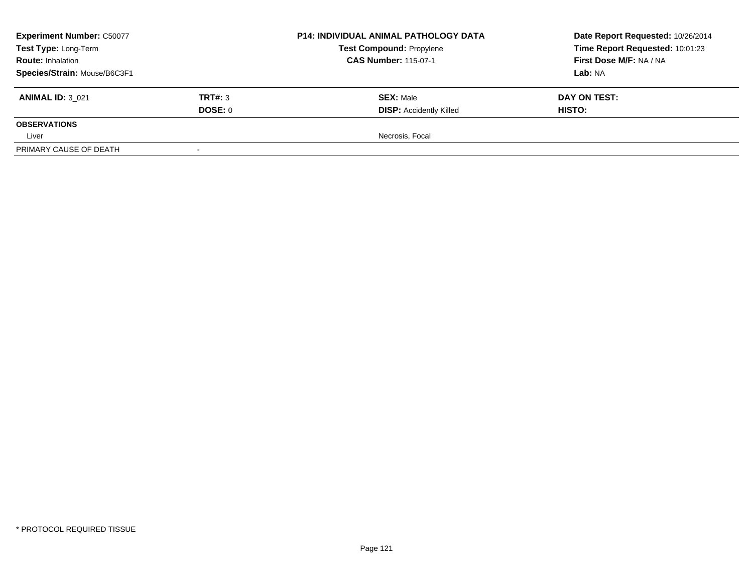| <b>Experiment Number: C50077</b>                 | <b>P14: INDIVIDUAL ANIMAL PATHOLOGY DATA</b> | Date Report Requested: 10/26/2014                              |                                                            |  |
|--------------------------------------------------|----------------------------------------------|----------------------------------------------------------------|------------------------------------------------------------|--|
| Test Type: Long-Term<br><b>Route: Inhalation</b> |                                              | <b>Test Compound: Propylene</b><br><b>CAS Number: 115-07-1</b> | Time Report Requested: 10:01:23<br>First Dose M/F: NA / NA |  |
| Species/Strain: Mouse/B6C3F1                     |                                              |                                                                | Lab: NA                                                    |  |
| <b>ANIMAL ID: 3 021</b>                          | TRT#: 3                                      | <b>SEX: Male</b>                                               | DAY ON TEST:                                               |  |
|                                                  | DOSE: 0                                      | <b>DISP: Accidently Killed</b>                                 | <b>HISTO:</b>                                              |  |
| <b>OBSERVATIONS</b>                              |                                              |                                                                |                                                            |  |
| Liver                                            |                                              | Necrosis, Focal                                                |                                                            |  |
| PRIMARY CAUSE OF DEATH                           |                                              |                                                                |                                                            |  |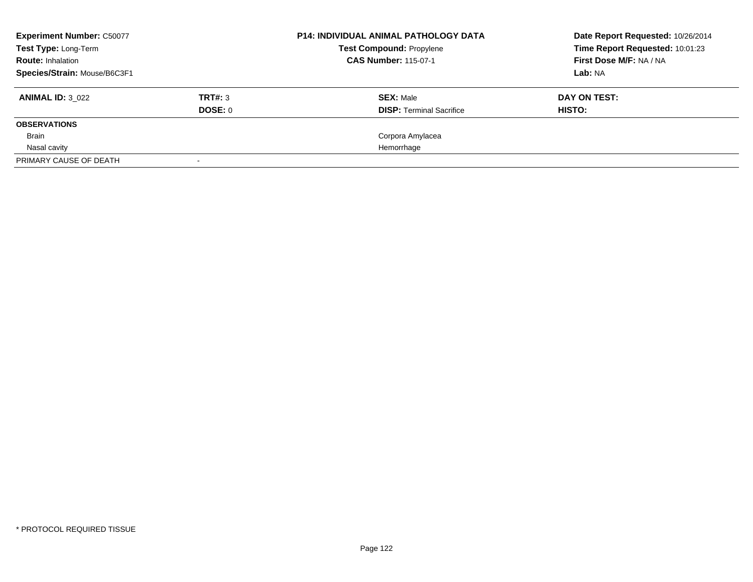| <b>Experiment Number: C50077</b> |         | <b>P14: INDIVIDUAL ANIMAL PATHOLOGY DATA</b> | Date Report Requested: 10/26/2014 |
|----------------------------------|---------|----------------------------------------------|-----------------------------------|
| Test Type: Long-Term             |         | <b>Test Compound: Propylene</b>              | Time Report Requested: 10:01:23   |
| <b>Route: Inhalation</b>         |         | <b>CAS Number: 115-07-1</b>                  | First Dose M/F: NA / NA           |
| Species/Strain: Mouse/B6C3F1     |         |                                              | Lab: NA                           |
| <b>ANIMAL ID: 3 022</b>          | TRT#: 3 | <b>SEX: Male</b>                             | DAY ON TEST:                      |
|                                  | DOSE: 0 | <b>DISP:</b> Terminal Sacrifice              | <b>HISTO:</b>                     |
| <b>OBSERVATIONS</b>              |         |                                              |                                   |
| Brain                            |         | Corpora Amylacea                             |                                   |
| Nasal cavity                     |         | Hemorrhage                                   |                                   |
| PRIMARY CAUSE OF DEATH           |         |                                              |                                   |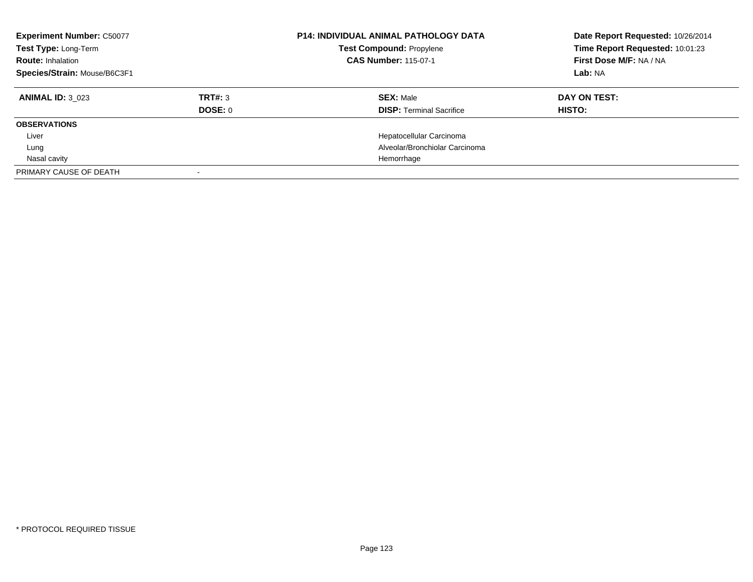| <b>Experiment Number: C50077</b><br>Test Type: Long-Term<br><b>Route: Inhalation</b><br>Species/Strain: Mouse/B6C3F1 |                | <b>P14: INDIVIDUAL ANIMAL PATHOLOGY DATA</b><br><b>Test Compound: Propylene</b><br><b>CAS Number: 115-07-1</b> | Date Report Requested: 10/26/2014<br>Time Report Requested: 10:01:23<br>First Dose M/F: NA / NA<br>Lab: NA |
|----------------------------------------------------------------------------------------------------------------------|----------------|----------------------------------------------------------------------------------------------------------------|------------------------------------------------------------------------------------------------------------|
| <b>ANIMAL ID: 3 023</b>                                                                                              | TRT#: 3        | <b>SEX: Male</b>                                                                                               | DAY ON TEST:                                                                                               |
|                                                                                                                      | <b>DOSE: 0</b> | <b>DISP:</b> Terminal Sacrifice                                                                                | <b>HISTO:</b>                                                                                              |
| <b>OBSERVATIONS</b>                                                                                                  |                |                                                                                                                |                                                                                                            |
| Liver                                                                                                                |                | Hepatocellular Carcinoma                                                                                       |                                                                                                            |
| Lung                                                                                                                 |                | Alveolar/Bronchiolar Carcinoma                                                                                 |                                                                                                            |
| Nasal cavity                                                                                                         |                | Hemorrhage                                                                                                     |                                                                                                            |
| PRIMARY CAUSE OF DEATH                                                                                               |                |                                                                                                                |                                                                                                            |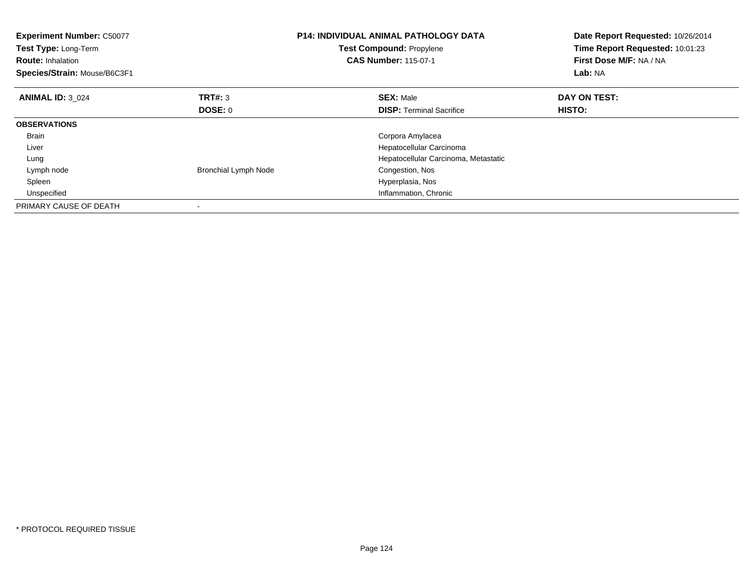| <b>Experiment Number: C50077</b><br>Test Type: Long-Term<br><b>Route: Inhalation</b><br>Species/Strain: Mouse/B6C3F1 |                             | <b>P14: INDIVIDUAL ANIMAL PATHOLOGY DATA</b><br><b>Test Compound: Propylene</b><br><b>CAS Number: 115-07-1</b> | Date Report Requested: 10/26/2014<br>Time Report Requested: 10:01:23<br>First Dose M/F: NA / NA<br>Lab: NA |
|----------------------------------------------------------------------------------------------------------------------|-----------------------------|----------------------------------------------------------------------------------------------------------------|------------------------------------------------------------------------------------------------------------|
| <b>ANIMAL ID: 3 024</b>                                                                                              | <b>TRT#: 3</b>              | <b>SEX: Male</b>                                                                                               | DAY ON TEST:                                                                                               |
|                                                                                                                      | DOSE: 0                     | <b>DISP:</b> Terminal Sacrifice                                                                                | HISTO:                                                                                                     |
| <b>OBSERVATIONS</b>                                                                                                  |                             |                                                                                                                |                                                                                                            |
| <b>Brain</b>                                                                                                         |                             | Corpora Amylacea                                                                                               |                                                                                                            |
| Liver                                                                                                                |                             | Hepatocellular Carcinoma                                                                                       |                                                                                                            |
| Lung                                                                                                                 |                             | Hepatocellular Carcinoma, Metastatic                                                                           |                                                                                                            |
| Lymph node                                                                                                           | <b>Bronchial Lymph Node</b> | Congestion, Nos                                                                                                |                                                                                                            |
| Spleen                                                                                                               |                             | Hyperplasia, Nos                                                                                               |                                                                                                            |
| Unspecified                                                                                                          |                             | Inflammation, Chronic                                                                                          |                                                                                                            |
| PRIMARY CAUSE OF DEATH                                                                                               |                             |                                                                                                                |                                                                                                            |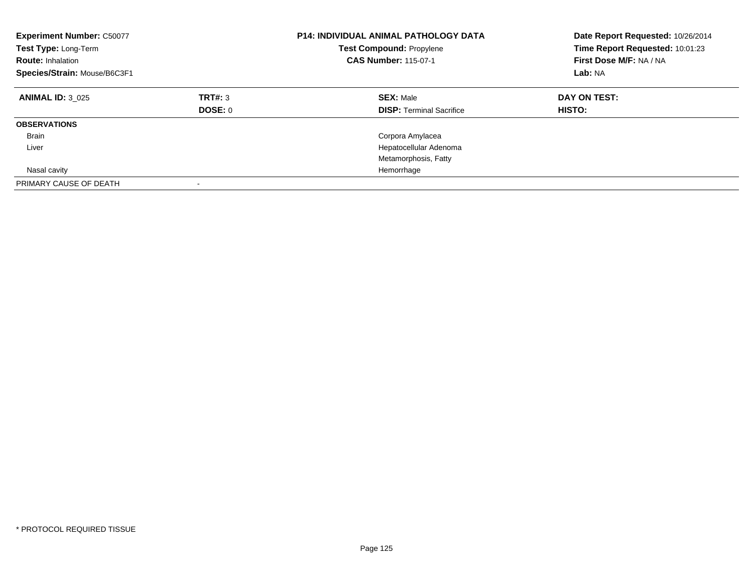| <b>Experiment Number: C50077</b><br>Test Type: Long-Term<br><b>Route: Inhalation</b><br>Species/Strain: Mouse/B6C3F1 |                          | <b>P14: INDIVIDUAL ANIMAL PATHOLOGY DATA</b><br><b>Test Compound: Propylene</b><br><b>CAS Number: 115-07-1</b> | Date Report Requested: 10/26/2014<br>Time Report Requested: 10:01:23<br>First Dose M/F: NA / NA<br>Lab: NA |
|----------------------------------------------------------------------------------------------------------------------|--------------------------|----------------------------------------------------------------------------------------------------------------|------------------------------------------------------------------------------------------------------------|
| <b>ANIMAL ID: 3 025</b>                                                                                              | TRT#: 3<br>DOSE: 0       | <b>SEX: Male</b><br><b>DISP: Terminal Sacrifice</b>                                                            | DAY ON TEST:<br>HISTO:                                                                                     |
| <b>OBSERVATIONS</b>                                                                                                  |                          |                                                                                                                |                                                                                                            |
| <b>Brain</b>                                                                                                         |                          | Corpora Amylacea                                                                                               |                                                                                                            |
| Liver                                                                                                                |                          | Hepatocellular Adenoma                                                                                         |                                                                                                            |
|                                                                                                                      |                          | Metamorphosis, Fatty                                                                                           |                                                                                                            |
| Nasal cavity                                                                                                         |                          | Hemorrhage                                                                                                     |                                                                                                            |
| PRIMARY CAUSE OF DEATH                                                                                               | $\overline{\phantom{a}}$ |                                                                                                                |                                                                                                            |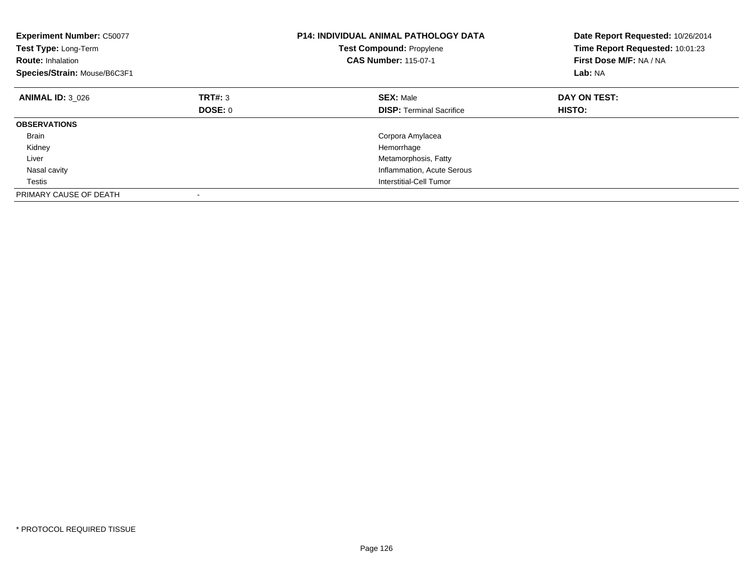| <b>Experiment Number: C50077</b><br>Test Type: Long-Term<br><b>Route: Inhalation</b><br>Species/Strain: Mouse/B6C3F1 |         | <b>P14: INDIVIDUAL ANIMAL PATHOLOGY DATA</b><br><b>Test Compound: Propylene</b><br><b>CAS Number: 115-07-1</b> | Date Report Requested: 10/26/2014<br>Time Report Requested: 10:01:23<br>First Dose M/F: NA / NA<br>Lab: NA |
|----------------------------------------------------------------------------------------------------------------------|---------|----------------------------------------------------------------------------------------------------------------|------------------------------------------------------------------------------------------------------------|
| <b>ANIMAL ID: 3 026</b>                                                                                              | TRT#: 3 | <b>SEX: Male</b>                                                                                               | DAY ON TEST:                                                                                               |
|                                                                                                                      | DOSE: 0 | <b>DISP:</b> Terminal Sacrifice                                                                                | <b>HISTO:</b>                                                                                              |
| <b>OBSERVATIONS</b>                                                                                                  |         |                                                                                                                |                                                                                                            |
| <b>Brain</b>                                                                                                         |         | Corpora Amylacea                                                                                               |                                                                                                            |
| Kidney                                                                                                               |         | Hemorrhage                                                                                                     |                                                                                                            |
| Liver                                                                                                                |         | Metamorphosis, Fatty                                                                                           |                                                                                                            |
| Nasal cavity                                                                                                         |         | Inflammation, Acute Serous                                                                                     |                                                                                                            |
| Testis                                                                                                               |         | Interstitial-Cell Tumor                                                                                        |                                                                                                            |
| PRIMARY CAUSE OF DEATH                                                                                               |         |                                                                                                                |                                                                                                            |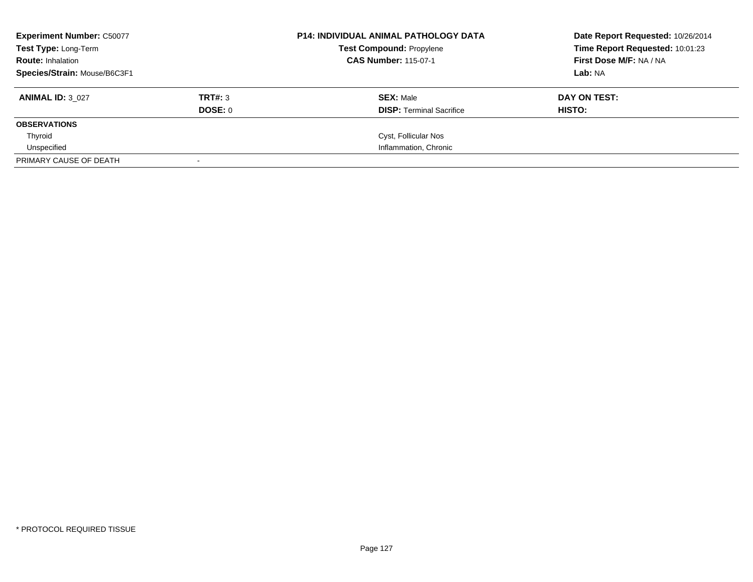| <b>Experiment Number: C50077</b> |         | <b>P14: INDIVIDUAL ANIMAL PATHOLOGY DATA</b> | Date Report Requested: 10/26/2014 |
|----------------------------------|---------|----------------------------------------------|-----------------------------------|
| Test Type: Long-Term             |         | <b>Test Compound: Propylene</b>              | Time Report Requested: 10:01:23   |
| <b>Route: Inhalation</b>         |         | <b>CAS Number: 115-07-1</b>                  | First Dose M/F: NA / NA           |
| Species/Strain: Mouse/B6C3F1     |         |                                              | Lab: NA                           |
| <b>ANIMAL ID: 3 027</b>          | TRT#: 3 | <b>SEX: Male</b>                             | DAY ON TEST:                      |
|                                  | DOSE: 0 | <b>DISP:</b> Terminal Sacrifice              | HISTO:                            |
| <b>OBSERVATIONS</b>              |         |                                              |                                   |
| Thyroid                          |         | Cyst, Follicular Nos                         |                                   |
| Unspecified                      |         | Inflammation, Chronic                        |                                   |
| PRIMARY CAUSE OF DEATH           |         |                                              |                                   |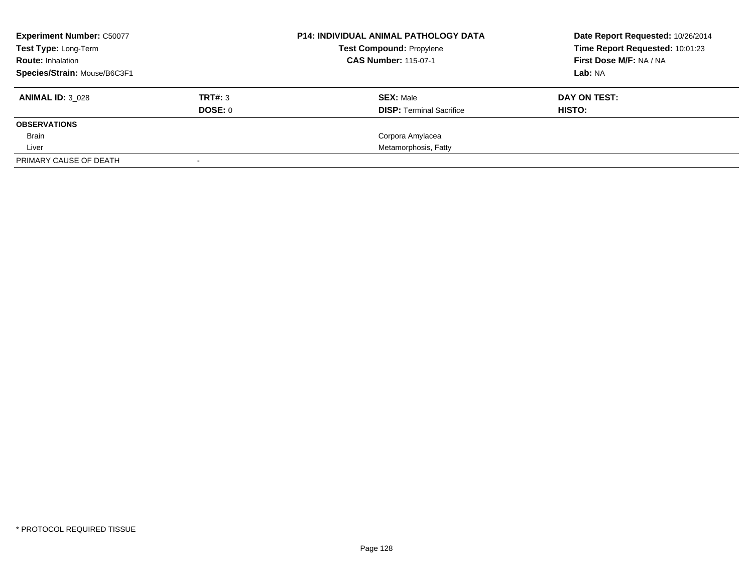| <b>Experiment Number: C50077</b> |         | <b>P14: INDIVIDUAL ANIMAL PATHOLOGY DATA</b> | Date Report Requested: 10/26/2014 |
|----------------------------------|---------|----------------------------------------------|-----------------------------------|
| Test Type: Long-Term             |         | <b>Test Compound: Propylene</b>              | Time Report Requested: 10:01:23   |
| <b>Route: Inhalation</b>         |         | <b>CAS Number: 115-07-1</b>                  | First Dose M/F: NA / NA           |
| Species/Strain: Mouse/B6C3F1     |         |                                              | Lab: NA                           |
| <b>ANIMAL ID: 3 028</b>          | TRT#: 3 | <b>SEX: Male</b>                             | DAY ON TEST:                      |
|                                  | DOSE: 0 | <b>DISP:</b> Terminal Sacrifice              | HISTO:                            |
| <b>OBSERVATIONS</b>              |         |                                              |                                   |
| <b>Brain</b>                     |         | Corpora Amylacea                             |                                   |
| Liver                            |         | Metamorphosis, Fatty                         |                                   |
| PRIMARY CAUSE OF DEATH           |         |                                              |                                   |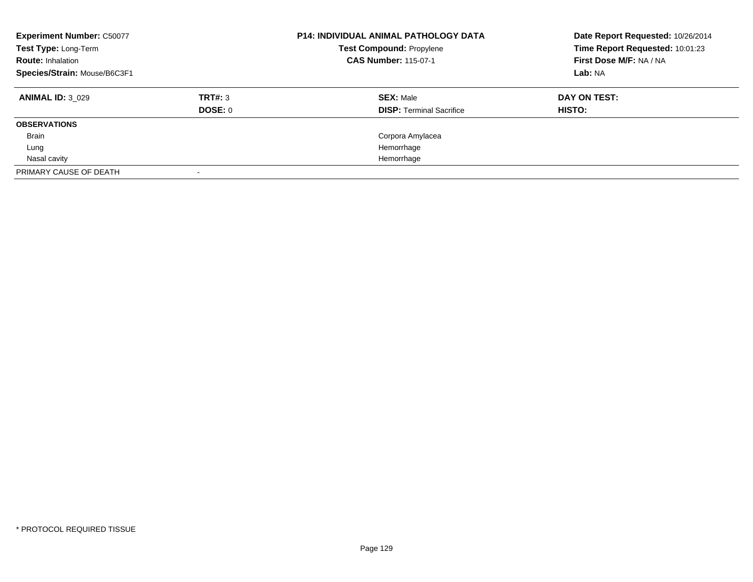| <b>Experiment Number: C50077</b><br>Test Type: Long-Term<br><b>Route: Inhalation</b><br>Species/Strain: Mouse/B6C3F1 |         | <b>P14: INDIVIDUAL ANIMAL PATHOLOGY DATA</b><br><b>Test Compound: Propylene</b><br><b>CAS Number: 115-07-1</b> | Date Report Requested: 10/26/2014<br>Time Report Requested: 10:01:23<br>First Dose M/F: NA / NA<br>Lab: NA |
|----------------------------------------------------------------------------------------------------------------------|---------|----------------------------------------------------------------------------------------------------------------|------------------------------------------------------------------------------------------------------------|
| <b>ANIMAL ID: 3 029</b>                                                                                              | TRT#: 3 | <b>SEX: Male</b>                                                                                               | DAY ON TEST:                                                                                               |
|                                                                                                                      | DOSE: 0 | <b>DISP: Terminal Sacrifice</b>                                                                                | <b>HISTO:</b>                                                                                              |
| <b>OBSERVATIONS</b>                                                                                                  |         |                                                                                                                |                                                                                                            |
| Brain                                                                                                                |         | Corpora Amylacea                                                                                               |                                                                                                            |
| Lung                                                                                                                 |         | Hemorrhage                                                                                                     |                                                                                                            |
| Nasal cavity                                                                                                         |         | Hemorrhage                                                                                                     |                                                                                                            |
| PRIMARY CAUSE OF DEATH                                                                                               |         |                                                                                                                |                                                                                                            |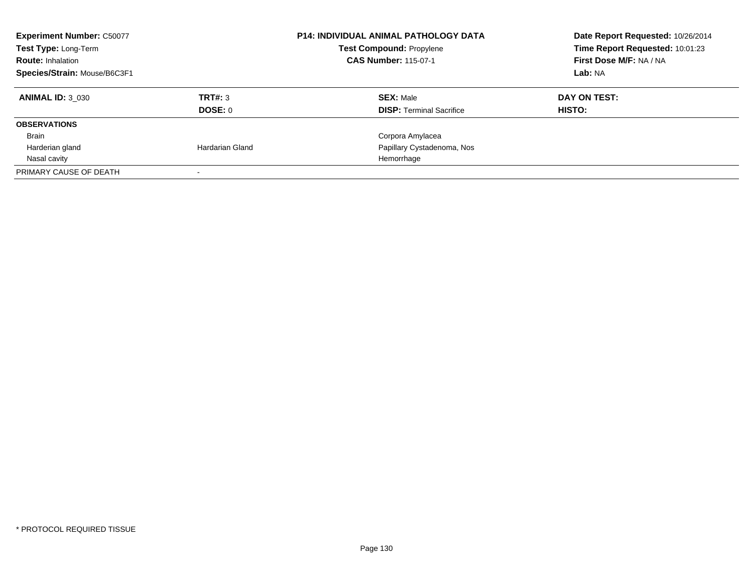| <b>Experiment Number: C50077</b><br>Test Type: Long-Term<br><b>Route: Inhalation</b><br>Species/Strain: Mouse/B6C3F1 |                 | <b>P14: INDIVIDUAL ANIMAL PATHOLOGY DATA</b><br><b>Test Compound: Propylene</b><br><b>CAS Number: 115-07-1</b> | Date Report Requested: 10/26/2014<br>Time Report Requested: 10:01:23<br>First Dose M/F: NA / NA<br>Lab: NA |
|----------------------------------------------------------------------------------------------------------------------|-----------------|----------------------------------------------------------------------------------------------------------------|------------------------------------------------------------------------------------------------------------|
| <b>ANIMAL ID: 3 030</b>                                                                                              | TRT#: 3         | <b>SEX: Male</b>                                                                                               | DAY ON TEST:                                                                                               |
|                                                                                                                      | <b>DOSE: 0</b>  | <b>DISP:</b> Terminal Sacrifice                                                                                | HISTO:                                                                                                     |
| <b>OBSERVATIONS</b>                                                                                                  |                 |                                                                                                                |                                                                                                            |
| Brain                                                                                                                |                 | Corpora Amylacea                                                                                               |                                                                                                            |
| Harderian gland                                                                                                      | Hardarian Gland | Papillary Cystadenoma, Nos                                                                                     |                                                                                                            |
| Nasal cavity                                                                                                         |                 | Hemorrhage                                                                                                     |                                                                                                            |
| PRIMARY CAUSE OF DEATH                                                                                               |                 |                                                                                                                |                                                                                                            |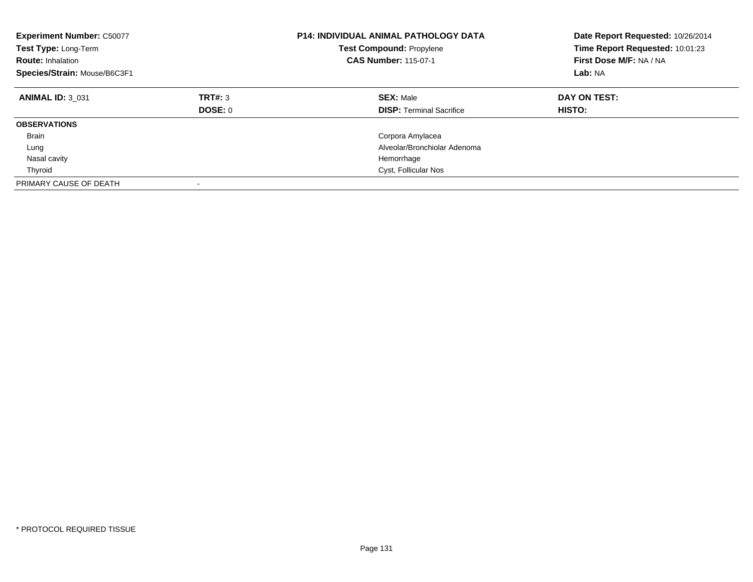| <b>Experiment Number: C50077</b><br>Test Type: Long-Term<br><b>Route: Inhalation</b><br>Species/Strain: Mouse/B6C3F1 |                           | <b>P14: INDIVIDUAL ANIMAL PATHOLOGY DATA</b><br><b>Test Compound: Propylene</b><br><b>CAS Number: 115-07-1</b> | Date Report Requested: 10/26/2014<br>Time Report Requested: 10:01:23<br>First Dose M/F: NA / NA<br>Lab: NA |
|----------------------------------------------------------------------------------------------------------------------|---------------------------|----------------------------------------------------------------------------------------------------------------|------------------------------------------------------------------------------------------------------------|
| <b>ANIMAL ID: 3 031</b>                                                                                              | TRT#: 3<br><b>DOSE: 0</b> | <b>SEX: Male</b><br><b>DISP:</b> Terminal Sacrifice                                                            | DAY ON TEST:<br><b>HISTO:</b>                                                                              |
| <b>OBSERVATIONS</b>                                                                                                  |                           |                                                                                                                |                                                                                                            |
| <b>Brain</b>                                                                                                         |                           | Corpora Amylacea                                                                                               |                                                                                                            |
| Lung                                                                                                                 |                           | Alveolar/Bronchiolar Adenoma                                                                                   |                                                                                                            |
| Nasal cavity                                                                                                         |                           | Hemorrhage                                                                                                     |                                                                                                            |
| Thyroid                                                                                                              |                           | Cyst, Follicular Nos                                                                                           |                                                                                                            |
| PRIMARY CAUSE OF DEATH                                                                                               |                           |                                                                                                                |                                                                                                            |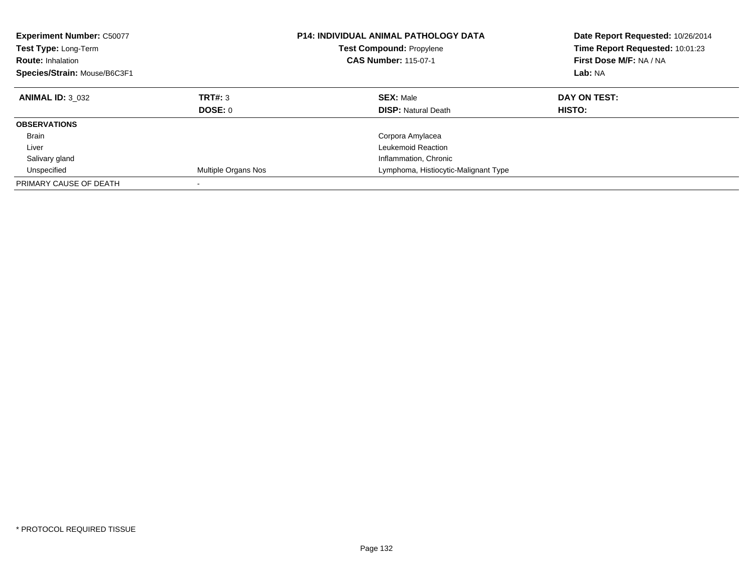| <b>Experiment Number: C50077</b><br>Test Type: Long-Term<br><b>Route: Inhalation</b><br>Species/Strain: Mouse/B6C3F1 |                           | <b>P14: INDIVIDUAL ANIMAL PATHOLOGY DATA</b><br><b>Test Compound: Propylene</b><br><b>CAS Number: 115-07-1</b> | Date Report Requested: 10/26/2014<br>Time Report Requested: 10:01:23<br>First Dose M/F: NA / NA<br>Lab: NA |
|----------------------------------------------------------------------------------------------------------------------|---------------------------|----------------------------------------------------------------------------------------------------------------|------------------------------------------------------------------------------------------------------------|
| <b>ANIMAL ID: 3 032</b>                                                                                              | TRT#: 3<br><b>DOSE: 0</b> | <b>SEX: Male</b><br><b>DISP:</b> Natural Death                                                                 | DAY ON TEST:<br><b>HISTO:</b>                                                                              |
| <b>OBSERVATIONS</b>                                                                                                  |                           |                                                                                                                |                                                                                                            |
| <b>Brain</b>                                                                                                         |                           | Corpora Amylacea                                                                                               |                                                                                                            |
| Liver                                                                                                                |                           | Leukemoid Reaction                                                                                             |                                                                                                            |
| Salivary gland                                                                                                       |                           | Inflammation, Chronic                                                                                          |                                                                                                            |
| Unspecified                                                                                                          | Multiple Organs Nos       | Lymphoma, Histiocytic-Malignant Type                                                                           |                                                                                                            |
| PRIMARY CAUSE OF DEATH                                                                                               | $\overline{\phantom{a}}$  |                                                                                                                |                                                                                                            |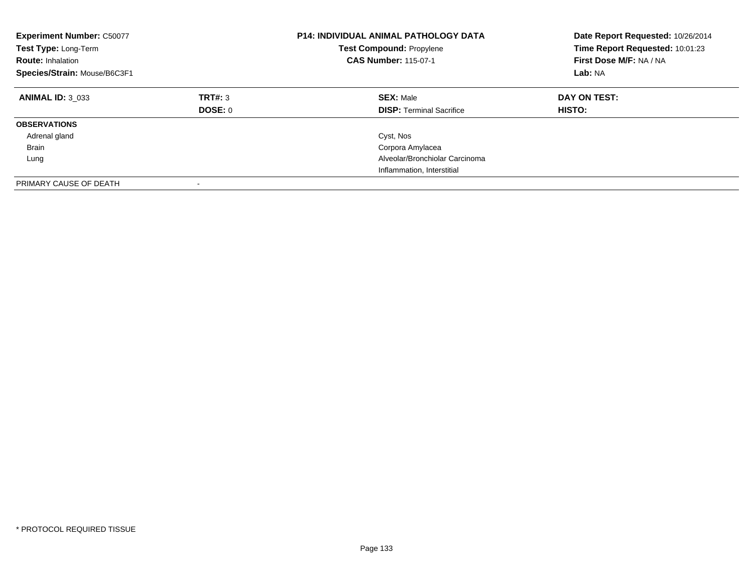| <b>Experiment Number: C50077</b><br>Test Type: Long-Term<br><b>Route: Inhalation</b><br>Species/Strain: Mouse/B6C3F1 |                    | <b>P14: INDIVIDUAL ANIMAL PATHOLOGY DATA</b><br><b>Test Compound: Propylene</b><br><b>CAS Number: 115-07-1</b> | Date Report Requested: 10/26/2014<br>Time Report Requested: 10:01:23<br>First Dose M/F: NA / NA<br>Lab: NA |
|----------------------------------------------------------------------------------------------------------------------|--------------------|----------------------------------------------------------------------------------------------------------------|------------------------------------------------------------------------------------------------------------|
| <b>ANIMAL ID: 3 033</b>                                                                                              | TRT#: 3<br>DOSE: 0 | <b>SEX: Male</b><br><b>DISP: Terminal Sacrifice</b>                                                            | DAY ON TEST:<br><b>HISTO:</b>                                                                              |
| <b>OBSERVATIONS</b>                                                                                                  |                    |                                                                                                                |                                                                                                            |
| Adrenal gland                                                                                                        |                    | Cyst, Nos                                                                                                      |                                                                                                            |
| <b>Brain</b>                                                                                                         |                    | Corpora Amylacea                                                                                               |                                                                                                            |
| Lung                                                                                                                 |                    | Alveolar/Bronchiolar Carcinoma                                                                                 |                                                                                                            |
|                                                                                                                      |                    | Inflammation, Interstitial                                                                                     |                                                                                                            |
| PRIMARY CAUSE OF DEATH                                                                                               |                    |                                                                                                                |                                                                                                            |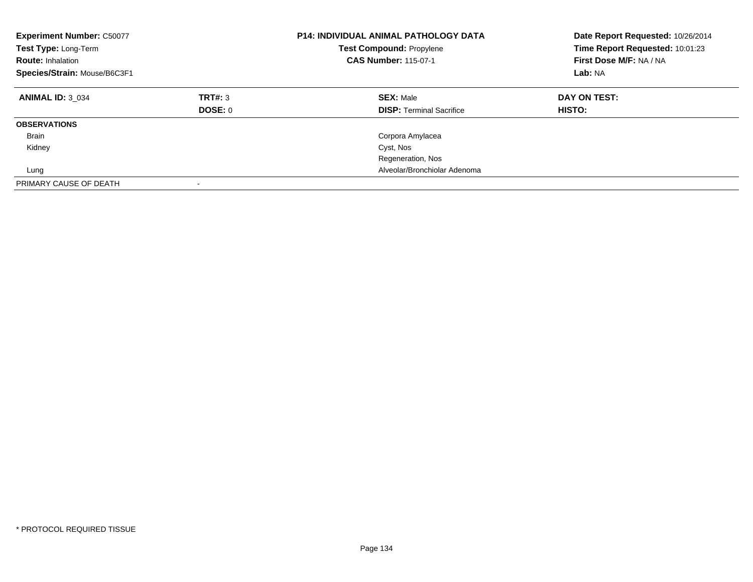| <b>Experiment Number: C50077</b><br>Test Type: Long-Term<br><b>Route: Inhalation</b><br>Species/Strain: Mouse/B6C3F1 |                           | <b>P14: INDIVIDUAL ANIMAL PATHOLOGY DATA</b><br>Test Compound: Propylene<br><b>CAS Number: 115-07-1</b> | Date Report Requested: 10/26/2014<br>Time Report Requested: 10:01:23<br>First Dose M/F: NA / NA<br>Lab: NA |
|----------------------------------------------------------------------------------------------------------------------|---------------------------|---------------------------------------------------------------------------------------------------------|------------------------------------------------------------------------------------------------------------|
| <b>ANIMAL ID: 3 034</b>                                                                                              | TRT#: 3<br><b>DOSE: 0</b> | <b>SEX: Male</b><br><b>DISP: Terminal Sacrifice</b>                                                     | DAY ON TEST:<br>HISTO:                                                                                     |
| <b>OBSERVATIONS</b>                                                                                                  |                           |                                                                                                         |                                                                                                            |
| <b>Brain</b>                                                                                                         |                           | Corpora Amylacea                                                                                        |                                                                                                            |
| Kidney                                                                                                               |                           | Cyst, Nos                                                                                               |                                                                                                            |
|                                                                                                                      |                           | Regeneration, Nos                                                                                       |                                                                                                            |
| Lung                                                                                                                 |                           | Alveolar/Bronchiolar Adenoma                                                                            |                                                                                                            |
| PRIMARY CAUSE OF DEATH                                                                                               | $\overline{\phantom{a}}$  |                                                                                                         |                                                                                                            |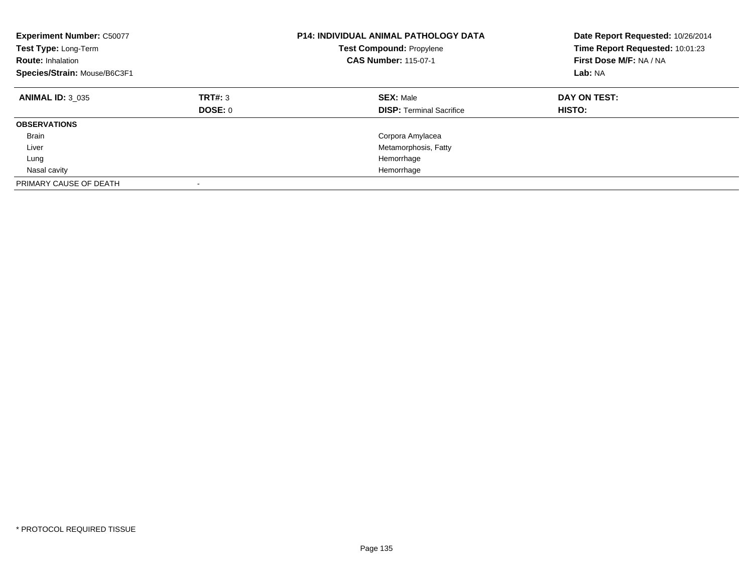| <b>Experiment Number: C50077</b><br>Test Type: Long-Term<br><b>Route: Inhalation</b><br>Species/Strain: Mouse/B6C3F1 |                           | <b>P14: INDIVIDUAL ANIMAL PATHOLOGY DATA</b><br><b>Test Compound: Propylene</b><br><b>CAS Number: 115-07-1</b> | Date Report Requested: 10/26/2014<br>Time Report Requested: 10:01:23<br>First Dose M/F: NA / NA<br>Lab: NA |
|----------------------------------------------------------------------------------------------------------------------|---------------------------|----------------------------------------------------------------------------------------------------------------|------------------------------------------------------------------------------------------------------------|
| <b>ANIMAL ID: 3 035</b>                                                                                              | TRT#: 3<br><b>DOSE: 0</b> | <b>SEX: Male</b><br><b>DISP:</b> Terminal Sacrifice                                                            | DAY ON TEST:<br><b>HISTO:</b>                                                                              |
| <b>OBSERVATIONS</b>                                                                                                  |                           |                                                                                                                |                                                                                                            |
| <b>Brain</b>                                                                                                         |                           | Corpora Amylacea                                                                                               |                                                                                                            |
| Liver                                                                                                                |                           | Metamorphosis, Fatty                                                                                           |                                                                                                            |
| Lung                                                                                                                 |                           | Hemorrhage                                                                                                     |                                                                                                            |
| Nasal cavity                                                                                                         |                           | Hemorrhage                                                                                                     |                                                                                                            |
| PRIMARY CAUSE OF DEATH                                                                                               |                           |                                                                                                                |                                                                                                            |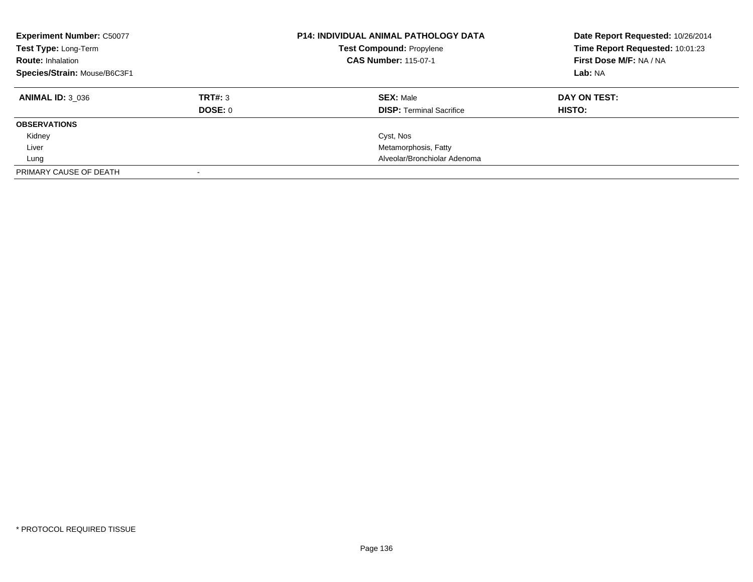| <b>Experiment Number: C50077</b><br>Test Type: Long-Term<br><b>Route: Inhalation</b><br>Species/Strain: Mouse/B6C3F1 |         | <b>P14: INDIVIDUAL ANIMAL PATHOLOGY DATA</b><br>Test Compound: Propylene<br><b>CAS Number: 115-07-1</b> | Date Report Requested: 10/26/2014<br>Time Report Requested: 10:01:23<br>First Dose M/F: NA / NA<br>Lab: NA |
|----------------------------------------------------------------------------------------------------------------------|---------|---------------------------------------------------------------------------------------------------------|------------------------------------------------------------------------------------------------------------|
| <b>ANIMAL ID: 3 036</b>                                                                                              | TRT#: 3 | <b>SEX: Male</b>                                                                                        | DAY ON TEST:                                                                                               |
|                                                                                                                      | DOSE: 0 | <b>DISP:</b> Terminal Sacrifice                                                                         | HISTO:                                                                                                     |
| <b>OBSERVATIONS</b>                                                                                                  |         |                                                                                                         |                                                                                                            |
| Kidney                                                                                                               |         | Cyst, Nos                                                                                               |                                                                                                            |
| Liver                                                                                                                |         | Metamorphosis, Fatty                                                                                    |                                                                                                            |
| Lung                                                                                                                 |         | Alveolar/Bronchiolar Adenoma                                                                            |                                                                                                            |
| PRIMARY CAUSE OF DEATH                                                                                               |         |                                                                                                         |                                                                                                            |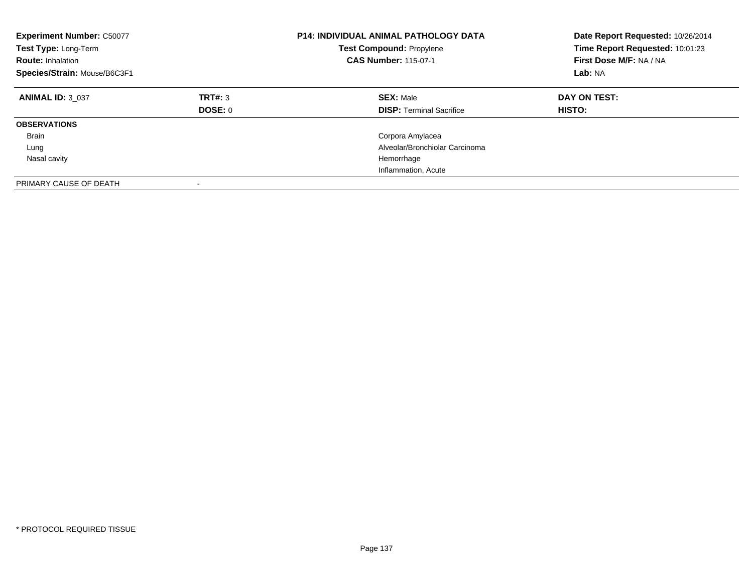| <b>Experiment Number: C50077</b><br>Test Type: Long-Term<br><b>Route: Inhalation</b><br>Species/Strain: Mouse/B6C3F1 |                    | <b>P14: INDIVIDUAL ANIMAL PATHOLOGY DATA</b><br><b>Test Compound: Propylene</b><br><b>CAS Number: 115-07-1</b> | Date Report Requested: 10/26/2014<br>Time Report Requested: 10:01:23<br>First Dose M/F: NA / NA<br>Lab: NA |
|----------------------------------------------------------------------------------------------------------------------|--------------------|----------------------------------------------------------------------------------------------------------------|------------------------------------------------------------------------------------------------------------|
| <b>ANIMAL ID: 3 037</b>                                                                                              | TRT#: 3<br>DOSE: 0 | <b>SEX: Male</b><br><b>DISP: Terminal Sacrifice</b>                                                            | DAY ON TEST:<br><b>HISTO:</b>                                                                              |
| <b>OBSERVATIONS</b>                                                                                                  |                    |                                                                                                                |                                                                                                            |
| <b>Brain</b>                                                                                                         |                    | Corpora Amylacea                                                                                               |                                                                                                            |
| Lung                                                                                                                 |                    | Alveolar/Bronchiolar Carcinoma                                                                                 |                                                                                                            |
| Nasal cavity                                                                                                         |                    | Hemorrhage                                                                                                     |                                                                                                            |
|                                                                                                                      |                    | Inflammation, Acute                                                                                            |                                                                                                            |
| PRIMARY CAUSE OF DEATH                                                                                               |                    |                                                                                                                |                                                                                                            |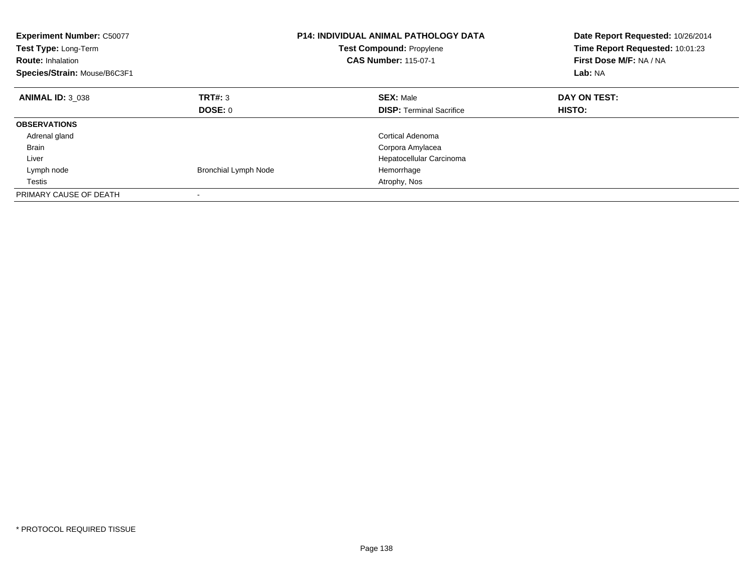| <b>Experiment Number: C50077</b><br>Test Type: Long-Term<br><b>Route: Inhalation</b><br>Species/Strain: Mouse/B6C3F1 |                             | <b>P14: INDIVIDUAL ANIMAL PATHOLOGY DATA</b><br><b>Test Compound: Propylene</b><br><b>CAS Number: 115-07-1</b> | Date Report Requested: 10/26/2014<br>Time Report Requested: 10:01:23<br>First Dose M/F: NA / NA<br>Lab: NA |
|----------------------------------------------------------------------------------------------------------------------|-----------------------------|----------------------------------------------------------------------------------------------------------------|------------------------------------------------------------------------------------------------------------|
| <b>ANIMAL ID: 3 038</b>                                                                                              | TRT#: 3                     | <b>SEX: Male</b>                                                                                               | DAY ON TEST:                                                                                               |
|                                                                                                                      | DOSE: 0                     | <b>DISP:</b> Terminal Sacrifice                                                                                | <b>HISTO:</b>                                                                                              |
| <b>OBSERVATIONS</b>                                                                                                  |                             |                                                                                                                |                                                                                                            |
| Adrenal gland                                                                                                        |                             | Cortical Adenoma                                                                                               |                                                                                                            |
| <b>Brain</b>                                                                                                         |                             | Corpora Amylacea                                                                                               |                                                                                                            |
| Liver                                                                                                                |                             | Hepatocellular Carcinoma                                                                                       |                                                                                                            |
| Lymph node                                                                                                           | <b>Bronchial Lymph Node</b> | Hemorrhage                                                                                                     |                                                                                                            |
| Testis                                                                                                               |                             | Atrophy, Nos                                                                                                   |                                                                                                            |
| PRIMARY CAUSE OF DEATH                                                                                               |                             |                                                                                                                |                                                                                                            |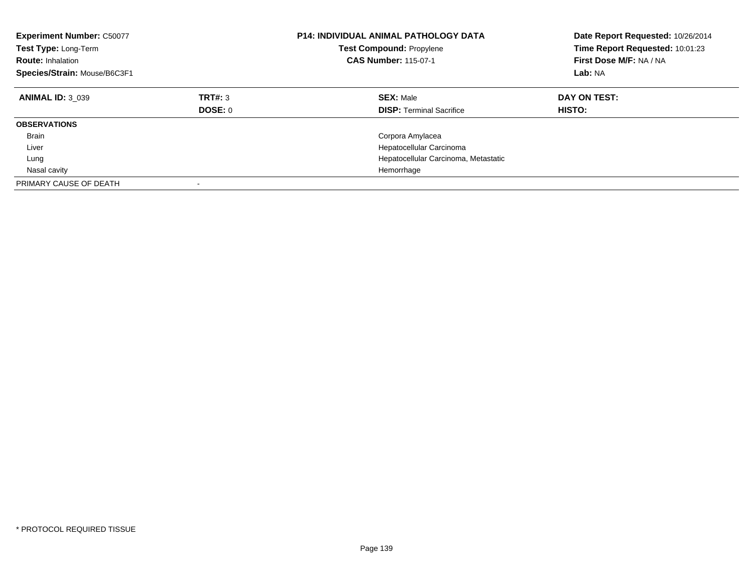| <b>Experiment Number: C50077</b><br>Test Type: Long-Term<br><b>Route: Inhalation</b><br>Species/Strain: Mouse/B6C3F1 |                           | <b>P14: INDIVIDUAL ANIMAL PATHOLOGY DATA</b><br><b>Test Compound: Propylene</b><br><b>CAS Number: 115-07-1</b> | Date Report Requested: 10/26/2014<br>Time Report Requested: 10:01:23<br>First Dose M/F: NA / NA<br>Lab: NA |
|----------------------------------------------------------------------------------------------------------------------|---------------------------|----------------------------------------------------------------------------------------------------------------|------------------------------------------------------------------------------------------------------------|
| <b>ANIMAL ID: 3 039</b>                                                                                              | TRT#: 3<br><b>DOSE: 0</b> | <b>SEX: Male</b><br><b>DISP: Terminal Sacrifice</b>                                                            | DAY ON TEST:<br>HISTO:                                                                                     |
| <b>OBSERVATIONS</b>                                                                                                  |                           |                                                                                                                |                                                                                                            |
| <b>Brain</b>                                                                                                         |                           | Corpora Amylacea                                                                                               |                                                                                                            |
| Liver                                                                                                                |                           | Hepatocellular Carcinoma                                                                                       |                                                                                                            |
| Lung                                                                                                                 |                           | Hepatocellular Carcinoma, Metastatic                                                                           |                                                                                                            |
| Nasal cavity                                                                                                         |                           | Hemorrhage                                                                                                     |                                                                                                            |
| PRIMARY CAUSE OF DEATH                                                                                               |                           |                                                                                                                |                                                                                                            |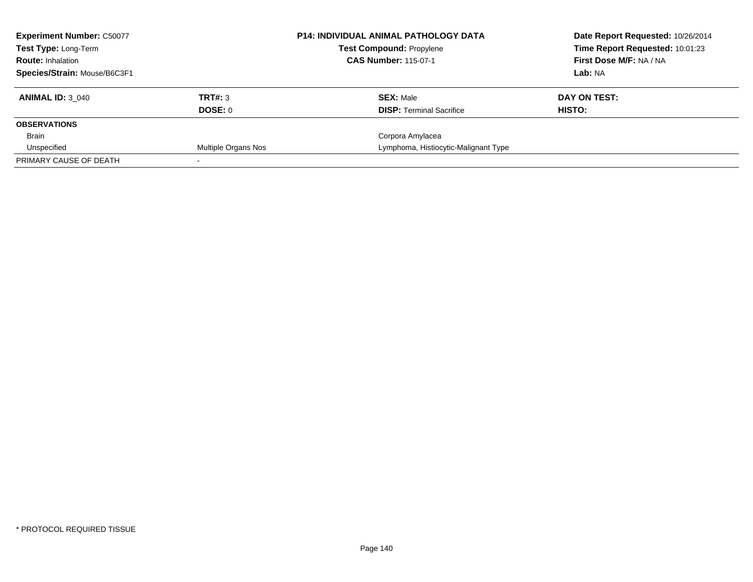| <b>Experiment Number: C50077</b> |                     | <b>P14: INDIVIDUAL ANIMAL PATHOLOGY DATA</b> | Date Report Requested: 10/26/2014 |
|----------------------------------|---------------------|----------------------------------------------|-----------------------------------|
| <b>Test Type: Long-Term</b>      |                     | <b>Test Compound: Propylene</b>              | Time Report Requested: 10:01:23   |
| <b>Route: Inhalation</b>         |                     | <b>CAS Number: 115-07-1</b>                  | First Dose M/F: NA / NA           |
| Species/Strain: Mouse/B6C3F1     |                     |                                              | Lab: NA                           |
| <b>ANIMAL ID: 3 040</b>          | TRT#: 3             | <b>SEX: Male</b>                             | DAY ON TEST:                      |
|                                  | DOSE: 0             | <b>DISP:</b> Terminal Sacrifice              | HISTO:                            |
| <b>OBSERVATIONS</b>              |                     |                                              |                                   |
| Brain                            |                     | Corpora Amylacea                             |                                   |
| Unspecified                      | Multiple Organs Nos | Lymphoma, Histiocytic-Malignant Type         |                                   |
| PRIMARY CAUSE OF DEATH           |                     |                                              |                                   |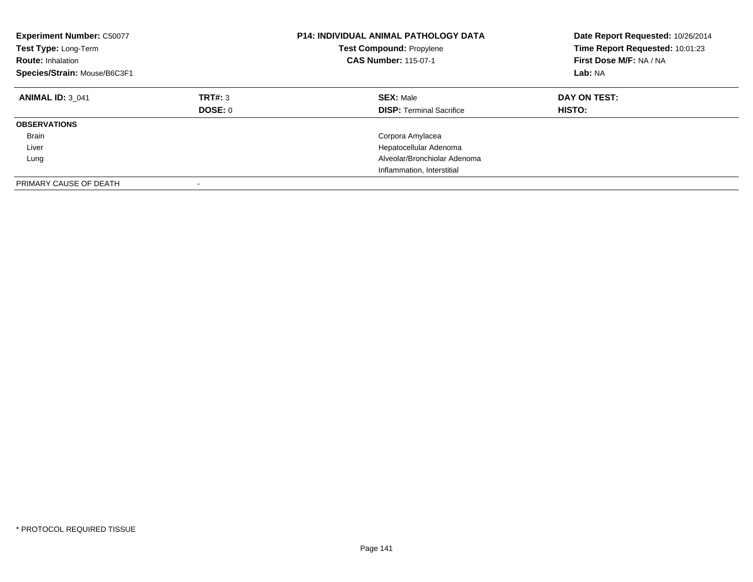| <b>Experiment Number: C50077</b><br>Test Type: Long-Term<br><b>Route: Inhalation</b><br>Species/Strain: Mouse/B6C3F1 |                    | <b>P14: INDIVIDUAL ANIMAL PATHOLOGY DATA</b><br><b>Test Compound: Propylene</b><br><b>CAS Number: 115-07-1</b> | Date Report Requested: 10/26/2014<br>Time Report Requested: 10:01:23<br>First Dose M/F: NA / NA<br>Lab: NA |
|----------------------------------------------------------------------------------------------------------------------|--------------------|----------------------------------------------------------------------------------------------------------------|------------------------------------------------------------------------------------------------------------|
| <b>ANIMAL ID: 3 041</b>                                                                                              | TRT#: 3<br>DOSE: 0 | <b>SEX: Male</b><br><b>DISP:</b> Terminal Sacrifice                                                            | DAY ON TEST:<br>HISTO:                                                                                     |
| <b>OBSERVATIONS</b>                                                                                                  |                    |                                                                                                                |                                                                                                            |
| <b>Brain</b>                                                                                                         |                    | Corpora Amylacea                                                                                               |                                                                                                            |
| Liver                                                                                                                |                    | Hepatocellular Adenoma                                                                                         |                                                                                                            |
| Lung                                                                                                                 |                    | Alveolar/Bronchiolar Adenoma                                                                                   |                                                                                                            |
|                                                                                                                      |                    | Inflammation, Interstitial                                                                                     |                                                                                                            |
| PRIMARY CAUSE OF DEATH                                                                                               |                    |                                                                                                                |                                                                                                            |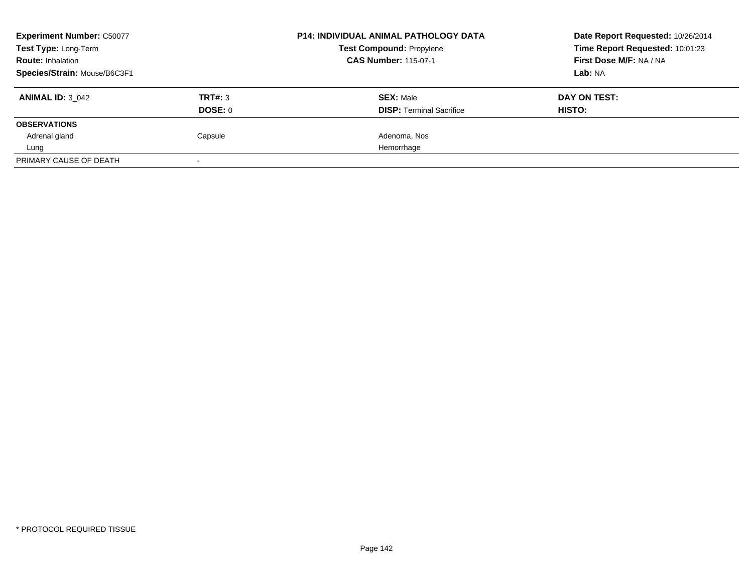| <b>Experiment Number: C50077</b> |         | <b>P14: INDIVIDUAL ANIMAL PATHOLOGY DATA</b><br><b>Test Compound: Propylene</b> | Date Report Requested: 10/26/2014 |
|----------------------------------|---------|---------------------------------------------------------------------------------|-----------------------------------|
| Test Type: Long-Term             |         |                                                                                 | Time Report Requested: 10:01:23   |
| <b>Route: Inhalation</b>         |         | <b>CAS Number: 115-07-1</b>                                                     | First Dose M/F: NA / NA           |
| Species/Strain: Mouse/B6C3F1     |         |                                                                                 | Lab: NA                           |
| <b>ANIMAL ID: 3 042</b>          | TRT#: 3 | <b>SEX: Male</b>                                                                | DAY ON TEST:                      |
|                                  | DOSE: 0 | <b>DISP:</b> Terminal Sacrifice                                                 | HISTO:                            |
| <b>OBSERVATIONS</b>              |         |                                                                                 |                                   |
| Adrenal gland                    | Capsule | Adenoma, Nos                                                                    |                                   |
| Lung                             |         | Hemorrhage                                                                      |                                   |
| PRIMARY CAUSE OF DEATH           |         |                                                                                 |                                   |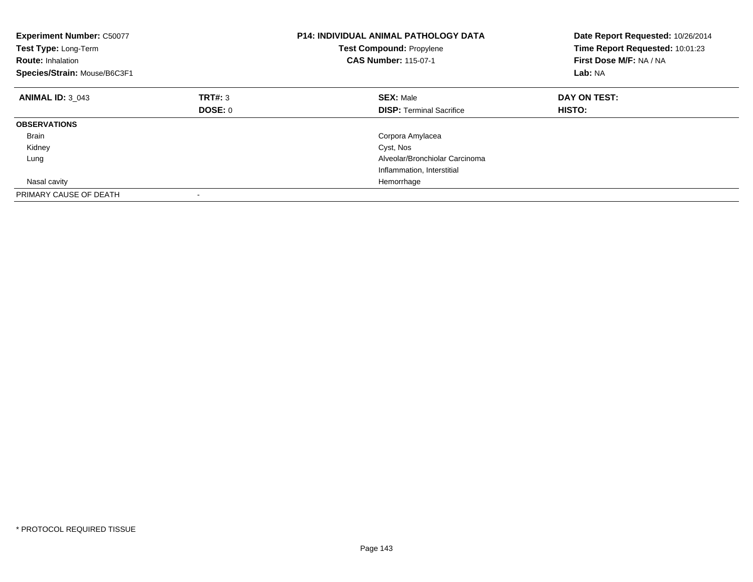| <b>Experiment Number: C50077</b><br>Test Type: Long-Term<br><b>Route: Inhalation</b><br>Species/Strain: Mouse/B6C3F1 |         | <b>P14: INDIVIDUAL ANIMAL PATHOLOGY DATA</b><br><b>Test Compound: Propylene</b><br><b>CAS Number: 115-07-1</b> | Date Report Requested: 10/26/2014<br>Time Report Requested: 10:01:23<br>First Dose M/F: NA / NA<br>Lab: NA |
|----------------------------------------------------------------------------------------------------------------------|---------|----------------------------------------------------------------------------------------------------------------|------------------------------------------------------------------------------------------------------------|
| <b>ANIMAL ID: 3 043</b>                                                                                              | TRT#: 3 | <b>SEX: Male</b>                                                                                               | DAY ON TEST:                                                                                               |
|                                                                                                                      | DOSE: 0 | <b>DISP:</b> Terminal Sacrifice                                                                                | HISTO:                                                                                                     |
| <b>OBSERVATIONS</b>                                                                                                  |         |                                                                                                                |                                                                                                            |
| <b>Brain</b>                                                                                                         |         | Corpora Amylacea                                                                                               |                                                                                                            |
| Kidney                                                                                                               |         | Cyst, Nos                                                                                                      |                                                                                                            |
| Lung                                                                                                                 |         | Alveolar/Bronchiolar Carcinoma                                                                                 |                                                                                                            |
|                                                                                                                      |         | Inflammation, Interstitial                                                                                     |                                                                                                            |
| Nasal cavity                                                                                                         |         | Hemorrhage                                                                                                     |                                                                                                            |
| PRIMARY CAUSE OF DEATH                                                                                               |         |                                                                                                                |                                                                                                            |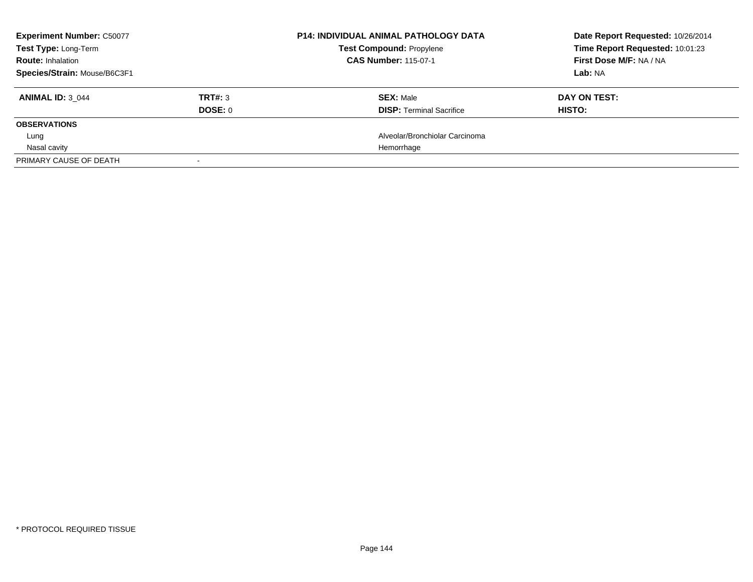| <b>Experiment Number: C50077</b> |         | <b>P14: INDIVIDUAL ANIMAL PATHOLOGY DATA</b> | Date Report Requested: 10/26/2014 |
|----------------------------------|---------|----------------------------------------------|-----------------------------------|
| Test Type: Long-Term             |         | <b>Test Compound: Propylene</b>              | Time Report Requested: 10:01:23   |
| <b>Route: Inhalation</b>         |         | <b>CAS Number: 115-07-1</b>                  | First Dose M/F: NA / NA           |
| Species/Strain: Mouse/B6C3F1     |         |                                              | Lab: NA                           |
| <b>ANIMAL ID: 3 044</b>          | TRT#: 3 | <b>SEX: Male</b>                             | DAY ON TEST:                      |
|                                  | DOSE: 0 | <b>DISP:</b> Terminal Sacrifice              | HISTO:                            |
| <b>OBSERVATIONS</b>              |         |                                              |                                   |
| Lung                             |         | Alveolar/Bronchiolar Carcinoma               |                                   |
| Nasal cavity                     |         | Hemorrhage                                   |                                   |
| PRIMARY CAUSE OF DEATH           |         |                                              |                                   |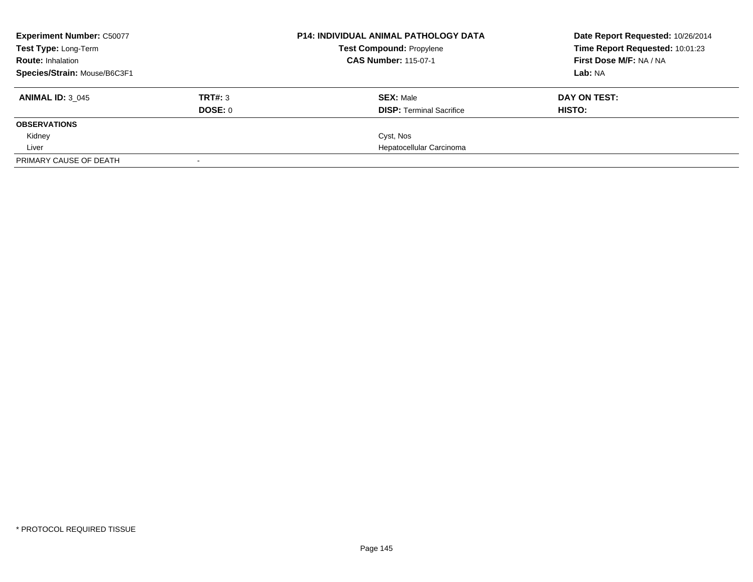| <b>Experiment Number: C50077</b> |         | <b>P14: INDIVIDUAL ANIMAL PATHOLOGY DATA</b><br><b>Test Compound: Propylene</b><br><b>CAS Number: 115-07-1</b> | Date Report Requested: 10/26/2014                                     |  |
|----------------------------------|---------|----------------------------------------------------------------------------------------------------------------|-----------------------------------------------------------------------|--|
| Test Type: Long-Term             |         |                                                                                                                | Time Report Requested: 10:01:23<br>First Dose M/F: NA / NA<br>Lab: NA |  |
| <b>Route: Inhalation</b>         |         |                                                                                                                |                                                                       |  |
| Species/Strain: Mouse/B6C3F1     |         |                                                                                                                |                                                                       |  |
| <b>ANIMAL ID: 3 045</b>          | TRT#: 3 | <b>SEX: Male</b>                                                                                               | DAY ON TEST:                                                          |  |
|                                  | DOSE: 0 | <b>DISP:</b> Terminal Sacrifice                                                                                | HISTO:                                                                |  |
| <b>OBSERVATIONS</b>              |         |                                                                                                                |                                                                       |  |
| Kidney                           |         | Cyst, Nos                                                                                                      |                                                                       |  |
| Liver                            |         | Hepatocellular Carcinoma                                                                                       |                                                                       |  |
| PRIMARY CAUSE OF DEATH           |         |                                                                                                                |                                                                       |  |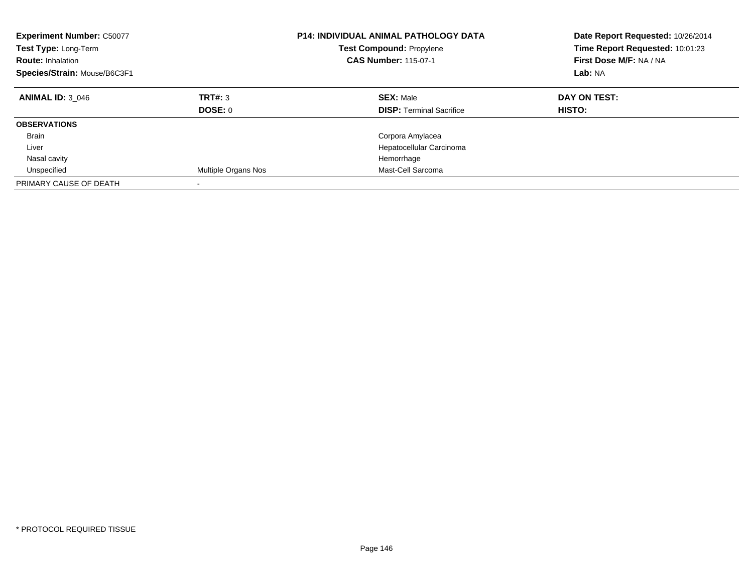| <b>Experiment Number: C50077</b><br>Test Type: Long-Term<br><b>Route: Inhalation</b><br>Species/Strain: Mouse/B6C3F1 |                     | <b>P14: INDIVIDUAL ANIMAL PATHOLOGY DATA</b><br><b>Test Compound: Propylene</b><br><b>CAS Number: 115-07-1</b> | Date Report Requested: 10/26/2014<br>Time Report Requested: 10:01:23<br>First Dose M/F: NA / NA<br>Lab: NA |
|----------------------------------------------------------------------------------------------------------------------|---------------------|----------------------------------------------------------------------------------------------------------------|------------------------------------------------------------------------------------------------------------|
| <b>ANIMAL ID: 3 046</b>                                                                                              | TRT#: 3<br>DOSE: 0  | <b>SEX: Male</b><br><b>DISP:</b> Terminal Sacrifice                                                            | DAY ON TEST:<br><b>HISTO:</b>                                                                              |
| <b>OBSERVATIONS</b>                                                                                                  |                     |                                                                                                                |                                                                                                            |
| Brain                                                                                                                |                     | Corpora Amylacea                                                                                               |                                                                                                            |
| Liver                                                                                                                |                     | Hepatocellular Carcinoma                                                                                       |                                                                                                            |
| Nasal cavity                                                                                                         |                     | Hemorrhage                                                                                                     |                                                                                                            |
| Unspecified                                                                                                          | Multiple Organs Nos | Mast-Cell Sarcoma                                                                                              |                                                                                                            |
| PRIMARY CAUSE OF DEATH                                                                                               |                     |                                                                                                                |                                                                                                            |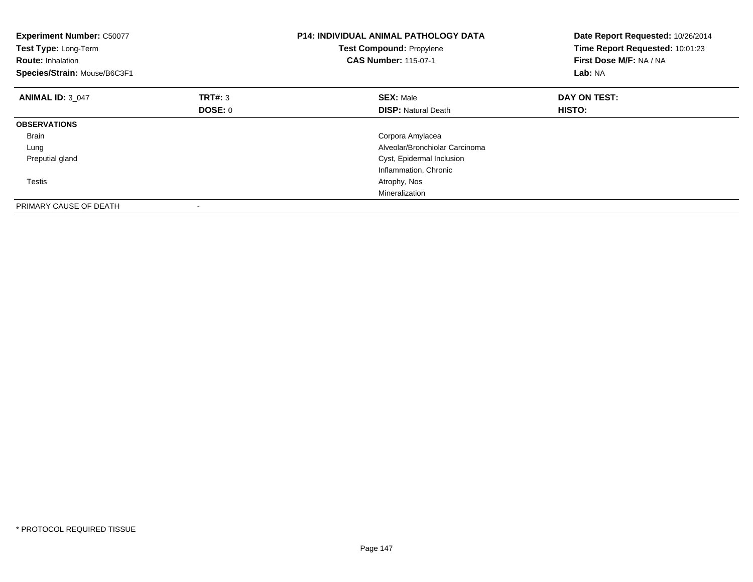| <b>Experiment Number: C50077</b><br>Test Type: Long-Term<br><b>Route: Inhalation</b><br>Species/Strain: Mouse/B6C3F1 |         | <b>P14: INDIVIDUAL ANIMAL PATHOLOGY DATA</b><br><b>Test Compound: Propylene</b><br><b>CAS Number: 115-07-1</b> | Date Report Requested: 10/26/2014<br>Time Report Requested: 10:01:23<br>First Dose M/F: NA / NA<br>Lab: NA |
|----------------------------------------------------------------------------------------------------------------------|---------|----------------------------------------------------------------------------------------------------------------|------------------------------------------------------------------------------------------------------------|
| <b>ANIMAL ID: 3 047</b>                                                                                              | TRT#: 3 | <b>SEX: Male</b>                                                                                               | DAY ON TEST:                                                                                               |
|                                                                                                                      | DOSE: 0 | <b>DISP:</b> Natural Death                                                                                     | HISTO:                                                                                                     |
| <b>OBSERVATIONS</b>                                                                                                  |         |                                                                                                                |                                                                                                            |
| <b>Brain</b>                                                                                                         |         | Corpora Amylacea                                                                                               |                                                                                                            |
| Lung                                                                                                                 |         | Alveolar/Bronchiolar Carcinoma                                                                                 |                                                                                                            |
| Preputial gland                                                                                                      |         | Cyst, Epidermal Inclusion                                                                                      |                                                                                                            |
|                                                                                                                      |         | Inflammation, Chronic                                                                                          |                                                                                                            |
| Testis                                                                                                               |         | Atrophy, Nos                                                                                                   |                                                                                                            |
|                                                                                                                      |         | Mineralization                                                                                                 |                                                                                                            |
| PRIMARY CAUSE OF DEATH                                                                                               |         |                                                                                                                |                                                                                                            |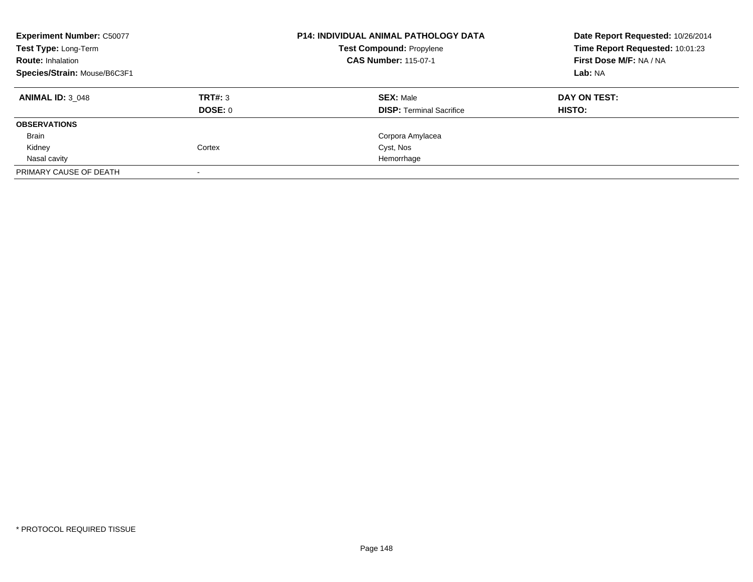| <b>Experiment Number: C50077</b><br>Test Type: Long-Term<br><b>Route: Inhalation</b><br>Species/Strain: Mouse/B6C3F1 |                    | <b>P14: INDIVIDUAL ANIMAL PATHOLOGY DATA</b><br><b>Test Compound: Propylene</b><br><b>CAS Number: 115-07-1</b> | Date Report Requested: 10/26/2014<br>Time Report Requested: 10:01:23<br>First Dose M/F: NA / NA<br>Lab: NA |
|----------------------------------------------------------------------------------------------------------------------|--------------------|----------------------------------------------------------------------------------------------------------------|------------------------------------------------------------------------------------------------------------|
| <b>ANIMAL ID: 3 048</b>                                                                                              | TRT#: 3<br>DOSE: 0 | <b>SEX: Male</b><br><b>DISP:</b> Terminal Sacrifice                                                            | DAY ON TEST:<br>HISTO:                                                                                     |
| <b>OBSERVATIONS</b>                                                                                                  |                    |                                                                                                                |                                                                                                            |
| Brain                                                                                                                |                    | Corpora Amylacea                                                                                               |                                                                                                            |
| Kidney                                                                                                               | Cortex             | Cyst, Nos                                                                                                      |                                                                                                            |
| Nasal cavity                                                                                                         |                    | Hemorrhage                                                                                                     |                                                                                                            |
| PRIMARY CAUSE OF DEATH                                                                                               |                    |                                                                                                                |                                                                                                            |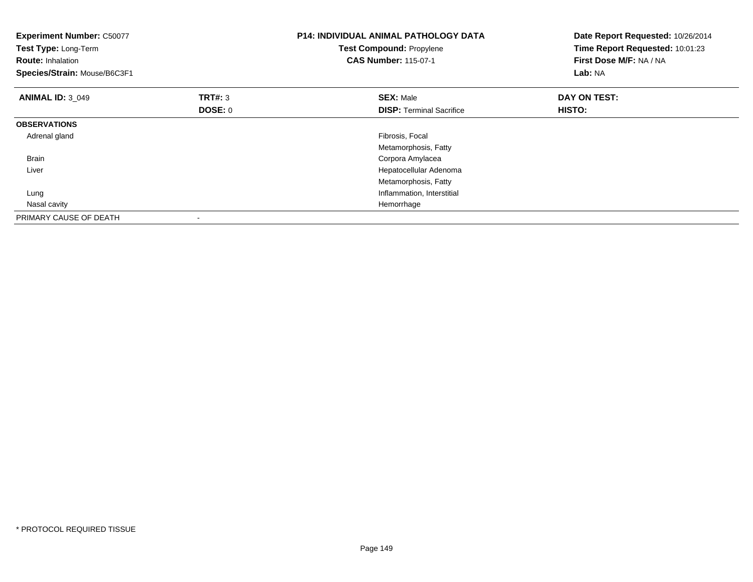| <b>Experiment Number: C50077</b><br>Test Type: Long-Term<br><b>Route: Inhalation</b><br>Species/Strain: Mouse/B6C3F1 |                           | P14: INDIVIDUAL ANIMAL PATHOLOGY DATA<br>Test Compound: Propylene<br><b>CAS Number: 115-07-1</b> | Date Report Requested: 10/26/2014<br>Time Report Requested: 10:01:23<br>First Dose M/F: NA / NA<br>Lab: NA |
|----------------------------------------------------------------------------------------------------------------------|---------------------------|--------------------------------------------------------------------------------------------------|------------------------------------------------------------------------------------------------------------|
| <b>ANIMAL ID: 3 049</b>                                                                                              | <b>TRT#:</b> 3<br>DOSE: 0 | <b>SEX: Male</b><br><b>DISP:</b> Terminal Sacrifice                                              | DAY ON TEST:<br>HISTO:                                                                                     |
| <b>OBSERVATIONS</b>                                                                                                  |                           |                                                                                                  |                                                                                                            |
| Adrenal gland                                                                                                        |                           | Fibrosis, Focal<br>Metamorphosis, Fatty                                                          |                                                                                                            |
| <b>Brain</b>                                                                                                         |                           | Corpora Amylacea                                                                                 |                                                                                                            |
| Liver                                                                                                                |                           | Hepatocellular Adenoma                                                                           |                                                                                                            |
|                                                                                                                      |                           | Metamorphosis, Fatty                                                                             |                                                                                                            |
| Lung                                                                                                                 |                           | Inflammation, Interstitial                                                                       |                                                                                                            |
| Nasal cavity                                                                                                         |                           | Hemorrhage                                                                                       |                                                                                                            |
| PRIMARY CAUSE OF DEATH                                                                                               |                           |                                                                                                  |                                                                                                            |